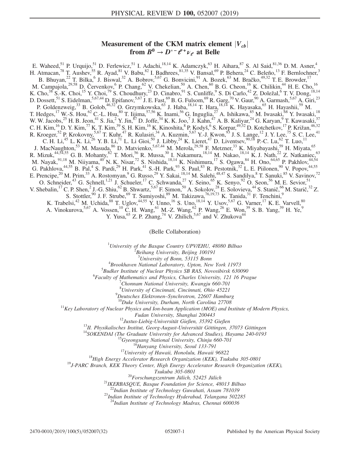# Measurement of the CKM matrix element  $|V_{cb}|$ <br>from  $B^0 \rightarrow D^{*-}e^+ \nu_{\varphi}$  at Belle from  $B^0 \rightarrow D^{*-} \ell^+ \nu_{\ell}$  at Belle

E. Waheed,<sup>51</sup> P. Urquijo,<sup>51</sup> D. Ferlewicz,<sup>51</sup> I. Adachi,<sup>18,14</sup> K. Adamczyk,<sup>63</sup> H. Aihara,<sup>87</sup> S. Al Said,<sup>81,36</sup> D. M. Asner,<sup>4</sup> H. Atmacan,<sup>78</sup> T. Aushev,<sup>55</sup> R. Ayad,<sup>81</sup> V. Babu,<sup>82</sup> I. Badhrees,<sup>81,35</sup> V. Bansal,<sup>69</sup> P. Behera,<sup>24</sup> C. Beleño,<sup>13</sup> F. Bernlochner,<sup>3</sup> B. Bhuyan,<sup>22</sup> T. Bilka,<sup>6</sup> J. Biswal,<sup>32</sup> A. Bobrov,<sup>5,67</sup> G. Bonvicini,<sup>91</sup> A. Bozek,<sup>63</sup> M. Bračko,<sup>49,32</sup> T. E. Browder,<sup>17</sup> M. Campajola,<sup>29,58</sup> D. Červenkov, <sup>6</sup> P. Chang, <sup>62</sup> V. Chekelian, <sup>50</sup> A. Chen, <sup>60</sup> B. G. Cheon, <sup>16</sup> K. Chilikin, <sup>44</sup> H. E. Cho, <sup>16</sup> K. Cho,<sup>38</sup> S.-K. Choi,<sup>15</sup> Y. Choi,<sup>79</sup> S. Choudhury,<sup>23</sup> D. Cinabro,<sup>91</sup> S. Cunliffe,<sup>9</sup> S. Di Carlo,<sup>42</sup> Z. Doležal,<sup>6</sup> T. V. Dong,<sup>18,14</sup> D. Dossett,<sup>51</sup> S. Eidelman,<sup>5,67,44</sup> D. Epifanov,<sup>5,67</sup> J. E. Fast,<sup>69</sup> B. G. Fulsom,<sup>69</sup> R. Garg,<sup>70</sup> V. Gaur,<sup>90</sup> A. Garmash,<sup>5,67</sup> A. Giri,<sup>23</sup> P. Goldenzweig,<sup>33</sup> B. Golob,<sup>46,32</sup> O. Grzymkowska,<sup>63</sup> J. Haba,<sup>18,14</sup> T. Hara,<sup>18,14</sup> K. Hayasaka,<sup>65</sup> H. Hayashii,<sup>59</sup> M. T. Hedges,<sup>17</sup> W.-S. Hou,<sup>62</sup> C.-L. Hsu,<sup>80</sup> T. Iijima,<sup>57,56</sup> K. Inami,<sup>56</sup> G. Inguglia,<sup>27</sup> A. Ishikawa,<sup>85</sup> M. Iwasaki,<sup>68</sup> Y. Iwasaki,<sup>18</sup> W. W. Jacobs,  $^{25}$  H. B. Jeon,  $^{41}$  S. Jia,  $^{2}$  Y. Jin,  $^{87}$  D. Joffe,  $^{34}$  K. K. Joo,  $^7$  J. Kahn,  $^{47}$  A. B. Kaliyar,  $^{24}$  G. Karyan,  $^9$  T. Kawasaki,  $^{37}$ C. H. Kim,  $^{16}$  D. Y. Kim,  $^{77}$  K. T. Kim,  $^{39}$  S. H. Kim,  $^{16}$  K. Kinoshita,  $^{8}$  P. Kodyš,  $^{6}$  S. Korpar,  $^{49,32}$  D. Kotchetkov,  $^{17}$  P. Križan,  $^{46,32}$ R. Kroeger,<sup>52</sup> P. Krokovny,<sup>5,67</sup> T. Kuhr,<sup>47</sup> R. Kulasiri,<sup>34</sup> A. Kuzmin,<sup>5,67</sup> Y.-J. Kwon,<sup>93</sup> J. S. Lange,<sup>12</sup> J. Y. Lee,<sup>75</sup> S. C. Lee,<sup>41</sup> C. H. Li,<sup>45</sup> L. K. Li,<sup>26</sup> Y. B. Li,<sup>71</sup> L. Li Gioi,<sup>50</sup> J. Libby,<sup>24</sup> K. Lieret,<sup>47</sup> D. Liventsev,<sup>90,18</sup> P.-C. Lu,<sup>62</sup> T. Luo,<sup>11</sup> J. MacNaughton,<sup>53</sup> M. Masuda,<sup>86</sup> D. Matvienko,<sup>5,67,44</sup> M. Merola,<sup>29,58</sup> F. Metzner,<sup>33</sup> K. Miyabayashi,<sup>59</sup> H. Miyata,<sup>65</sup> R. Mizuk,<sup>44,54,55</sup> G. B. Mohanty,<sup>82</sup> T. Mori,<sup>56</sup> R. Mussa,<sup>30</sup> I. Nakamura,<sup>18,14</sup> M. Nakao,<sup>18,14</sup> K. J. Nath,<sup>22</sup> Z. Natkaniec,<sup>63</sup> M. Nayak,<sup>91,18</sup> M. Niiyama,<sup>40</sup> N. K. Nisar,<sup>72</sup> S. Nishida,<sup>18,14</sup> K. Nishimura,<sup>17</sup> S. Ogawa,<sup>84</sup> H. Ono,<sup>64,65</sup> P. Pakhlov,<sup>44,54</sup> G. Pakhlova,  $44,55$  B. Pal,  $4$  S. Pardi,  $2^9$  H. Park,  $4^1$  S.-H. Park,  $9^3$  S. Paul,  $8^3$  R. Pestotnik,  $3^2$  L. E. Piilonen,  $90$  V. Popov,  $44,55$ E. Prencipe,<sup>20</sup> M. Prim,<sup>33</sup> A. Rostomyan,<sup>9</sup> G. Russo,<sup>29</sup> Y. Sakai,<sup>18,14</sup> M. Salehi,<sup>48,47</sup> S. Sandilya,<sup>8</sup> T. Sanuki,<sup>85</sup> V. Savinov,<sup>72</sup> O. Schneider,<sup>43</sup> G. Schnell,<sup>1,21</sup> J. Schueler,<sup>17</sup> C. Schwanda,<sup>27</sup> Y. Seino,<sup>65</sup> K. Senyo,<sup>92</sup> O. Seon,<sup>56</sup> M. E. Sevior,<sup>51</sup> V. Shebalin, <sup>17</sup> C. P. Shen, <sup>2</sup> J.-G. Shiu, <sup>62</sup> B. Shwartz, <sup>5,67</sup> F. Simon, <sup>50</sup> A. Sokolov, <sup>28</sup> E. Solovieva, <sup>44</sup> S. Stanič, <sup>66</sup> M. Starič, <sup>32</sup> Z. S. Stottler,<sup>90</sup> J. F. Strube,<sup>69</sup> T. Sumiyoshi,<sup>89</sup> M. Takizawa,<sup>76,19,73</sup> K. Tanida,<sup>31</sup> F. Tenchini,<sup>9</sup> K. Trabelsi,<sup>42</sup> M. Uchida,<sup>88</sup> T. Uglov,<sup>44,55</sup> Y. Unno,<sup>16</sup> S. Uno,<sup>18,14</sup> Y. Usov,<sup>5,67</sup> G. Varner,<sup>17</sup> K. E. Varvell,<sup>80</sup> A. Vinokurova,  $5.67$  A. Vossen,  $^{10}$  C. H. Wang,  $^{61}$  M.-Z. Wang,  $^{62}$  P. Wang,  $^{26}$  E. Won,  $^{39}$  S. B. Yang,  $^{39}$  H. Ye,  $^{9}$ Y. Yusa, <sup>65</sup> Z. P. Zhang, <sup>74</sup> V. Zhilich, <sup>5,67</sup> and V. Zhukova<sup>44</sup>

(Belle Collaboration)

<sup>1</sup>University of the Basque Country UPV/EHU, 48080 Bilbao  $\frac{2 \text{ B} \text{g}}{2 \text{ B} \text{g}}$  Library University, Bailing 100101

Beihang University, Beijing 100191

<sup>3</sup>University of Bonn, 53115 Bonn  $^{3}$ University of Bonn, 53115 Bonn<br> $^{4}$ Prockhaven National Laboratory, Unter Nav

 $B_{Buch}$  Brookhaven National Laboratory, Upton, New York 11973<br> $B_{Buch}$  Institute of Nuclear Physics SP PAS, Novesibirsk 630

 $5$ Budker Institute of Nuclear Physics SB RAS, Novosibirsk 630090

 ${}^{6}$ Faculty of Mathematics and Physics, Charles University, 121 16 Prague

 $\alpha$ <sup>T</sup>Chonnam National University, Kwangju 660-701

<sup>8</sup> University of Cincinnati, Cincinnati, Ohio 45221

<sup>9</sup>Deutsches Elektronen–Synchrotron, 22607 Hamburg<br><sup>10</sup>Duke University, Durham, North Carolina 27708<br><sup>11</sup>Key Laboratory of Nuclear Physics and Ion-beam Application (MOE) and Institute of Modern Physics,

Fudan University, Shanghai 200443<br><sup>12</sup>Justus-Liebig-Universität Gießen, 35392 Gießen<br><sup>13</sup>II. Physikalisches Institut, Georg-August-Universität Göttingen, 37073 Göttingen<br><sup>14</sup>SOKENDAI (The Graduate University for Advanced S

Tsukuba 305-0801<br><sup>20</sup>Forschungszentrum Jülich, 52425 Jülich<br><sup>21</sup>IKERBASOUE, Basque Foundation for Science, 48013 Bilbao<sup>2</sup>

<sup>22</sup>Indian Institute of Technology Guwahati, Assam 781039<br><sup>23</sup>Indian Institute of Technology Hyderabad, Telangana 502285

<sup>24</sup>Indian Institute of Technology Madras, Chennai 600036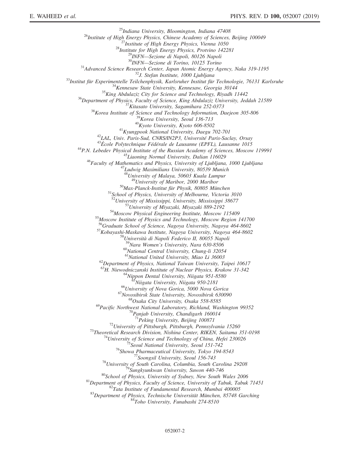$\begin{tabular}{c} \multicolumn{4}{c}{ \begin{tabular}{c} \multicolumn{4}{c}{\textbf{``I}} \multicolumn{4}{c}{ \multicolumn{4}{c}{ \multicolumn{4}{c}{ \multicolumn{4}{c}{ \multicolumn{4}{c}{ \multicolumn{4}{c}{ \multicolumn{4}{c}{ \multicolumn{4}{c}{ \multicolumn{4}{c}{ \multicolumn{4}{c}{ \multicolumn{4}{c}{ \multicolumn{4}{c}{ \multicolumn{4}{c}{ \multicolumn{4}{c}{ \multicolumn{4}{c}{ \multicolumn{4}{c}{ \multicolumn{4}{c}{ \multicolumn{4}{c}{ \multicolumn{4}{c}{ \multicolumn{4}{c$ <sup>48</sup>University of Malaya, 50603 Kuala Lumpur<br><sup>49</sup>University of Maribor, 2000 Maribor<br><sup>50</sup>Max-Planck-Institut für Physik, 80805 München<br><sup>51</sup>School of Physics, University of Melbourne, Victoria 3010<br><sup>52</sup>University of Missis  $^{53}$ University of Miyazaki, Miyazaki 889-2192<br>  $^{54}$ Moscow Physical Engineering Institute, Moscow 115409<br>  $^{55}$ Moscow Institute of Physics and Technology, Moscow Region 141700 <sup>56</sup>Graduate School of Science, Nagoya University, Nagoya 464-8602<br><sup>57</sup>Kobayashi-Maskawa Institute, Nagoya University, Nagoya 464-8602<br><sup>58</sup>Università di Napoli Federico II, 80055 Napoli<br><sup>59</sup>Nara Women's University, Nara 6  $^{60}$ National Central University, Chung-li 32054<br> $^{61}$ National United University, Miao Li 36003  $^{62}$ Department of Physics, National Taiwan University, Taipei 10617 <sup>63</sup>H. Niewodniczanski Institute of Nuclear Physics, Krakow 31-342<br><sup>64</sup>Nippon Dental University, Niigata 951-8580<br><sup>65</sup>Niigata University, Niigata 950-2181<br><sup>66</sup>University of Nova Gorica, 5000 Nova Gorica<br><sup>67</sup>Novosibirsk St <sup>69</sup>Pacific Northwest National Laboratory, Richland, Washington 99352<br><sup>70</sup>Panjab University, Chandigarh 160014<br><sup>71</sup>Peking University, Beijing 100871 <sup>72</sup>University of Pittsburgh, Pittsburgh, Pennsylvania 15260<br>
<sup>73</sup>Theoretical Research Division, Nishina Center, RIKEN, Saitama 351-0198<br>
<sup>74</sup>University of Science and Technology of China, Hefei 230026<br>
<sup>75</sup>Seoul National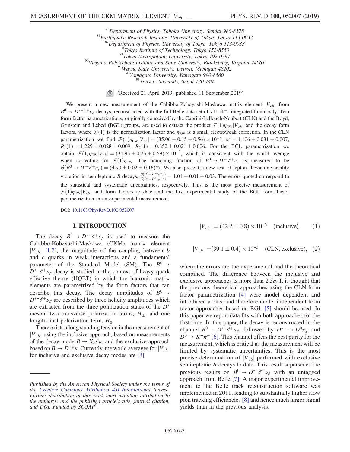<sup>85</sup>Department of Physics, Tohoku University, Sendai 980-8578<br>
<sup>86</sup>Earthquake Research Institute, University of Tokyo, Tokyo 113-0032<br>
<sup>87</sup>Department of Physics, University of Tokyo, Tokyo 113-0033<br>
<sup>88</sup>Tokyo Institute of

(Received 21 April 2019; published 11 September 2019)

We present a new measurement of the Cabibbo-Kobayashi-Maskawa matrix element  $|V_{cb}|$  from  $B^0 \to D^{*-}\ell^+\nu_\ell$  decays, reconstructed with the full Belle data set of 711 fb<sup>-1</sup> integrated luminosity. Two form factor parametrizations, originally conceived by the Caprini-Lellouch-Neubert (CLN) and the Boyd, Grinstein and Lebed (BGL) groups, are used to extract the product  $\mathcal{F}(1)\eta_{EW}|V_{cb}|$  and the decay form factors, where  $\mathcal{F}(1)$  is the normalization factor and  $\eta_{EW}$  is a small electroweak correction. In the CLN parametrization we find  $\mathcal{F}(1)\eta_{\text{EW}}|V_{cb}| = (35.06 \pm 0.15 \pm 0.56) \times 10^{-3}$ ,  $\rho^2 = 1.106 \pm 0.031 \pm 0.007$ ,  $R_1(1) = 1.229 \pm 0.028 \pm 0.009$ ,  $R_2(1) = 0.852 \pm 0.021 \pm 0.006$ . For the BGL parametrization we obtain  $\mathcal{F}(1)\eta_{EW}|V_{cb}| = (34.93 \pm 0.23 \pm 0.59) \times 10^{-3}$ , which is consistent with the world average when correcting for  $\mathcal{F}(1)\eta_{EW}$ . The branching fraction of  $B^0 \to D^{*-}\ell^+\nu_\ell$  is measured to be  $B(D) \to D^{*-}\ell^+\nu$ .  $\to (4.00 \pm 0.02 \pm 0.16)\%$ . We also present a new test of lapton flavor universality  $\mathcal{B}(B^0 \to D^{*-}\ell^+\nu_{\ell}) = (4.90 \pm 0.02 \pm 0.16)\%$ . We also present a new test of lepton flavor universality violation in semileptonic B decays,  $\frac{\beta(B^0 \rightarrow D^{*-}e^+\nu)}{\beta(B^0 \rightarrow D^{*-}e^+\nu)}$  $\frac{B(B^{\circ} \to D^{\circ} e^{\circ} \nu)}{B(B^{\circ} \to D^{\circ} \mu^+ \nu)} = 1.01 \pm 0.01 \pm 0.03.$  The errors quoted correspond to the statistical and systematic uncertainties, respectively. This is the most precise measurement of  $\mathcal{F}(1)\eta_{EW}|V_{cb}|$  and form factors to date and the first experimental study of the BGL form factor parametrization in an experimental measurement.

DOI: [10.1103/PhysRevD.100.052007](https://doi.org/10.1103/PhysRevD.100.052007)

## I. INTRODUCTION

The decay  $B^0 \to D^{*-}\ell^+\nu_\ell$  is used to measure the Cabibbo-Kobayashi-Maskawa (CKM) matrix element  $|V_{cb}|$  [\[1,2\],](#page-30-0) the magnitude of the coupling between b and c quarks in weak interactions and a fundamental parameter of the Standard Model (SM). The  $B^0 \rightarrow$  $D^{*-}\ell^+\nu_\ell$  decay is studied in the context of heavy quark effective theory (HQET) in which the hadronic matrix elements are parametrized by the form factors that can describe this decay. The decay amplitudes of  $B^0 \rightarrow$  $D^{*-}\ell^+\nu_\ell$  are described by three helicity amplitudes which are extracted from the three polarization states of the  $D^*$ meson: two transverse polarization terms,  $H_{\pm}$ , and one longitudinal polarization term,  $H_0$ .

<span id="page-2-1"></span>There exists a long standing tension in the measurement of  $|V_{cb}|$  using the inclusive approach, based on measurements of the decay mode  $B \to X_c \ell \nu$ , and the exclusive approach based on  $B \to D^* \ell \nu$ . Currently, the world averages for  $|V_{cb}|$  for inclusive and exclusive decay modes are [3] for inclusive and exclusive decay modes are [\[3\]](#page-30-1)

$$
|V_{cb}| = (42.2 \pm 0.8) \times 10^{-3} \quad \text{(inclusive)}, \qquad (1)
$$

<span id="page-2-0"></span>
$$
|V_{cb}| = (39.1 \pm 0.4) \times 10^{-3} \quad \text{(CLN, exclusive)}, \quad (2)
$$

where the errors are the experimental and the theoretical combined. The difference between the inclusive and exclusive approaches is more than  $2.5\sigma$ . It is thought that the previous theoretical approaches using the CLN form factor parametrization [\[4\]](#page-30-2) were model dependent and introduced a bias, and therefore model independent form factor approaches based on BGL [\[5\]](#page-30-3) should be used. In this paper we report data fits with both approaches for the first time. In this paper, the decay is reconstructed in the channel  $B^0 \to D^{*-}e^+\nu_e$ , followed by  $D^{*-} \to \bar{D}^0 \pi_s^-$  and  $\bar{D}^0 \to K^-\pi^+$  [\[6\]](#page-30-4). This channel offers the best purity for the measurement, which is critical as the measurement will be limited by systematic uncertainties. This is the most precise determination of  $|V_{cb}|$  performed with exclusive semileptonic B decays to date. This result supersedes the previous results on  $B^0 \to D^{*-}\ell^+\nu_\ell$  with an untagged approach from Belle [\[7\].](#page-30-5) A major experimental improvement to the Belle track reconstruction software was implemented in 2011, leading to substantially higher slow pion tracking efficiencies [\[8\]](#page-30-6) and hence much larger signal yields than in the previous analysis.

Published by the American Physical Society under the terms of the [Creative Commons Attribution 4.0 International](https://creativecommons.org/licenses/by/4.0/) license. Further distribution of this work must maintain attribution to the author(s) and the published article's title, journal citation, and DOI. Funded by SCOAP<sup>3</sup>.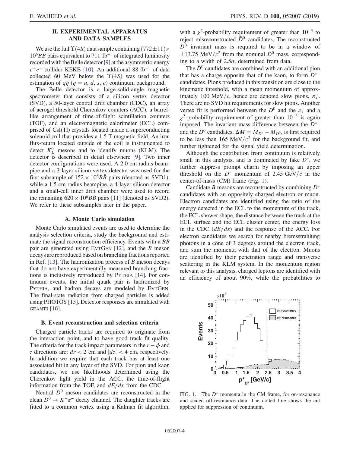# II. EXPERIMENTAL APPARATUS AND DATA SAMPLES

<span id="page-3-1"></span>We use the full  $\Upsilon(4S)$  data sample containing  $(772\pm11)\times$  $10^6B\bar{B}$  pairs equivalent to 711 fb<sup>-1</sup> of integrated luminosity recorded with the Belle detector[\[9\]](#page-30-7) at the asymmetric-energy  $e^+e^-$  collider KEKB [\[10\].](#page-30-8) An additional 88 fb<sup>-1</sup> of data collected 60 MeV below the  $\Upsilon(4S)$  was used for the estimation of  $q\bar{q}$  ( $q = u, d, s, c$ ) continuum background.

The Belle detector is a large-solid-angle magnetic spectrometer that consists of a silicon vertex detector (SVD), a 50-layer central drift chamber (CDC), an array of aerogel threshold Cherenkov counters (ACC), a barrellike arrangement of time-of-flight scintillation counters (TOF), and an electromagnetic calorimeter (ECL) comprised of CsI(Tl) crystals located inside a superconducting solenoid coil that provides a 1.5 T magnetic field. An iron flux-return located outside of the coil is instrumented to detect  $K_L^0$  mesons and to identify muons (KLM). The detector is described in detail elsewhere [\[9\]](#page-30-7). Two inner detector configurations were used. A 2.0 cm radius beampipe and a 3-layer silicon vertex detector was used for the first subsample of  $152 \times 10^6$  pairs (denoted as SVD1), while a 1.5 cm radius beampipe, a 4-layer silicon detector and a small-cell inner drift chamber were used to record the remaining  $620 \times 10^6 B\bar{B}$  pairs [\[11\]](#page-30-9) (denoted as SVD2). We refer to these subsamples later in the paper.

## A. Monte Carlo simulation

Monte Carlo simulated events are used to determine the analysis selection criteria, study the background and estimate the signal reconstruction efficiency. Events with a  $B\bar{B}$ pair are generated using EVTGEN [\[12\],](#page-30-10) and the B meson decays are reproduced based on branching fractions reported in Ref. [\[13\]](#page-30-11). The hadronization process of  $B$  meson decays that do not have experimentally-measured branching fractions is inclusively reproduced by PYTHIA [\[14\].](#page-30-12) For continuum events, the initial quark pair is hadronized by PYTHIA, and hadron decays are modeled by EVTGEN. The final-state radiation from charged particles is added using PHOTOS [\[15\]](#page-30-13). Detector responses are simulated with GEANT3 [\[16\].](#page-30-14)

## B. Event reconstruction and selection criteria

Charged particle tracks are required to originate from the interaction point, and to have good track fit quality. The criteria for the track impact parameters in the  $r - \phi$  and z directions are:  $dr < 2$  cm and  $|dz| < 4$  cm, respectively. In addition we require that each track has at least one associated hit in any layer of the SVD. For pion and kaon candidates, we use likelihoods determined using the Cherenkov light yield in the ACC, the time-of-flight information from the TOF, and  $dE/dx$  from the CDC.

Neutral  $\bar{D}^0$  meson candidates are reconstructed in the clean  $\bar{D}^0 \to K^+\pi^-$  decay channel. The daughter tracks are fitted to a common vertex using a Kalman fit algorithm, with a  $\chi^2$ -probability requirement of greater than 10<sup>-3</sup> to reject misreconstructed  $\bar{D}^0$  candidates. The reconstructed  $\bar{D}^0$  invariant mass is required to be in a window of  $\pm$ 13.75 MeV/ $c^2$  from the nominal  $D^0$  mass, corresponding to a width of  $2.5\sigma$ , determined from data.

The  $\bar{D}^0$  candidates are combined with an additional pion that has a charge opposite that of the kaon, to form  $D^{*-}$ candidates. Pions produced in this transition are close to the kinematic threshold, with a mean momentum of approximately 100 MeV/c, hence are denoted slow pions,  $\pi_s^-$ . There are no SVD hit requirements for slow pions. Another vertex fit is performed between the  $D^0$  and the  $\pi_s^-$  and a  $\chi^2$ -probability requirement of greater than 10<sup>-3</sup> is again imposed. The invariant mass difference between the  $D^{*-}$ and the  $\bar{D}^0$  candidates,  $\Delta M = M_{D^*} - M_{D^0}$ , is first required<br>to be less than 165 MeV/ $c^2$  for the background fit, and to be less than 165 MeV/ $c^2$  for the background fit, and further tightened for the signal yield determination.

Although the contribution from continuum is relatively small in this analysis, and is dominated by fake  $D^*$ , we further suppress prompt charm by imposing an upper threshold on the  $D^*$  momentum of 2.45 GeV/c in the center-of-mass (CM) frame (Fig. [1](#page-3-0)).

Candidate B mesons are reconstructed by combining  $D^*$ candidates with an oppositely charged electron or muon. Electron candidates are identified using the ratio of the energy detected in the ECL to the momentum of the track, the ECL shower shape, the distance between the track at the ECL surface and the ECL cluster center, the energy loss in the CDC  $(dE/dx)$  and the response of the ACC. For electron candidates we search for nearby bremsstrahlung photons in a cone of 3 degrees around the electron track, and sum the momenta with that of the electron. Muons are identified by their penetration range and transverse scattering in the KLM system. In the momentum region relevant to this analysis, charged leptons are identified with an efficiency of about 90%, while the probabilities to

<span id="page-3-0"></span>

FIG. 1. The  $D^*$  momenta in the CM frame, for on-resonance and scaled off-resonance data. The dotted line shows the cut applied for suppression of continuum.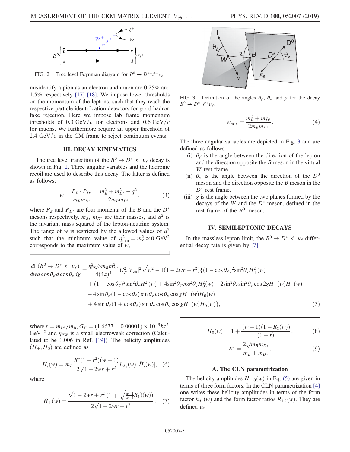<span id="page-4-0"></span>

FIG. 2. Tree level Feynman diagram for  $B^0 \to D^{*-}\ell^+\nu_{\ell}$ .

misidentify a pion as an electron and muon are 0.25% and 1.5% respectively [\[17\]](#page-30-15) [\[18\]](#page-30-16). We impose lower thresholds on the momentum of the leptons, such that they reach the respective particle identification detectors for good hadron fake rejection. Here we impose lab frame momentum thresholds of 0.3 GeV/c for electrons and 0.6 GeV/c for muons. We furthermore require an upper threshold of 2.4 GeV/ $c$  in the CM frame to reject continuum events.

## III. DECAY KINEMATICS

The tree level transition of the  $B^0 \to D^{*-}\ell^+\nu_{\ell}$  decay is shown in Fig. [2.](#page-4-0) Three angular variables and the hadronic recoil are used to describe this decay. The latter is defined as follows:

$$
w = \frac{P_B \cdot P_{D^*}}{m_B m_{D^*}} = \frac{m_B^2 + m_{D^*}^2 - q^2}{2m_B m_{D^*}},
$$
(3)

where  $P_B$  and  $P_{D^*}$  are four momenta of the B and the  $D^*$ mesons respectively,  $m_B$ ,  $m_{D^*}$  are their masses, and  $q^2$  is the invariant mass squared of the lepton-neutrino system. The range of w is restricted by the allowed values of  $q^2$ such that the minimum value of  $q_{\text{min}}^2 = m_\ell^2 \approx 0 \text{ GeV}^2$ <br>corresponds to the maximum value of w corresponds to the maximum value of  $w$ ,

<span id="page-4-1"></span>

FIG. 3. Definition of the angles  $\theta_{\ell}$ ,  $\theta_{\nu}$  and  $\gamma$  for the decay  $B^0 \to D^{*-} \ell^+ \nu_{\ell}.$ 

$$
w_{\text{max}} = \frac{m_B^2 + m_{D^*}^2}{2m_B m_{D^*}}.\tag{4}
$$

The three angular variables are depicted in Fig. [3](#page-4-1) and are defined as follows.

- (i)  $\theta$ <sub>e</sub> is the angle between the direction of the lepton and the direction opposite the  $B$  meson in the virtual W rest frame.
- (ii)  $\theta_{\rm v}$  is the angle between the direction of the  $D^0$ meson and the direction opposite the  $B$  meson in the  $D^*$  rest frame.
- (iii)  $\chi$  is the angle between the two planes formed by the decays of the W and the  $D^*$  meson, defined in the rest frame of the  $B^0$  meson.

# IV. SEMILEPTONIC DECAYS

In the massless lepton limit, the  $B^0 \to D^{*-} \ell^+ \nu_{\ell}$  differential decay rate is given by [\[7\]](#page-30-5)

<span id="page-4-2"></span>
$$
\frac{d\Gamma(B^0 \to D^{*-}\ell^+\nu_{\ell})}{dw d\cos\theta_{\ell}d\cos\theta_{\nu}d\chi} = \frac{\eta_{\rm EW}^2 3m_B m_{D^*}^2}{4(4\pi)^4} G_F^2 |V_{cb}|^2 \sqrt{w^2 - 1} (1 - 2wr + r^2) \{ (1 - \cos\theta_{\ell})^2 \sin^2\theta_{\nu} H_+^2(w) + (1 + \cos\theta_{\ell})^2 \sin^2\theta_{\nu} H_+^2(w) + 4\sin^2\theta_{\ell} \cos^2\theta_{\nu} H_0^2(w) - 2\sin^2\theta_{\ell} \sin^2\theta_{\nu} \cos 2\chi H_+(w) H_-(w) - 4\sin\theta_{\ell} (1 - \cos\theta_{\ell}) \sin\theta_{\nu} \cos\theta_{\nu} \cos\chi H_+(w) H_0(w) + 4\sin\theta_{\ell} (1 + \cos\theta_{\ell}) \sin\theta_{\nu} \cos\theta_{\nu} \cos\chi H_-(w) H_0(w) \},
$$
\n
$$
(5)
$$

where  $r = m_{D^*}/m_B$ ,  $G_F = (1.6637 \pm 0.00001) \times 10^{-5} \hbar c^2$ <br>GeV<sup>-2</sup> and  $n_{\text{max}}$  is a small electroweak correction (Calcu- $GeV^{-2}$  and  $\eta_{EW}$  is a small electroweak correction (Calculated to be 1.006 in Ref. [\[19\]](#page-30-17)). The helicity amplitudes  $(H_{\pm}, H_0)$  are defined as

$$
H_i(w) = m_B \frac{R^*(1 - r^2)(w + 1)}{2\sqrt{1 - 2wr + r^2}} h_{A_1}(w) |\tilde{H}_i(w)|, \quad (6)
$$

where

$$
\tilde{H}_{\pm}(w) = \frac{\sqrt{1 - 2wr + r^2} \left(1 \mp \sqrt{\frac{w-1}{w+1}} R_1\right)(w)}{2\sqrt{1 - 2wr + r^2}},\quad(7)
$$

$$
\tilde{H}_0(w) = 1 + \frac{(w-1)(1 - R_2(w))}{(1 - r)},
$$
\n(8)

$$
R^* = \frac{2\sqrt{m_B m_{D*}}}{m_B + m_{D*}}.\t(9)
$$

## A. The CLN parametrization

The helicity amplitudes  $H_{\pm,0}(w)$  in Eq. [\(5\)](#page-4-2) are given in terms of three form factors. In the CLN parametrization [\[4\]](#page-30-2) one writes these helicity amplitudes in terms of the form factor  $h_{A_1}(w)$  and the form factor ratios  $R_{1,2}(w)$ . They are defined as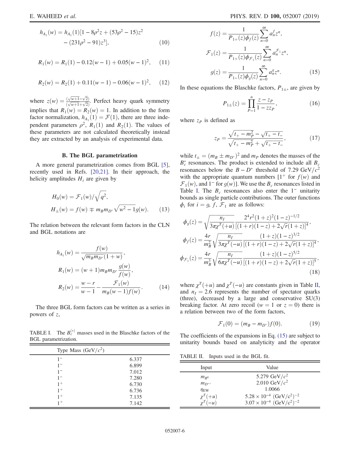$$
h_{A_1}(w) = h_{A_1}(1)[1 - 8\rho^2 z + (53\rho^2 - 15)z^2 - (231\rho^2 - 91)z^3],
$$
\n(10)

$$
R_1(w) = R_1(1) - 0.12(w - 1) + 0.05(w - 1)^2, \quad (11)
$$

$$
R_2(w) = R_2(1) + 0.11(w - 1) - 0.06(w - 1)^2, \quad (12)
$$

where  $z(w) = \frac{(\sqrt{w+1} - \sqrt{2})}{(\sqrt{w+1} + \sqrt{2})}$  $\frac{(\sqrt{w+1}-\sqrt{2})}{(\sqrt{w+1}+\sqrt{2})}$ . Perfect heavy quark symmetry implies that  $R_1(w) = R_2(w) = 1$ . In addition to the form factor normalization,  $h_{A_1}(1) = \mathcal{F}(1)$ , there are three independent parameters  $\rho^2$ ,  $R_1(1)$  and  $R_2(1)$ . The values of these parameters are not calculated theoretically instead they are extracted by an analysis of experimental data.

## B. The BGL parametrization

A more general parametrization comes from BGL [\[5\]](#page-30-3), recently used in Refs. [\[20,21\].](#page-30-18) In their approach, the helicity amplitudes  $H_i$  are given by

$$
H_0(w) = \mathcal{F}_1(w) / \sqrt{q^2},
$$
  
\n
$$
H_{\pm}(w) = f(w) \mp m_B m_{D^*} \sqrt{w^2 - 1} g(w).
$$
 (13)

The relation between the relevant form factors in the CLN and BGL notations are

<span id="page-5-2"></span>
$$
h_{A_1}(w) = \frac{f(w)}{\sqrt{m_B m_{D^*}} (1+w)},
$$
  
\n
$$
R_1(w) = (w+1) m_B m_{D^*} \frac{g(w)}{f(w)},
$$
  
\n
$$
R_2(w) = \frac{w-r}{w-1} - \frac{\mathcal{F}_1(w)}{m_B (w-1) f(w)}.
$$
 (14)

The three BGL form factors can be written as a series in powers of z,

<span id="page-5-0"></span>TABLE I. The  $B_c^{(*)}$  masses used in the Blaschke factors of the BGL parametrization.

| Type Mass $(GeV/c2)$ |       |
|----------------------|-------|
| $1 -$                | 6.337 |
| $1 -$                | 6.899 |
| $1 -$                | 7.012 |
| $1 -$                | 7.280 |
| $1^{+}$              | 6.730 |
| $1^+$                | 6.736 |
| $1^{+}$              | 7.135 |
| $1+$                 | 7.142 |

$$
f(z) = \frac{1}{P_{1+}(z)\phi_f(z)} \sum_{n=0}^{\infty} a_n^f z^n,
$$
  

$$
\mathcal{F}_1(z) = \frac{1}{P_{1+}(z)\phi_{\mathcal{F}_1}(z)} \sum_{n=0}^{\infty} a_n^{\mathcal{F}_1} z^n,
$$
  

$$
g(z) = \frac{1}{P_{1-}(z)\phi_g(z)} \sum_{n=0}^{\infty} a_n^g z^n.
$$
 (15)

In these equations the Blaschke factors,  $P_{1\pm}$ , are given by

$$
P_{1\pm}(z) = \prod_{P=1}^{n} \frac{z - z_P}{1 - z z_P},
$$
\n(16)

where  $z_P$  is defined as

$$
z_P = \frac{\sqrt{t_+ - m_P^2} - \sqrt{t_+ - t_-}}{\sqrt{t_+ - m_P^2} + \sqrt{t_+ - t_-}},\tag{17}
$$

while  $t_{\pm} = (m_B \pm m_{D^*})$ <br> $R^*$  resonances. The pr )<sup>2</sup> and  $m_P$  denotes the masses of the oduct is extended to include all  $R$  $B_c^*$  resonances. The product is extended to include all  $B_c$ resonances below the  $B - D^*$  threshold of 7.29 GeV/ $c^2$ with the appropriate quantum numbers  $[1^+$  for  $f(w)$  and  $\mathcal{F}_1(w)$ , and 1<sup>-</sup> for  $g(w)$ ]. We use the  $B_c$  resonances listed in Table [I.](#page-5-0) The  $B_c$  resonances also enter the 1<sup>−</sup> unitarity bounds as single particle contributions. The outer functions  $\phi_i$  for  $i = g, f, \mathcal{F}_1$  are as follows:

$$
\phi_g(z) = \sqrt{\frac{n_I}{3\pi\chi^T(+u)}} \frac{2^4r^2(1+z)^2(1-z)^{-1/2}}{[(1+r)(1-z)+2\sqrt{r}(1+z)]^4},
$$
  
\n
$$
\phi_f(z) = \frac{4r}{m_B^2} \sqrt{\frac{n_I}{3\pi\chi^T(-u)}} \frac{(1+z)(1-z)^{3/2}}{[(1+r)(1-z)+2\sqrt{r}(1+z)]^4},
$$
  
\n
$$
\phi_{\mathcal{F}_1}(z) = \frac{4r}{m_B^3} \sqrt{\frac{n_I}{6\pi\chi^T(-u)}} \frac{(1+z)(1-z)^{5/2}}{[(1+r)(1-z)+2\sqrt{r}(1+z)]^5},
$$
  
\n(18)

where  $\chi^T$ (+u) and  $\chi^T$ (−u) are constants given in Table [II](#page-5-1), and  $n_1 = 2.6$  represents the number of spectator quarks (three), decreased by a large and conservative SU(3) breaking factor. At zero recoil ( $w = 1$  or  $z = 0$ ) there is a relation between two of the form factors,

$$
\mathcal{F}_1(0) = (m_B - m_{D^*})f(0). \tag{19}
$$

The coefficients of the expansions in Eq. [\(15\)](#page-5-2) are subject to unitarity bounds based on analyticity and the operator

<span id="page-5-1"></span>TABLE II. Inputs used in the BGL fit.

| Input           | Value                                                                                                                  |
|-----------------|------------------------------------------------------------------------------------------------------------------------|
| $m_{R^{0}}$     | 5.279 GeV/ $c^2$                                                                                                       |
| $m_{D^{*+}}$    | 2.010 GeV/ $c^2$                                                                                                       |
| $\eta_{\rm EW}$ | 1.0066                                                                                                                 |
| $\chi^T(+u)$    |                                                                                                                        |
| $\chi^T(-u)$    | $5.28 \times 10^{-4}$ (GeV/c <sup>2</sup> ) <sup>-2</sup><br>$3.07 \times 10^{-4}$ (GeV/c <sup>2</sup> ) <sup>-2</sup> |
|                 |                                                                                                                        |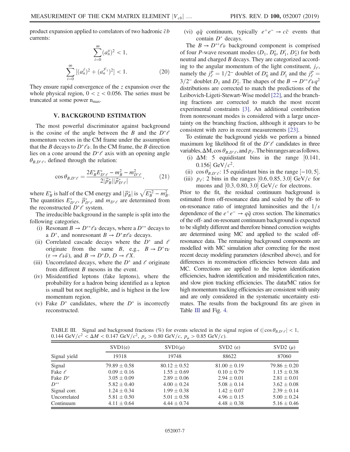product expansion applied to correlators of two hadronic  $\bar{c}b$ currents:

$$
\sum_{i=0}^{\infty} (a_n^g)^2 < 1,
$$
\n
$$
\sum_{i=0}^{\infty} \left[ (a_n^f)^2 + (a_n^{\mathcal{F}_1})^2 \right] < 1.
$$
\n(20)

They ensure rapid convergence of the z expansion over the whole physical region,  $0 < z < 0.056$ . The series must be truncated at some power  $n_{\text{max}}$ .

#### V. BACKGROUND ESTIMATION

The most powerful discriminator against background is the cosine of the angle between the B and the  $D^*\ell$ momentum vectors in the CM frame under the assumption that the B decays to  $D^*\ell\nu$ . In the CM frame, the B direction lies on a cone around the  $D^*\ell$  axis with an opening angle  $\theta_{B,D^*\ell}$ , defined through the relation:

$$
\cos \theta_{B,D^*\ell} = \frac{2E_B^* E_{D^*\ell}^* - m_B^2 - m_{D^*\ell}^2}{2|\vec{p}_B^*||\vec{p}_{D^*\ell}^*|},\tag{21}
$$

where  $E_{\beta}^*$  is half of the CM energy and  $|\vec{p}_{\beta}^*|$  is  $\sqrt{E_{\beta}^{*2} - m_B^2}$ .<br>The quantities  $F^*$   $\vec{p}^*$  and  $m_{\text{max}}$  are determined from The quantities  $E^*_{D^*\ell}$ ,  $\vec{p}_{D^*\ell}^*$  and  $m_{D^*\ell}$  are determined from the reconstructed  $D^*\ell$  system.

The irreducible background in the sample is split into the following categories.

- (i) Resonant  $B \to D^{**} \ell \nu$  decays, where a  $D^{**}$  decays to a  $D^*$ , and nonresonant  $B \to D^* \pi \ell \nu$  decays.
- (ii) Correlated cascade decays where the  $D^*$  and  $\ell$ originate from the same B, e.g.,  $B \to D^* \tau \nu$  $(\tau \to \ell \nu \bar{\nu})$ , and  $B \to D^*D$ ,  $D \to \ell X$ .
- (iii) Uncorrelated decays, where the  $D^*$  and  $\ell$  originate from different B mesons in the event.
- (iv) Misidentified leptons (fake leptons), where the probability for a hadron being identified as a lepton is small but not negligible, and is highest in the low momentum region.
- (v) Fake  $D^*$  candidates, where the  $D^*$  is incorrectly reconstructed.

(vi)  $q\bar{q}$  continuum, typically  $e^+e^- \rightarrow c\bar{c}$  events that contain  $D^*$  decays.

The  $B \to D^{**} \ell \nu$  background component is comprised of four *P*-wave resonant modes  $(D_1, D_0^*, D_1', D_2^*)$  for both neutral and charged B decays. They are categorized according to the angular momentum of the light constituent,  $j_{\ell}$ , namely the  $j_e^P = 1/2^-$  doublet of  $D_0^*$  and  $D_1'$  and the  $j_e^P$ <br>3.2007 doublet  $D_0$  and  $D^*$ . The shapes of the  $B_0 \times D^{*+}e$ mallery the  $f_e = 1/2$  doublet of  $D_0$  and  $D_1$  and the  $f_e = 3/2^-$  doublet  $D_1$  and  $D_2^*$ . The shapes of the  $B \to D^{**} \ell \nu q^2$ distributions are corrected to match the predictions of the Leibovich-Ligeti-Stewart-Wise model [\[22\],](#page-30-19) and the branching fractions are corrected to match the most recent experimental constraints [\[3\]](#page-30-1). An additional contribution from nonresonant modes is considered with a large uncertainty on the branching fraction, although it appears to be consistent with zero in recent measurements [\[23\]](#page-30-20).

To estimate the background yields we perform a binned maximum log likelihood fit of the  $D^*\ell$  candidates in three variables,  $\Delta M$ , cos  $\theta_{B,D^*\ell}$ , and  $p_{\ell}$ . The bin ranges are as follows.

- (i)  $\Delta M$ : 5 equidistant bins in the range [0.141, 0.156 GeV/ $c^2$ .
- (ii)  $\cos \theta_{B,D^*e}$ : 15 equidistant bins in the range [-10,5].<br>
iii)  $p_e$ : 2 bins in the ranges [0.6, 0.85, 3.0] GeV/c for
- (iii)  $p_e$ : 2 bins in the ranges [0.6, 0.85, 3.0] GeV/c for muons and  $[0.3, 0.80, 3.0]$  GeV/c for electrons.

Prior to the fit, the residual continuum background is estimated from off-resonance data and scaled by the off- to on-resonance ratio of integrated luminosities and the  $1/s$ dependence of the  $e^+e^- \rightarrow q\bar{q}$  cross section. The kinematics of the off- and on-resonant continuum background is expected to be slightly different and therefore binned correction weights are determined using MC and applied to the scaled offresonance data. The remaining background components are modelled with MC simulation after correcting for the most recent decay modeling parameters (described above), and for differences in reconstruction efficiencies between data and MC. Corrections are applied to the lepton identification efficiencies, hadron identification and misidentification rates, and slow pion tracking efficiencies. The data/MC ratios for high momentum tracking efficiencies are consistent with unity and are only considered in the systematic uncertainty estimates. The results from the background fits are given in Table [III](#page-6-0) and Fig. [4](#page-7-0).

<span id="page-6-0"></span>TABLE III. Signal and background fractions (%) for events selected in the signal region of  $(|\cos \theta_{B,D^* \ell}| < 1$ ,<br>0.144 GeV/c<sup>2</sup> < M < 0.147 GeV/c<sup>2</sup> n > 0.80 GeV/c n > 0.85 GeV/c)  $0.144 \text{ GeV}/c^2 < \Delta M < 0.147 \text{ GeV}/c^2$ ,  $p_e > 0.80 \text{ GeV}/c$ ,  $p_\mu > 0.85 \text{ GeV}/c$ .

|                  |                  | SVD2(e)          | SVD2 $(\mu)$     |
|------------------|------------------|------------------|------------------|
| 19318            | 19748            | 88622            | 87060            |
| $79.89 \pm 0.58$ | $80.12 \pm 0.52$ | $81.00 \pm 0.19$ | $79.86 \pm 0.20$ |
| $0.09 \pm 0.16$  | $1.55 \pm 0.69$  | $0.10 \pm 0.79$  | $1.15 \pm 0.38$  |
| $3.05 \pm 0.09$  | $2.89 \pm 0.06$  | $2.94 \pm 0.01$  | $2.81 \pm 0.01$  |
| $5.82 \pm 0.40$  | $4.00 \pm 0.24$  | $5.08 \pm 0.14$  | $3.62 \pm 0.08$  |
| $1.24 \pm 0.34$  | $1.99 \pm 0.38$  | $1.42 \pm 0.07$  | $2.39 \pm 0.14$  |
| $5.81 \pm 0.50$  | $5.01 \pm 0.58$  | $4.96 \pm 0.15$  | $5.00 \pm 0.24$  |
| $4.11 \pm 0.64$  | $4.44 \pm 0.74$  | $4.48 \pm 0.38$  | $5.16 \pm 0.46$  |
|                  |                  |                  |                  |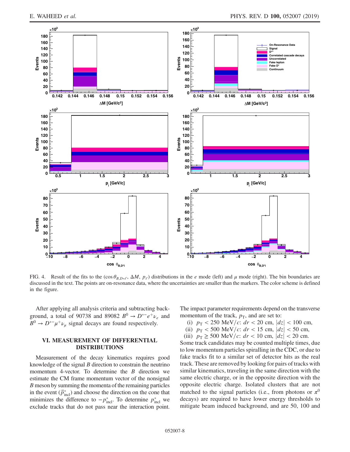<span id="page-7-0"></span>

FIG. 4. Result of the fits to the  $(\cos \theta_{B,D} \neq \Delta M, p_{\ell})$  distributions in the e mode (left) and  $\mu$  mode (right). The bin boundaries are discussed in the text. The points are on resonance data, where the uncertainties ar discussed in the text. The points are on-resonance data, where the uncertainties are smaller than the markers. The color scheme is defined in the figure.

After applying all analysis criteria and subtracting background, a total of 90738 and 89082  $B^0 \rightarrow D^{*-}e^+\nu_e$  and  $B^0 \rightarrow D^{*-} \mu^+ \nu_{\mu}$  signal decays are found respectively.

## VI. MEASUREMENT OF DIFFERENTIAL DISTRIBUTIONS

Measurement of the decay kinematics requires good knowledge of the signal  $B$  direction to constrain the neutrino momentum 4-vector. To determine the  $B$  direction we estimate the CM frame momentum vector of the nonsignal B meson by summing the momenta of the remaining particles in the event  $(\vec{p}_{\text{incl}}^*)$  and choose the direction on the cone that minimizes the difference to  $-p_{\text{incl}}^*$ . To determine  $p_{\text{incl}}^*$  we exclude tracks that do not pass near the interaction point.

The impact parameter requirements depend on the transverse momentum of the track,  $p_T$ , and are set to:

- (i)  $p_T < 250$  MeV/c:  $dr < 20$  cm,  $|dz| < 100$  cm,
- (ii)  $p_T < 500 \text{ MeV}/c$ :  $dr < 15 \text{ cm}$ ,  $|dz| < 50 \text{ cm}$ ,
- (iii)  $p_T \ge 500 \text{ MeV}/c$ :  $dr < 10 \text{ cm}, |dz| < 20 \text{ cm}.$

Some track candidates may be counted multiple times, due to low momentum particles spiralling in the CDC, or due to fake tracks fit to a similar set of detector hits as the real track. These are removed by looking for pairs of tracks with similar kinematics, traveling in the same direction with the same electric charge, or in the opposite direction with the opposite electric charge. Isolated clusters that are not matched to the signal particles (i.e., from photons or  $\pi^0$ decays) are required to have lower energy thresholds to mitigate beam induced background, and are 50, 100 and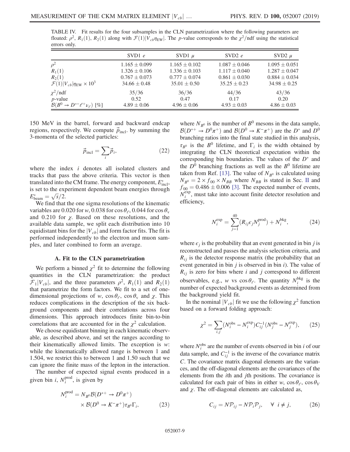<span id="page-8-0"></span>TABLE IV. Fit results for the four subsamples in the CLN parametrization where the following parameters are floated:  $\rho^2$ ,  $R_1(1)$ ,  $R_2(1)$  along with  $\mathcal{F}(1)|V_{cb}\eta_{EW}|$ . The p-value corresponds to the  $\chi^2$ /ndf using the statistical errors only.

|                                                     | SVD1 $e$          | SVD1 $\mu$        | SVD2 $e$          | SVD2 $\mu$        |
|-----------------------------------------------------|-------------------|-------------------|-------------------|-------------------|
| $\rho^2$                                            | $1.165 \pm 0.099$ | $1.165 \pm 0.102$ | $1.087 \pm 0.046$ | $1.095 \pm 0.051$ |
| $R_1(1)$                                            | $1.326 \pm 0.106$ | $1.336 \pm 0.103$ | $1.117 \pm 0.040$ | $1.287 \pm 0.047$ |
| $R_2(1)$                                            | $0.767 \pm 0.073$ | $0.777 \pm 0.074$ | $0.861 \pm 0.030$ | $0.884 \pm 0.034$ |
| $\mathcal{F}(1) V_{cb} \eta_{\rm EW}\times10^3$     | $34.66 \pm 0.48$  | $35.01 \pm 0.50$  | $35.25 \pm 0.23$  | $34.98 \pm 0.25$  |
| $\chi^2$ /ndf                                       | 35/36             | 36/36             | 44/36             | 43/36             |
| $p$ -value                                          | 0.52              | 0.47              | 0.17              | 0.20              |
| $\mathcal{B}(B^0 \to D^{*-} \ell^+ \nu_{\ell})$ [%] | $4.89 \pm 0.06$   | $4.96 \pm 0.06$   | $4.93 \pm 0.03$   | $4.86 \pm 0.03$   |

150 MeV in the barrel, forward and backward endcap regions, respectively. We compute  $\vec{p}_{\text{incl}}$ . by summing the 3-momenta of the selected particles:

$$
\vec{p}_{\text{incl}} = \sum_{i} \vec{p}_{i},\tag{22}
$$

where the index *i* denotes all isolated clusters and tracks that pass the above criteria. This vector is then translated into the CM frame. The energy component,  $E_{\text{incl}}^*$ , is set to the experiment dependent beam energies through  $E_{\text{beam}}^* = \sqrt{s}/2.$ <br>We find that

We find that the one sigma resolutions of the kinematic variables are 0.020 for w, 0.038 for cos  $\theta_{\ell}$ , 0.044 for cos  $\theta_{\rm v}$ and 0.210 for  $\chi$ . Based on these resolutions, and the available data sample, we split each distribution into 10 equidistant bins for the  $|V_{cb}|$  and form factor fits. The fit is performed independently to the electron and muon samples, and later combined to form an average.

## A. Fit to the CLN parametrization

We perform a binned  $\chi^2$  fit to determine the following quantities in the CLN parametrization: the product  $\mathcal{F}_1|V_{cb}|$ , and the three parameters  $\rho^2$ ,  $R_1(1)$  and  $R_2(1)$ that parametrize the form factors. We fit to a set of onedimensional projections of w,  $\cos \theta_{\ell}$ ,  $\cos \theta_{\rm v}$  and  $\chi$ . This reduces complications in the description of the six background components and their correlations across four dimensions. This approach introduces finite bin-to-bin correlations that are accounted for in the  $\chi^2$  calculation.

We choose equidistant binning in each kinematic observable, as described above, and set the ranges according to their kinematically allowed limits. The exception is  $w$ : while the kinematically allowed range is between 1 and 1.504, we restrict this to between 1 and 1.50 such that we can ignore the finite mass of the lepton in the interaction.

The number of expected signal events produced in a given bin *i*,  $N_i^{\text{prod}}$ , is given by

$$
N_i^{\text{prod}} = N_{B^0} \mathcal{B}(D^{*+} \to D^0 \pi^+)
$$
  
 
$$
\times \mathcal{B}(D^0 \to K^- \pi^+) \tau_{B^0} \Gamma_i,
$$
 (23)

where  $N_{B^0}$  is the number of  $B^0$  mesons in the data sample,  $B(D^{*+} \to D^0 \pi^+)$  and  $B(D^0 \to K^-\pi^+)$  are the  $D^*$  and  $D^0$ <br>branching ratios into the final state studied in this analysis branching ratios into the final state studied in this analysis,  $\tau_{B^0}$  is the  $B^0$  lifetime, and  $\Gamma_i$  is the width obtained by integrating the CLN theoretical expectation within the corresponding bin boundaries. The values of the  $D^*$  and the  $D^0$  branching fractions as well as the  $B^0$  lifetime are taken from Ref. [\[13\].](#page-30-11) The value of  $N_{B^0}$  is calculated using  $N_{B^0} = 2 \times f_{00} \times N_{BB}$  where  $N_{BB}$  is stated in Sec. [II](#page-3-1) and  $f_{00} = 0.486 \pm 0.006$  [\[3\].](#page-30-1) The expected number of events,  $N_i^{\text{exp}}$ , must take into account finite detector resolution and efficiency,

$$
N_i^{\text{exp}} = \sum_{j=1}^{40} (R_{ij} \epsilon_j N_j^{\text{prod}}) + N_i^{\text{bkg}}, \tag{24}
$$

where  $\epsilon_i$  is the probability that an event generated in bin j is reconstructed and passes the analysis selection criteria, and  $R_{ii}$  is the detector response matrix (the probability that an event generated in bin  $j$  is observed in bin  $i$ ). The value of  $R_{ij}$  is zero for bins where i and j correspond to different observables, e.g., w vs  $\cos \theta_{e}$ . The quantity  $N_i^{\text{bkg}}$  is the number of expected background events as determined from the background yield fit.

<span id="page-8-1"></span>In the nominal  $|V_{cb}|$  fit we use the following  $\chi^2$  function based on a forward folding approach:

$$
\chi^2 = \sum_{i,j} (N_i^{\text{obs}} - N_i^{\text{exp}}) C_{ij}^{-1} (N_j^{\text{obs}} - N_j^{\text{exp}}), \qquad (25)
$$

where  $N_i^{\text{obs}}$  are the number of events observed in bin *i* of our data sample, and  $C_{ij}^{-1}$  is the inverse of the covariance matrix C. The covariance matrix diagonal elements are the variances, and the off-diagonal elements are the covariances of the elements from the ith and jth positions. The covariance is calculated for each pair of bins in either w,  $\cos \theta_e$ ,  $\cos \theta_V$ and  $\chi$ . The off-diagonal elements are calculated as,

$$
C_{ij} = N\mathcal{P}_{ij} - N\mathcal{P}_i\mathcal{P}_j, \quad \forall \ i \neq j,
$$
 (26)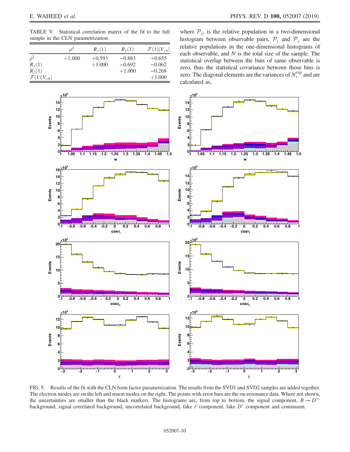<span id="page-9-0"></span>TABLE V. Statistical correlation matrix of the fit to the full sample in the CLN parametrization.

|                          |          | $R_1(1)$ | $R_2(1)$ | $\mathcal{F}(1) V_{cb} $ |
|--------------------------|----------|----------|----------|--------------------------|
| $\rho^2$                 | $+1.000$ | $+0.593$ | $-0.883$ | $+0.655$                 |
| $R_1(1)$                 |          | $+1.000$ | $-0.692$ | $-0.062$                 |
| $R_2(1)$                 |          |          | $+1.000$ | $-0.268$                 |
| $\mathcal{F}(1) V_{cb} $ |          |          |          | $+1.000$                 |
|                          |          |          |          |                          |

where  $P_{ij}$  is the relative population in a two-dimensional histogram between observable pairs,  $P_i$  and  $P_j$  are the relative populations in the one-dimensional histograms of each observable, and  $N$  is the total size of the sample. The statistical overlap between the bins of same observable is zero, thus the statistical covariance between those bins is zero. The diagonal elements are the variances of  $N_i^{\text{exp}}$  and are calculated as,

<span id="page-9-1"></span>

FIG. 5. Results of the fit with the CLN form factor parametrization. The results from the SVD1 and SVD2 samples are added together. The electron modes are on the left and muon modes on the right. The points with error bars are the on-resonance data. Where not shown, the uncertainties are smaller than the black markers. The histograms are, from top to bottom, the signal component,  $B \to D^{**}$ background, signal correlated background, uncorrelated background, fake  $\ell$  component, fake  $D^*$  component and continuum.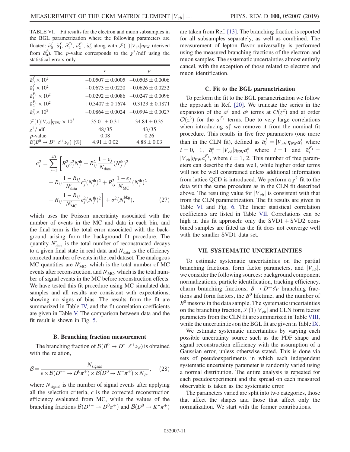<span id="page-10-0"></span>TABLE VI. Fit results for the electron and muon subsamples in the BGL parametrization where the following parameters are floated:  $\tilde{a}_0^f$ ,  $\tilde{a}_1^f$ ,  $\tilde{a}_1^{F_1}$ ,  $\tilde{a}_0^{F_1}$ ,  $\tilde{a}_0^g$  along with  $\mathcal{F}(1)|V_{cb}|\eta_{EW}$  (derived from  $\tilde{a}_0^f$ ). The *p*-value corresponds to the  $\chi^2$ /ndf using the statistical errors only.

|                                                   | e                                       | $\mu$                                     |
|---------------------------------------------------|-----------------------------------------|-------------------------------------------|
| $\tilde{a}_0^f \times 10^2$                       |                                         | $-0.0507 \pm 0.0005$ $-0.0505 \pm 0.0006$ |
| $\tilde{a}_1^f \times 10^2$                       |                                         | $-0.0673 \pm 0.0220 -0.0626 \pm 0.0252$   |
| $\tilde{a}_1^{F_1} \times 10^2$                   |                                         | $-0.0292 \pm 0.0086$ $-0.0247 \pm 0.0096$ |
| $\tilde{a}_{2}^{F_1} \times 10^{2}$               | $+0.3407 \pm 0.1674 +0.3123 \pm 0.1871$ |                                           |
| $\tilde{a}_0^g \times 10^2$                       |                                         | $-0.0864 \pm 0.0024$ $-0.0994 \pm 0.0027$ |
| $\mathcal{F}(1) V_{cb} \eta_{\rm EW}\times10^3$   | $35.01 \pm 0.31$                        | $34.84 \pm 0.35$                          |
| $\chi^2$ /ndf                                     | 48/35                                   | 43/35                                     |
| $p$ -value                                        | 0.08                                    | 0.26                                      |
| $\mathcal{B}(B^0 \to D^{*-}\ell^+\nu_{\ell})$ [%] | $4.91 \pm 0.02$                         | $4.88 \pm 0.03$                           |

$$
\sigma_i^2 = \sum_{j=1}^{40} \left[ R_{ij}^2 \epsilon_j^2 N_j^{\text{th}} + R_{ij}^2 \frac{1 - \epsilon_j}{N_{\text{data}}} (N_j^{\text{th}})^2 + R_{ij} \frac{1 - R_{ij}}{N_{\text{data}}'} \epsilon_j^2 (N_j^{\text{th}})^2 + R_{ij}^2 \frac{1 - \epsilon_j}{N_{\text{MC}}} (N_j^{\text{th}})^2 + R_{ij} \frac{1 - R_{ij}}{N_{\text{MC}}'} \epsilon_j^2 (N_j^{\text{th}})^2 \right] + \sigma^2 (N_i^{\text{bkg}}), \tag{27}
$$

which uses the Poisson uncertainty associated with the number of events in the MC and data in each bin, and the final term is the total error associated with the background arising from the background fit procedure. The quantity  $N'_{data}$  is the total number of reconstructed decays to a given final state in real data and  $N_{data}$  is the efficiency corrected number of events in the real dataset. The analogous MC quantities are  $N'_{MC}$ , which is the total number of MC events after reconstruction, and  $N<sub>MC</sub>$ , which is the total number of signal events in the MC before reconstruction effects. We have tested this fit procedure using MC simulated data samples and all results are consistent with expectations, showing no signs of bias. The results from the fit are summarized in Table [IV,](#page-8-0) and the fit correlation coefficients are given in Table [V.](#page-9-0) The comparison between data and the fit result is shown in Fig. [5](#page-9-1).

## B. Branching fraction measurement

The branching fraction of  $\mathcal{B}(B^0 \to D^{*-}\ell^+\nu_{\ell})$  is obtained<br>th the relation with the relation,

$$
\mathcal{B} = \frac{N_{\text{signal}}}{\epsilon \times \mathcal{B}(D^{*+} \to D^0 \pi^+) \times \mathcal{B}(D^0 \to K^- \pi^+) \times N_{B^0}},\tag{28}
$$

where  $N_{signal}$  is the number of signal events after applying all the selection criteria,  $\epsilon$  is the corrected reconstruction efficiency evaluated from MC, while the values of the branching fractions  $\mathcal{B}(D^{*+} \to D^0 \pi^+)$  and  $\mathcal{B}(D^0 \to K^- \pi^+)$  are taken from Ref. [\[13\]](#page-30-11). The branching fraction is reported for all subsamples separately, as well as combined. The measurement of lepton flavor universality is performed using the measured branching fractions of the electron and muon samples. The systematic uncertainties almost entirely cancel, with the exception of those related to electron and muon identification.

## C. Fit to the BGL parametrization

To perform the fit to the BGL parametrization we follow the approach in Ref. [\[20\].](#page-30-18) We truncate the series in the expansion of the  $a^f$  and  $a^g$  terms at  $\mathcal{O}(z^2)$  and at order  $\mathcal{O}(z^3)$  for the  $a^{\mathcal{F}_1}$  terms. Due to very large correlations when introducing  $a_1^g$  we remove it from the nominal fit procedure. This results in five free parameters (one more than in the CLN fit), defined as  $\tilde{a}_i^f = |V_{cb}| \eta_{EW} a_i^f$  where  $i = 0$ , 1,  $\tilde{a}_i^g = |V_{cb}| \eta_{EW} a_i^g$  where  $i = 1$  and  $\tilde{a}_i^{F_1}$ <br>
[*V*<sub>c</sub> lie  $s_i^{F_1}$  where  $i = 1, 2$  This number of free nergy  $\frac{i}{\sqrt{2}}$  $|V_{cb}|\eta_{\text{EW}}a_i^{F_1}$ , where  $i = 1, 2$ . This number of free param-<br>eters can describe the data well, while higher order terms eters can describe the data well, while higher order terms will not be well constrained unless additional information from lattice QCD is introduced. We perform a  $\chi^2$  fit to the data with the same procedure as in the CLN fit described above. The resulting value for  $|V_{cb}|$  is consistent with that from the CLN parametrization. The fit results are given in Table [VI](#page-10-0) and Fig. [6.](#page-11-0) The linear statistical correlation coefficients are listed in Table [VII](#page-12-0). Correlations can be high in this fit approach: only the  $SVD1 + SVD2$  combined samples are fitted as the fit does not converge well with the smaller SVD1 data set.

## VII. SYSTEMATIC UNCERTAINTIES

<span id="page-10-1"></span>To estimate systematic uncertainties on the partial branching fractions, form factor parameters, and  $|V_{cb}|$ , we consider the following sources: background component normalizations, particle identification, tracking efficiency, charm branching fractions,  $B \to D^{**} \ell \nu$  branching fractions and form factors, the  $B^0$  lifetime, and the number of  $B<sup>0</sup>$  mesons in the data sample. The systematic uncertainties on the branching fraction,  $\mathcal{F}(1)|V_{cb}|$  and CLN form factor parameters from the CLN fit are summarized in Table [VIII](#page-12-1), while the uncertainties on the BGL fit are given in Table [IX](#page-12-2).

We estimate systematic uncertainties by varying each possible uncertainty source such as the PDF shape and signal reconstruction efficiency with the assumption of a Gaussian error, unless otherwise stated. This is done via sets of pseudoexperiments in which each independent systematic uncertainty parameter is randomly varied using a normal distribution. The entire analysis is repeated for each pseudoexperiment and the spread on each measured observable is taken as the systematic error.

The parameters varied are split into two categories, those that affect the shapes and those that affect only the normalization. We start with the former contributions.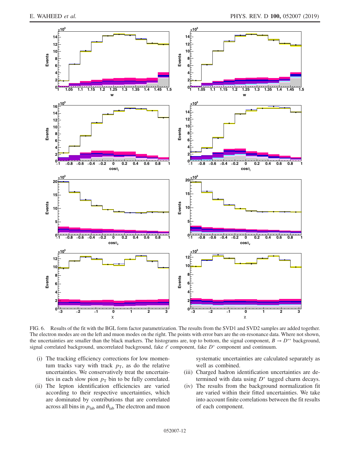<span id="page-11-0"></span>

FIG. 6. Results of the fit with the BGL form factor parametrization. The results from the SVD1 and SVD2 samples are added together. The electron modes are on the left and muon modes on the right. The points with error bars are the on-resonance data. Where not shown, the uncertainties are smaller than the black markers. The histograms are, top to bottom, the signal component,  $B \to D^{**}$  background, signal correlated background, uncorrelated background, fake  $\ell$  component, fake  $D^*$  component and continuum.

- (i) The tracking efficiency corrections for low momentum tracks vary with track  $p<sub>T</sub>$ , as do the relative uncertainties. We conservatively treat the uncertainties in each slow pion  $p<sub>T</sub>$  bin to be fully correlated.
- (ii) The lepton identification efficiencies are varied according to their respective uncertainties, which are dominated by contributions that are correlated across all bins in  $p_{\text{lab}}$  and  $\theta_{\text{lab}}$  The electron and muon

systematic uncertainties are calculated separately as well as combined.

- (iii) Charged hadron identification uncertainties are determined with data using  $D^*$  tagged charm decays.
- (iv) The results from the background normalization fit are varied within their fitted uncertainties. We take into account finite correlations between the fit results of each component.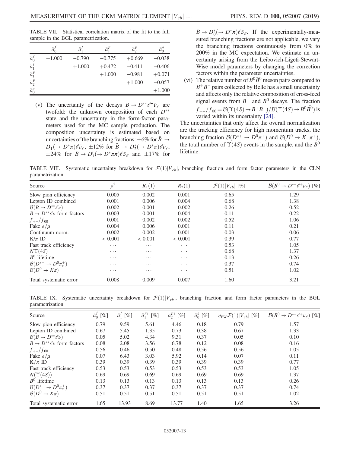<span id="page-12-0"></span>TABLE VII. Statistical correlation matrix of the fit to the full sample in the BGL parametrization.

|                                    | $\tilde{a}_0^j$ | $\tilde{a}'_1$ | $\tilde{a}_1^F$ | $\tilde{a}_2^F$ | $\tilde{a}_0^g$ |
|------------------------------------|-----------------|----------------|-----------------|-----------------|-----------------|
| $\tilde{a}_0^f$<br>$\tilde{a}_1^f$ | $+1.000$        | $-0.790$       | $-0.775$        | $+0.669$        | $-0.038$        |
|                                    |                 | $+1.000$       | $+0.472$        | $-0.411$        | $-0.406$        |
| $\tilde{a}_1^F$                    |                 |                | $+1.000$        | $-0.981$        | $+0.071$        |
| $\tilde{a}^F_2$                    |                 |                |                 | $+1.000$        | $-0.057$        |
| $\tilde{a}_0^g$                    |                 |                |                 |                 | $+1.000$        |

(v) The uncertainty of the decays  $B \to D^{**} \ell^- \bar{\nu}_{\ell}$  are twofold: the unknown composition of each  $D^{**}$ state and the uncertainty in the form-factor parameters used for the MC sample production. The composition uncertainty is estimated based on uncertainties of the branching fractions:  $\pm 6\%$  for  $B \rightarrow$  $D_1(\rightarrow D^*\pi)\ell\bar{\nu}_{\ell}$ ,  $\pm 12\%$  for  $\bar{B} \rightarrow D_2^*(\rightarrow D^*\pi)\ell\bar{\nu}_{\ell}$ ,<br> $\pm 24\%$  for  $\bar{B} \rightarrow D'(\rightarrow D^*\pi\pi)\ell\bar{\nu}_{\ell}$  and  $\pm 17\%$  for  $\pm 24\%$  for  $\bar{B} \to D'_1(\to D^* \pi \pi) \ell \bar{\nu}_{\ell}$  and  $\pm 17\%$  for

 $\bar{B} \to D_0^* (\to D^* \pi) \ell \bar{\nu}_{\ell}$ . If the experimentally-mea-<br>sured branching fractions are not applicable, we vary sured branching fractions are not applicable, we vary the branching fractions continuously from 0% to 200% in the MC expectation. We estimate an uncertainty arising from the Leibovich-Ligeti-Stewart-Wise model parameters by changing the correction factors within the parameter uncertainties.

(vi) The relative number of  $B^0\bar{B}^0$  meson pairs compared to  $B^+B^-$  pairs collected by Belle has a small uncertainty and affects only the relative composition of cross-feed signal events from  $B^+$  and  $B^0$  decays. The fraction  $f_{+-}/f_{00} = \mathcal{B}(\Upsilon(4S) \rightarrow B^+B^-)/\mathcal{B}(\Upsilon(4S) \rightarrow B^0\overline{B}{}^0)$  is varied within its uncertainty [24] varied within its uncertainty [\[24\]](#page-30-21).

The uncertainties that only affect the overall normalization are the tracking efficiency for high momentum tracks, the branching fraction  $\mathcal{B}(D^{*+} \to D^0 \pi^+)$  and  $\mathcal{B}(D^0 \to K^- \pi^+)$ ,<br>the total number of  $\Upsilon(AS)$  events in the sample, and the  $B^0$ the total number of  $\Upsilon(4S)$  events in the sample, and the  $B^0$ lifetime.

<span id="page-12-1"></span>TABLE VIII. Systematic uncertainty breakdown for  $\mathcal{F}(1)|V_{cb}|$ , branching fraction and form factor parameters in the CLN parametrization.

| Source                               | $\alpha^2$ | $R_1(1)$ | $R_2(1)$ | $\mathcal{F}(1) V_{cb} $ [%] | $\mathcal{B}(B^0 \to D^{*-}\ell^+\nu_{\ell})$ [%] |
|--------------------------------------|------------|----------|----------|------------------------------|---------------------------------------------------|
| Slow pion efficiency                 | 0.005      | 0.002    | 0.001    | 0.65                         | 1.29                                              |
| Lepton ID combined                   | 0.001      | 0.006    | 0.004    | 0.68                         | 1.38                                              |
| $\mathcal{B}(B \to D^{**} \ell \nu)$ | 0.002      | 0.001    | 0.002    | 0.26                         | 0.52                                              |
| $B \to D^{**} \ell \nu$ form factors | 0.003      | 0.001    | 0.004    | 0.11                         | 0.22                                              |
| $f_{+-}/f_{00}$                      | 0.001      | 0.002    | 0.002    | 0.52                         | 1.06                                              |
| Fake $e/\mu$                         | 0.004      | 0.006    | 0.001    | 0.11                         | 0.21                                              |
| Continuum norm.                      | 0.002      | 0.002    | 0.001    | 0.03                         | 0.06                                              |
| $K/\pi$ ID                           | < 0.001    | < 0.001  | < 0.001  | 0.39                         | 0.77                                              |
| Fast track efficiency                | .          | .        | $\cdots$ | 0.53                         | 1.05                                              |
| $N\Upsilon(4S)$                      | $\cdots$   | $\cdots$ | $\cdots$ | 0.68                         | 1.37                                              |
| $B^0$ lifetime                       | $\cdots$   | .        | $\cdots$ | 0.13                         | 0.26                                              |
| $\mathcal{B}(D^{*+}\to D^0\pi_s^+)$  | .          | $\cdots$ | $\cdots$ | 0.37                         | 0.74                                              |
| $\mathcal{B}(D^0 \to K\pi)$          | $\cdots$   | $\cdots$ | $\cdots$ | 0.51                         | 1.02                                              |
| Total systematic error               | 0.008      | 0.009    | 0.007    | 1.60                         | 3.21                                              |

<span id="page-12-2"></span>TABLE IX. Systematic uncertainty breakdown for  $\mathcal{F}(1)|V_{cb}|$ , branching fraction and form factor parameters in the BGL parametrization.

| Source                               | $\tilde{a}_0^f$ [%] | $\tilde{a}_1^f$ [%] | $\tilde{a}_1^{F1}$<br>$[\%]$ | $\tilde{a}_2^{F1}$<br>$[\%]$ | $\tilde{a}_0^g$ [%] | $\eta_{\text{EW}}\mathcal{F}(1) V_{cb} $<br>$[\%]$ | $\mathcal{B}(B^0 \to D^{*-}\ell^+\nu_{\ell})$ [%] |
|--------------------------------------|---------------------|---------------------|------------------------------|------------------------------|---------------------|----------------------------------------------------|---------------------------------------------------|
| Slow pion efficiency                 | 0.79                | 9.59                | 5.61                         | 4.46                         | 0.18                | 0.79                                               | 1.57                                              |
| Lepton ID combined                   | 0.67                | 5.45                | 1.35                         | 0.73                         | 0.38                | 0.67                                               | 1.33                                              |
| $\mathcal{B}(B \to D^{**} \ell \nu)$ | 0.05                | 5.02                | 4.34                         | 9.31                         | 0.37                | 0.05                                               | 0.10                                              |
| $B \to D^{**} \ell \nu$ form factors | 0.08                | 2.08                | 3.56                         | 6.78                         | 0.12                | 0.08                                               | 0.16                                              |
| $f_{+-}/f_{00}$                      | 0.56                | 0.46                | 0.50                         | 0.48                         | 0.56                | 0.56                                               | 1.05                                              |
| Fake $e/\mu$                         | 0.07                | 6.43                | 3.03                         | 5.92                         | 0.14                | 0.07                                               | 0.11                                              |
| $K/\pi$ ID                           | 0.39                | 0.39                | 0.39                         | 0.39                         | 0.39                | 0.39                                               | 0.77                                              |
| Fast track efficiency                | 0.53                | 0.53                | 0.53                         | 0.53                         | 0.53                | 0.53                                               | 1.05                                              |
| $N(\Upsilon(4S))$                    | 0.69                | 0.69                | 0.69                         | 0.69                         | 0.69                | 0.69                                               | 1.37                                              |
| $B^0$ lifetime                       | 0.13                | 0.13                | 0.13                         | 0.13                         | 0.13                | 0.13                                               | 0.26                                              |
| $\mathcal{B}(D^{*+}\to D^0\pi_s^+)$  | 0.37                | 0.37                | 0.37                         | 0.37                         | 0.37                | 0.37                                               | 0.74                                              |
| $\mathcal{B}(D^0 \to K\pi)$          | 0.51                | 0.51                | 0.51                         | 0.51                         | 0.51                | 0.51                                               | 1.02                                              |
| Total systematic error               | 1.65                | 13.93               | 8.69                         | 13.77                        | 1.40                | 1.65                                               | 3.26                                              |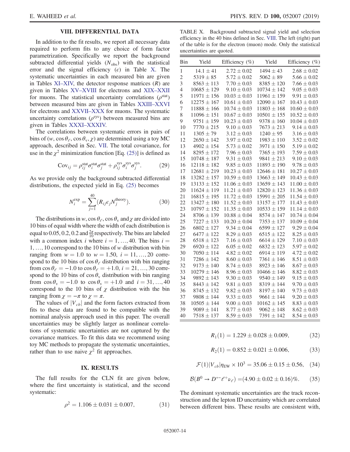# VIII. DIFFERENTIAL DATA

<span id="page-13-1"></span>In addition to the fit results, we report all necessary data required to perform fits to any choice of form factor parametrization. Specifically we report the background subtracted differential yields  $(N<sub>obs</sub>)$  with the statistical error and the signal efficiency  $(\epsilon)$  in Table [X](#page-13-0). The systematic uncertainties in each measured bin are given in Tables XI–[XIV,](#page-14-0) the detector response matrices  $(R)$  are given in Tables XV–[XVIII](#page-16-0) for electrons and XIX–[XXII](#page-17-0) for muons. The statistical uncertainty correlations ( $\rho^{\text{stat}}$ ) between measured bins are given in Tables XXIII–[XXVI](#page-18-0) for electrons and [XXVII](#page-22-0)–XXX for muons. The systematic uncertainty correlations  $(\rho^{sys})$  between measured bins are given in Tables XXXI–[XXXIV.](#page-26-0)

The correlations between systematic errors in pairs of bins of (w, cos  $\theta_{\ell}$ , cos  $\theta_{v}$ ,  $\chi$ ) are determined using a toy MC approach, described in Sec. [VII.](#page-10-1) The total covariance, for use in the  $\chi^2$  minimization function [Eq. [\(25\)](#page-8-1)] is defined as

$$
Cov_{ij} = \rho_{ij}^{\text{stat}} \sigma_i^{\text{stat}} \sigma_j^{\text{stat}} + \rho_{ij}^{\text{sys}} \sigma_i^{\text{sys}} \sigma_j^{\text{sys}}.
$$
 (29)

As we provide only the background subtracted differential distributions, the expected yield in Eq. [\(25\)](#page-8-1) becomes

$$
N_i^{\exp} = \sum_{j=1}^{40} (R_{ij}\epsilon_j N_j^{\text{theory}}). \tag{30}
$$

The distributions in w, cos  $\theta_{\ell}$ , cos  $\theta_{\nu}$  and  $\chi$  are divided into 10 bins of equal width where the width of each distribution is equal to 0.05, 0.2, 0.2 and  $\frac{2\pi}{10}$  respectively. The bins are labeled with a common index i where  $i = 1, \ldots, 40$ . The bins  $i =$ 1; …; 10 correspond to the 10 bins of w distribution with bin ranging from  $w = 1.0$  to  $w = 1.50$ ,  $i = 11, ..., 20$  correspond to the 10 bins of  $\cos \theta_{\ell}$  distribution with bin ranging from  $\cos \theta_{\ell} = -1.0$  to  $\cos \theta_{\ell} = +1.0$ ,  $i = 21, ..., 30$  correspond to the 10 bins of  $\cos \theta$ <sub>v</sub> distribution with bin ranging from  $\cos \theta_y = -1.0$  to  $\cos \theta_y = +1.0$  and  $i = 31, ..., 40$ correspond to the 10 bins of  $\chi$  distribution with the bin ranging from  $\chi = -\pi$  to  $\chi = \pi$ .

The values of  $|V_{cb}|$  and the form factors extracted from fits to these data are found to be compatible with the nominal analysis approach used in this paper. The overall uncertainties may be slightly larger as nonlinear correlations of systematic uncertainties are not captured by the covariance matrices. To fit this data we recommend using toy MC methods to propagate the systematic uncertainties, rather than to use naive  $\chi^2$  fit approaches.

## IX. RESULTS

The full results for the CLN fit are given below, where the first uncertainty is statistical, and the second systematic:

$$
\rho^2 = 1.106 \pm 0.031 \pm 0.007, \tag{31}
$$

<span id="page-13-0"></span>TABLE X. Background subtracted signal yield and selection efficiency in the 40 bins defined in Sec. [VIII.](#page-13-1) The left (right) part of the table is for the electron (muon) mode. Only the statistical uncertainties are quoted.

| Bin            | Yield           | Efficiency (%)   | Yield           | Efficiency (%)   |
|----------------|-----------------|------------------|-----------------|------------------|
| 1              | $14.1 \pm 41$   | $2.72 \pm 0.02$  | $1494 \pm 43$   | $2.68 \pm 0.02$  |
| $\overline{c}$ | $5319 \pm 85$   | $5.72 \pm 0.02$  | $5062 \pm 89$   | $5.66 \pm 0.02$  |
| 3              | $8563 \pm 113$  | $7.70 \pm 0.03$  | $8385 \pm 120$  | $7.66 \pm 0.03$  |
| 4              | $10685 \pm 129$ | $9.10 \pm 0.03$  | $10734 \pm 142$ | $9.05 \pm 0.03$  |
| 5              | $11971 \pm 156$ | $10.03 \pm 0.03$ | $11961 \pm 159$ | $9.91 \pm 0.03$  |
| 6              | $12275 \pm 167$ | $10.61 \pm 0.03$ | $12090 \pm 167$ | $10.43 \pm 0.03$ |
| 7              | $11888 \pm 166$ | $10.74 \pm 0.03$ | $11803 \pm 168$ | $10.60 \pm 0.03$ |
| 8              | $11096 \pm 151$ | $10.67 \pm 0.03$ | $10501 \pm 155$ | $10.52 \pm 0.03$ |
| 9              | $9751 \pm 159$  | $10.23 \pm 0.03$ | $9378 \pm 160$  | $10.04 \pm 0.03$ |
| 10             | $7770 \pm 215$  | $9.10 \pm 0.03$  | $7673 \pm 213$  | $9.14 \pm 0.03$  |
| 11             | $1305 \pm 79$   | $3.12 \pm 0.03$  | $1240 \pm 95$   | $3.16 \pm 0.03$  |
| 12             | $2650 \pm 142$  | $3.97 \pm 0.02$  | $1983 \pm 110$  | $3.52 \pm 0.02$  |
| 13             | $4902 \pm 154$  | $5.73 \pm 0.02$  | $3971 \pm 150$  | $5.19 \pm 0.02$  |
| 14             | $8295 \pm 172$  | $7.96 \pm 0.03$  | $7365 \pm 193$  | $7.59 \pm 0.03$  |
| 15             | $10748 \pm 187$ | $9.31 \pm 0.03$  | $9841 \pm 213$  | $9.10 \pm 0.03$  |
| 16             | $12118 \pm 182$ | $9.85 \pm 0.03$  | $11893 \pm 190$ | $9.78 \pm 0.03$  |
| 17             | $12681 \pm 219$ | $10.23 \pm 0.03$ | $12646 \pm 181$ | $10.27 \pm 0.03$ |
| 18             | $13282 \pm 157$ | $10.59 \pm 0.03$ | $13663 \pm 149$ | $10.43 \pm 0.03$ |
| 19             | $13133 \pm 152$ | $11.06 \pm 0.03$ | $13659 \pm 143$ | $11.00 \pm 0.03$ |
| 20             | $11624 \pm 119$ | $11.21 \pm 0.03$ | $12820 \pm 123$ | $11.36 \pm 0.03$ |
| 21             | $16815 \pm 195$ | $11.72 \pm 0.03$ | $15991 \pm 205$ | $11.54 \pm 0.03$ |
| 22             | $13427 \pm 180$ | $11.52 \pm 0.03$ | $13157 \pm 177$ | $11.43 \pm 0.03$ |
| 23             | $10797 \pm 152$ | $11.35 \pm 0.03$ | $10533 \pm 159$ | $11.14 \pm 0.03$ |
| 24             | $8706 \pm 139$  | $10.88 \pm 0.04$ | $8574 \pm 147$  | $10.74 \pm 0.04$ |
| 25             | $7227 \pm 133$  | $10.20 \pm 0.04$ | $7353 \pm 137$  | $10.09 \pm 0.04$ |
| 26             | $6802 \pm 127$  | $9.34 \pm 0.04$  | $6599 \pm 127$  | $9.29 \pm 0.04$  |
| 27             | $6477 \pm 122$  | $8.29 \pm 0.03$  | $6515 \pm 122$  | $8.25 \pm 0.03$  |
| 28             | $6518 \pm 123$  | $7.16 \pm 0.03$  | $6614 \pm 129$  | $7.10 \pm 0.03$  |
| 29             | $6920 \pm 122$  | $6.05 \pm 0.02$  | $6832 \pm 123$  | $5.97 \pm 0.02$  |
| 30             | $7050 \pm 114$  | $4.82 \pm 0.02$  | $6914 \pm 119$  | $4.72 \pm 0.02$  |
| 31             | $7286 \pm 142$  | $8.60 \pm 0.03$  | $7361 \pm 146$  | $8.51 \pm 0.03$  |
| 32             | $9173 \pm 140$  | $8.74 \pm 0.03$  | $8923 \pm 146$  | $8.67 \pm 0.03$  |
| 33             | $10279 \pm 146$ | $8.96 \pm 0.03$  | $10466 \pm 146$ | $8.82 \pm 0.03$  |
| 34             | $9892 \pm 143$  | $9.30 \pm 0.03$  | $9540 \pm 149$  | $9.15 \pm 0.03$  |
| 35             | $8443 \pm 142$  | $9.81 \pm 0.03$  | $8319 \pm 144$  | $9.70 \pm 0.03$  |
| 36             | $8745 \pm 132$  | $9.82 \pm 0.03$  | $8197 \pm 140$  | $9.73 \pm 0.03$  |
| 37             | $9808 \pm 144$  | $9.33 \pm 0.03$  | $9661 \pm 144$  | $9.20 \pm 0.03$  |
| 38             | $10505 \pm 144$ | $9.00 \pm 0.03$  | $10162 \pm 145$ | $8.83 \pm 0.03$  |
| 39             | $9089 \pm 141$  | $8.77 \pm 0.03$  | $9062 \pm 148$  | $8.62 \pm 0.03$  |
| 40             | $7518 \pm 137$  | $8.59 \pm 0.03$  | $7391 \pm 142$  | $8.54 \pm 0.03$  |

$$
R_1(1) = 1.229 \pm 0.028 \pm 0.009,\tag{32}
$$

$$
R_2(1) = 0.852 \pm 0.021 \pm 0.006, \tag{33}
$$

$$
\mathcal{F}(1)|V_{cb}|\eta_{\rm EW} \times 10^3 = 35.06 \pm 0.15 \pm 0.56, \quad (34)
$$

$$
\mathcal{B}(B^0 \to D^{*-}\ell^+\nu_\ell) = (4.90 \pm 0.02 \pm 0.16)\%. \tag{35}
$$

The dominant systematic uncertainties are the track reconstruction and the lepton ID uncertainty which are correlated between different bins. These results are consistent with,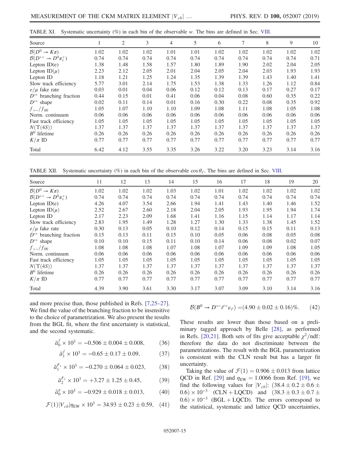<span id="page-14-0"></span>

|  | TABLE XI. Systematic uncertainty $(\%)$ in each bin of the observable w. The bins are defined in Sec. VIII. |  |  |  |  |  |  |  |  |  |  |  |  |  |  |
|--|-------------------------------------------------------------------------------------------------------------|--|--|--|--|--|--|--|--|--|--|--|--|--|--|
|--|-------------------------------------------------------------------------------------------------------------|--|--|--|--|--|--|--|--|--|--|--|--|--|--|

| Source                                |      | 2    | 3    | 4    | 5    | 6    | 7    | 8    | 9    | 10   |
|---------------------------------------|------|------|------|------|------|------|------|------|------|------|
| $\mathcal{B}(D^0 \to K\pi)$           | 1.02 | 1.02 | 1.02 | 1.01 | 1.01 | 1.02 | 1.02 | 1.02 | 1.02 | 1.02 |
| $\mathcal{B}(D^{*+} \to D^0 \pi_s^+)$ | 0.74 | 0.74 | 0.74 | 0.74 | 0.74 | 0.74 | 0.74 | 0.74 | 0.74 | 0.71 |
| Lepton $ID(e)$                        | 1.38 | 1.48 | 1.58 | 1.57 | 1.80 | 1.89 | 1.90 | 2.02 | 2.04 | 2.05 |
| Lepton $ID(\mu)$                      | 2.23 | 2.12 | 2.05 | 2.01 | 2.04 | 2.05 | 2.04 | 2.03 | 1.93 | 1.93 |
| Lepton ID                             | 1.18 | 1.21 | 1.25 | 1.24 | 1.35 | 1.39 | 1.39 | 1.43 | 1.40 | 1.41 |
| Slow track efficiency                 | 5.77 | 3.01 | 2.14 | 1.75 | 1.53 | 1.38 | 1.33 | 1.26 | 1.12 | 0.84 |
| $e/\mu$ fake rate                     | 0.03 | 0.01 | 0.04 | 0.06 | 0.12 | 0.12 | 0.13 | 0.17 | 0.27 | 0.17 |
| $D^{**}$ branching fraction           | 0.44 | 0.15 | 0.01 | 0.41 | 0.06 | 0.04 | 0.08 | 0.60 | 0.35 | 0.22 |
| $D^{**}$ shape                        | 0.02 | 0.11 | 0.14 | 0.01 | 0.16 | 0.30 | 0.22 | 0.08 | 0.35 | 0.92 |
| $f_{+-}/f_{00}$                       | 1.05 | 1.07 | 1.10 | 1.10 | 1.09 | 1.08 | 1.11 | 1.08 | 1.05 | 1.08 |
| Norm. continuum                       | 0.06 | 0.06 | 0.06 | 0.06 | 0.06 | 0.06 | 0.06 | 0.06 | 0.06 | 0.06 |
| Fast track efficiency                 | 1.05 | 1.05 | 1.05 | 1.05 | 1.05 | 1.05 | 1.05 | 1.05 | 1.05 | 1.05 |
| $N(\Upsilon(4S))$                     | 1.37 | 1.37 | 1.37 | 1.37 | 1.37 | 1.37 | 1.37 | 1.37 | 1.37 | 1.37 |
| $B^0$ lifetime                        | 0.26 | 0.26 | 0.26 | 0.26 | 0.26 | 0.26 | 0.26 | 0.26 | 0.26 | 0.26 |
| $K/\pi$ ID                            | 0.77 | 0.77 | 0.77 | 0.77 | 0.77 | 0.77 | 0.77 | 0.77 | 0.77 | 0.77 |
| Total                                 | 6.42 | 4.12 | 3.55 | 3.35 | 3.26 | 3.22 | 3.20 | 3.23 | 3.14 | 3.16 |

TABLE XII. Systematic uncertainty (%) in each bin of the observable  $\cos \theta_{\ell}$ . The bins are defined in Sec. [VIII](#page-13-1).

| Source                                | 11   | 12   | 13   | 14   | 15   | 16   | 17   | 18   | 19   | 20   |
|---------------------------------------|------|------|------|------|------|------|------|------|------|------|
| $\mathcal{B}(D^0 \to K\pi)$           | 1.02 | 1.02 | 1.02 | 1.03 | 1.02 | 1.01 | 1.02 | 1.02 | 1.02 | 1.02 |
| $\mathcal{B}(D^{*+} \to D^0 \pi_s^+)$ | 0.74 | 0.74 | 0.74 | 0.74 | 0.74 | 0.74 | 0.74 | 0.74 | 0.74 | 0.74 |
| Lepton $ID(e)$                        | 4.26 | 4.07 | 3.54 | 2.66 | 1.94 | 1.41 | 1.43 | 1.40 | 1.46 | 1.52 |
| Lepton $ID(\mu)$                      | 2.52 | 2.67 | 2.60 | 2.18 | 2.04 | 2.05 | 1.93 | 1.95 | 1.94 | 1.74 |
| Lepton ID                             | 2.17 | 2.23 | 2.09 | 1.68 | 1.41 | 1.16 | 1.15 | 1.14 | 1.17 | 1.14 |
| Slow track efficiency                 | 2.83 | 1.95 | 1.49 | 1.28 | 1.27 | 1.30 | 1.33 | 1.38 | 1.45 | 1.52 |
| $e/\mu$ fake rate                     | 0.30 | 0.13 | 0.05 | 0.10 | 0.12 | 0.14 | 0.15 | 0.15 | 0.11 | 0.13 |
| $D^{**}$ branching fraction           | 0.15 | 0.13 | 0.11 | 0.15 | 0.10 | 0.05 | 0.06 | 0.08 | 0.05 | 0.08 |
| $D^{**}$ shape                        | 0.10 | 0.10 | 0.15 | 0.11 | 0.10 | 0.14 | 0.06 | 0.08 | 0.02 | 0.07 |
| $f_{+-}/f_{00}$                       | 1.08 | 1.08 | 1.08 | 1.07 | 1.08 | 1.07 | 1.09 | 1.09 | 1.08 | 1.05 |
| Norm. continuum                       | 0.06 | 0.06 | 0.06 | 0.06 | 0.06 | 0.06 | 0.06 | 0.06 | 0.06 | 0.06 |
| Fast track efficiency                 | 1.05 | 1.05 | 1.05 | 1.05 | 1.05 | 1.05 | 1.05 | 1.05 | 1.05 | 1.05 |
| $N(\Upsilon(4S))$                     | 1.37 | 1.37 | 1.37 | 1.37 | 1.37 | 1.37 | 1.37 | 1.37 | 1.37 | 1.37 |
| $B^0$ lifetime                        | 0.26 | 0.26 | 0.26 | 0.26 | 0.26 | 0.26 | 0.26 | 0.26 | 0.26 | 0.26 |
| $K/\pi$ ID                            | 0.77 | 0.77 | 0.77 | 0.77 | 0.77 | 0.77 | 0.77 | 0.77 | 0.77 | 0.77 |
| Total                                 | 4.39 | 3.90 | 3.61 | 3.30 | 3.17 | 3.07 | 3.09 | 3.10 | 3.14 | 3.16 |

and more precise than, those published in Refs. [\[7,25](#page-30-5)–27]. We find the value of the branching fraction to be insensitive to the choice of parametrization. We also present the results from the BGL fit, where the first uncertainty is statistical, and the second systematic.

$$
\tilde{a}_0^f \times 10^3 = -0.506 \pm 0.004 \pm 0.008,\tag{36}
$$

$$
\tilde{a}_1^f \times 10^3 = -0.65 \pm 0.17 \pm 0.09,\tag{37}
$$

$$
\tilde{a}_1^{F_1} \times 10^3 = -0.270 \pm 0.064 \pm 0.023,\tag{38}
$$

$$
\tilde{a}_2^{F_1} \times 10^3 = +3.27 \pm 1.25 \pm 0.45, \tag{39}
$$

$$
\tilde{a}_0^g \times 10^3 = -0.929 \pm 0.018 \pm 0.013, \tag{40}
$$

$$
\mathcal{F}(1)|V_{cb}|\eta_{\rm EW} \times 10^3 = 34.93 \pm 0.23 \pm 0.59, \quad (41)
$$

$$
\mathcal{B}(B^0 \to D^{*-}\ell^+\nu_\ell) = (4.90 \pm 0.02 \pm 0.16)\%. \tag{42}
$$

These results are lower than those based on a preliminary tagged approach by Belle [\[28\],](#page-31-0) as performed in Refs. [\[20,21\]](#page-30-18). Both sets of fits give acceptable  $\chi^2$ /ndf: therefore the data do not discriminate between the parametrizations. The result with the BGL parametrization is consistent with the CLN result but has a larger fit uncertainty.

Taking the value of  $\mathcal{F}(1) = 0.906 \pm 0.013$  from lattice QCD in Ref. [\[29\]](#page-31-1) and  $\eta_{EW} = 1.0066$  from Ref. [\[19\]](#page-30-17), we find the following values for  $|V_{cb}|$ :  $(38.4 \pm 0.2 \pm 0.6 \pm 0.6 \pm 0.6 \pm 0.6 \pm 0.6 \pm 0.6 \pm 0.6 \pm 0.6 \pm 0.6 \pm 0.6 \pm 0.6 \pm 0.6 \pm 0.6 \pm 0.6 \pm 0.6 \pm 0.6 \pm 0.6 \pm 0.6 \pm 0.6 \pm 0.6 \pm 0.6 \pm 0.6 \pm 0.6 \pm 0.6 \pm 0.6 \pm 0.6 \pm 0.6 \pm 0.6 \pm$  $0.6) \times 10^{-3}$  (CLN + LQCD) and  $(38.3 \pm 0.3 \pm 0.7 \pm 0.7 \pm 0.7)$  $(0.6) \times 10^{-3}$  (BGL + LQCD). The errors correspond to the statistical, systematic and lattice QCD uncertainties,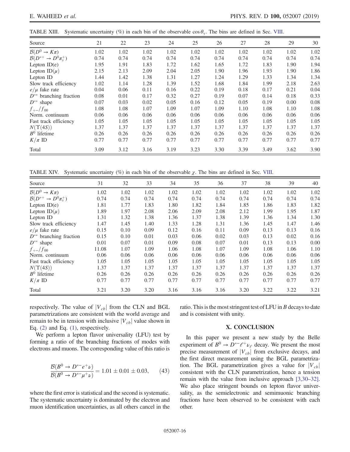TABLE XIII. Systematic uncertainty  $(\%)$  in each bin of the observable cos  $\theta_{\rm v}$ . The bins are defined in Sec. [VIII.](#page-13-1)

| Source                              | 21   | 22   | 23   | 24   | 25   | 26   | 27   | 28   | 29   | 30   |
|-------------------------------------|------|------|------|------|------|------|------|------|------|------|
| $\mathcal{B}(D^0 \to K\pi)$         | 1.02 | 1.02 | 1.02 | 1.02 | 1.02 | 1.02 | 1.02 | 1.02 | 1.02 | 1.02 |
| $\mathcal{B}(D^{*+}\to D^0\pi^+_s)$ | 0.74 | 0.74 | 0.74 | 0.74 | 0.74 | 0.74 | 0.74 | 0.74 | 0.74 | 0.74 |
| Lepton $ID(e)$                      | 1.95 | 1.91 | 1.83 | 1.72 | 1.62 | 1.65 | 1.72 | 1.83 | 1.90 | 1.94 |
| Lepton $ID(\mu)$                    | 2.15 | 2.13 | 2.09 | 2.04 | 2.05 | 1.90 | 1.96 | 1.93 | 1.90 | 1.86 |
| Lepton ID                           | 1.44 | 1.42 | 1.38 | 1.31 | 1.27 | 1.24 | 1.29 | 1.33 | 1.34 | 1.34 |
| Slow track efficiency               | 1.02 | 1.14 | 1.28 | 1.39 | 1.52 | 1.68 | 1.84 | 1.99 | 2.18 | 2.63 |
| $e/\mu$ fake rate                   | 0.04 | 0.06 | 0.11 | 0.16 | 0.22 | 0.19 | 0.18 | 0.17 | 0.21 | 0.04 |
| $D^{**}$ branching fraction         | 0.08 | 0.01 | 0.17 | 0.32 | 0.27 | 0.19 | 0.07 | 0.14 | 0.18 | 0.33 |
| $D^{**}$ shape                      | 0.07 | 0.03 | 0.02 | 0.05 | 0.16 | 0.12 | 0.05 | 0.19 | 0.00 | 0.08 |
| $f_{+-}/f_{00}$                     | 1.08 | 1.08 | 1.07 | 1.09 | 1.07 | 1.09 | 1.10 | 1.08 | 1.10 | 1.08 |
| Norm. continuum                     | 0.06 | 0.06 | 0.06 | 0.06 | 0.06 | 0.06 | 0.06 | 0.06 | 0.06 | 0.06 |
| Fast track efficiency               | 1.05 | 1.05 | 1.05 | 1.05 | 1.05 | 1.05 | 1.05 | 1.05 | 1.05 | 1.05 |
| $N(\Upsilon(4S))$                   | 1.37 | 1.37 | 1.37 | 1.37 | 1.37 | 1.37 | 1.37 | 1.37 | 1.37 | 1.37 |
| $B^0$ lifetime                      | 0.26 | 0.26 | 0.26 | 0.26 | 0.26 | 0.26 | 0.26 | 0.26 | 0.26 | 0.26 |
| $K/\pi$ ID                          | 0.77 | 0.77 | 0.77 | 0.77 | 0.77 | 0.77 | 0.77 | 0.77 | 0.77 | 0.77 |
| Total                               | 3.09 | 3.12 | 3.16 | 3.19 | 3.23 | 3.30 | 3.39 | 3.49 | 3.62 | 3.90 |

TABLE XIV. Systematic uncertainty  $(\%)$  in each bin of the observable  $\chi$ . The bins are defined in Sec. [VIII](#page-13-1).

| Source                                | 31    | 32   | 33   | 34   | 35   | 36   | 37   | 38   | 39   | 40   |
|---------------------------------------|-------|------|------|------|------|------|------|------|------|------|
| $\mathcal{B}(D^0 \to K\pi)$           | 1.02  | 1.02 | 1.02 | 1.02 | 1.02 | 1.02 | 1.02 | 1.02 | 1.02 | 1.02 |
| $\mathcal{B}(D^{*+} \to D^0 \pi_s^+)$ | 0.74  | 0.74 | 0.74 | 0.74 | 0.74 | 0.74 | 0.74 | 0.74 | 0.74 | 0.74 |
| Lepton $ID(e)$                        | 1.81  | 1.77 | 1.83 | 1.80 | 1.82 | 1.84 | 1.85 | 1.86 | 1.83 | 1.82 |
| Lepton $ID(\mu)$                      | 1.89  | 1.97 | 2.08 | 2.06 | 2.09 | 2.08 | 2.12 | 1.99 | 1.95 | 1.87 |
| Lepton ID                             | 1.31  | 1.32 | 1.38 | 1.36 | 1.37 | 1.38 | 1.39 | 1.36 | 1.34 | 1.30 |
| Slow track efficiency                 | 1.47  | 1.45 | 1.40 | 1.33 | 1.28 | 1.31 | 1.36 | 1.45 | 1.47 | 1.46 |
| $e/\mu$ fake rate                     | 0.15  | 0.10 | 0.09 | 0.12 | 0.16 | 0.11 | 0.09 | 0.13 | 0.13 | 0.16 |
| $D^{**}$ branching fraction           | 0.15  | 0.10 | 0.01 | 0.03 | 0.06 | 0.02 | 0.03 | 0.13 | 0.02 | 0.16 |
| $D^{**}$ shape                        | 0.01  | 0.07 | 0.01 | 0.09 | 0.08 | 0.07 | 0.01 | 0.13 | 0.13 | 0.00 |
| $f_{+-}/f_{00}$                       | 11.08 | 1.07 | 1.09 | 1.06 | 1.08 | 1.07 | 1.09 | 1.08 | 1.06 | 1.10 |
| Norm. continuum                       | 0.06  | 0.06 | 0.06 | 0.06 | 0.06 | 0.06 | 0.06 | 0.06 | 0.06 | 0.06 |
| Fast track efficiency                 | 1.05  | 1.05 | 1.05 | 1.05 | 1.05 | 1.05 | 1.05 | 1.05 | 1.05 | 1.05 |
| $N(\Upsilon(4S))$                     | 1.37  | 1.37 | 1.37 | 1.37 | 1.37 | 1.37 | 1.37 | 1.37 | 1.37 | 1.37 |
| $B^0$ lifetime                        | 0.26  | 0.26 | 0.26 | 0.26 | 0.26 | 0.26 | 0.26 | 0.26 | 0.26 | 0.26 |
| $K/\pi$ ID                            | 0.77  | 0.77 | 0.77 | 0.77 | 0.77 | 0.77 | 0.77 | 0.77 | 0.77 | 0.77 |
| Total                                 | 3.21  | 3.20 | 3.20 | 3.16 | 3.16 | 3.16 | 3.20 | 3.22 | 3.22 | 3.21 |

respectively. The value of  $|V_{cb}|$  from the CLN and BGL parametrizations are consistent with the world average and remain to be in tension with inclusive  $|V_{cb}|$  value shown in Eq.  $(2)$  and Eq.  $(1)$ , respectively.

We perform a lepton flavor universality (LFU) test by forming a ratio of the branching fractions of modes with electrons and muons. The corresponding value of this ratio is

$$
\frac{\mathcal{B}(B^0 \to D^{*-} e^+ \nu)}{\mathcal{B}(B^0 \to D^{*-} \mu^+ \nu)} = 1.01 \pm 0.01 \pm 0.03,\qquad(43)
$$

where the first error is statistical and the second is systematic. The systematic uncertainty is dominated by the electron and muon identification uncertainties, as all others cancel in the ratio. This is the most stringent test of LFU in  $B$  decays to date and is consistent with unity.

# X. CONCLUSION

In this paper we present a new study by the Belle experiment of  $B^0 \to D^{*-}\ell^+\nu_\ell$  decay. We present the most precise measurement of  $|V_{cb}|$  from exclusive decays, and the first direct measurement using the BGL parametrization. The BGL parametrization gives a value for  $|V_{cb}|$ consistent with the CLN parametrization, hence a tension remain with the value from inclusive approach [\[3,30](#page-30-1)–32]. We also place stringent bounds on lepton flavor universality, as the semielectronic and semimuonic branching fractions have been observed to be consistent with each other.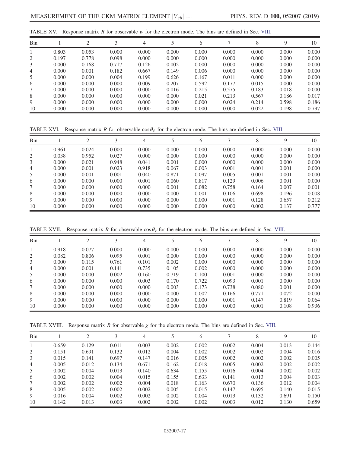<span id="page-16-0"></span>

| TABLE XV. Response matrix R for observable w for the electron mode. The bins are defined in Sec. VIII. |  |
|--------------------------------------------------------------------------------------------------------|--|
|--------------------------------------------------------------------------------------------------------|--|

| Bin |       | 2     | 3     | 4     |       | 6     |       | 8     | 9     | 10    |
|-----|-------|-------|-------|-------|-------|-------|-------|-------|-------|-------|
|     | 0.803 | 0.053 | 0.000 | 0.000 | 0.000 | 0.000 | 0.000 | 0.000 | 0.000 | 0.000 |
| 2   | 0.197 | 0.778 | 0.098 | 0.000 | 0.000 | 0.000 | 0.000 | 0.000 | 0.000 | 0.000 |
| 3   | 0.000 | 0.168 | 0.717 | 0.126 | 0.002 | 0.000 | 0.000 | 0.000 | 0.000 | 0.000 |
| 4   | 0.000 | 0.001 | 0.182 | 0.667 | 0.149 | 0.006 | 0.000 | 0.000 | 0.000 | 0.000 |
| 5   | 0.000 | 0.000 | 0.004 | 0.199 | 0.626 | 0.167 | 0.011 | 0.000 | 0.000 | 0.000 |
| 6   | 0.000 | 0.000 | 0.000 | 0.009 | 0.207 | 0.592 | 0.177 | 0.015 | 0.000 | 0.000 |
|     | 0.000 | 0.000 | 0.000 | 0.000 | 0.016 | 0.215 | 0.575 | 0.183 | 0.018 | 0.000 |
| 8   | 0.000 | 0.000 | 0.000 | 0.000 | 0.000 | 0.021 | 0.213 | 0.567 | 0.186 | 0.017 |
| 9   | 0.000 | 0.000 | 0.000 | 0.000 | 0.000 | 0.000 | 0.024 | 0.214 | 0.598 | 0.186 |
| 10  | 0.000 | 0.000 | 0.000 | 0.000 | 0.000 | 0.000 | 0.000 | 0.022 | 0.198 | 0.797 |

TABLE XVI. Response matrix R for observable  $\cos \theta_{\ell}$  for the electron mode. The bins are defined in Sec. [VIII.](#page-13-1)

| Bin |       | ↑     | 3     | 4     |       | 6     |       | 8     | 9     | 10    |
|-----|-------|-------|-------|-------|-------|-------|-------|-------|-------|-------|
|     | 0.961 | 0.024 | 0.000 | 0.000 | 0.000 | 0.000 | 0.000 | 0.000 | 0.000 | 0.000 |
| 2   | 0.038 | 0.952 | 0.027 | 0.000 | 0.000 | 0.000 | 0.000 | 0.000 | 0.000 | 0.000 |
| 3   | 0.000 | 0.021 | 0.948 | 0.041 | 0.001 | 0.000 | 0.000 | 0.000 | 0.000 | 0.000 |
| 4   | 0.000 | 0.001 | 0.023 | 0.918 | 0.067 | 0.003 | 0.001 | 0.001 | 0.001 | 0.000 |
| 5   | 0.000 | 0.001 | 0.001 | 0.040 | 0.871 | 0.097 | 0.005 | 0.001 | 0.001 | 0.000 |
| 6   | 0.000 | 0.000 | 0.000 | 0.001 | 0.060 | 0.817 | 0.129 | 0.006 | 0.001 | 0.000 |
| 7   | 0.000 | 0.000 | 0.000 | 0.000 | 0.001 | 0.082 | 0.758 | 0.164 | 0.007 | 0.001 |
| 8   | 0.000 | 0.000 | 0.000 | 0.000 | 0.000 | 0.001 | 0.106 | 0.698 | 0.196 | 0.008 |
| 9   | 0.000 | 0.000 | 0.000 | 0.000 | 0.000 | 0.000 | 0.001 | 0.128 | 0.657 | 0.212 |
| 10  | 0.000 | 0.000 | 0.000 | 0.000 | 0.000 | 0.000 | 0.000 | 0.002 | 0.137 | 0.777 |

TABLE XVII. Response matrix R for observable  $\cos \theta_v$  for the electron mode. The bins are defined in Sec. [VIII.](#page-13-1)

| Bin |       |       | 3     | 4     |       | 6     |       | 8     | 9     | 10    |
|-----|-------|-------|-------|-------|-------|-------|-------|-------|-------|-------|
|     | 0.918 | 0.077 | 0.000 | 0.000 | 0.000 | 0.000 | 0.000 | 0.000 | 0.000 | 0.000 |
| 2   | 0.082 | 0.806 | 0.095 | 0.001 | 0.000 | 0.000 | 0.000 | 0.000 | 0.000 | 0.000 |
| 3   | 0.000 | 0.115 | 0.761 | 0.101 | 0.002 | 0.000 | 0.000 | 0.000 | 0.000 | 0.000 |
| 4   | 0.000 | 0.001 | 0.141 | 0.735 | 0.105 | 0.002 | 0.000 | 0.000 | 0.000 | 0.000 |
| 5   | 0.000 | 0.000 | 0.002 | 0.160 | 0.719 | 0.100 | 0.001 | 0.000 | 0.000 | 0.000 |
| 6   | 0.000 | 0.000 | 0.000 | 0.003 | 0.170 | 0.722 | 0.093 | 0.001 | 0.000 | 0.000 |
|     | 0.000 | 0.000 | 0.000 | 0.000 | 0.003 | 0.173 | 0.738 | 0.080 | 0.001 | 0.000 |
| 8   | 0.000 | 0.000 | 0.000 | 0.000 | 0.000 | 0.002 | 0.166 | 0.771 | 0.072 | 0.000 |
| 9   | 0.000 | 0.000 | 0.000 | 0.000 | 0.000 | 0.000 | 0.001 | 0.147 | 0.819 | 0.064 |
| 10  | 0.000 | 0.000 | 0.000 | 0.000 | 0.000 | 0.000 | 0.000 | 0.001 | 0.108 | 0.936 |

TABLE X[VIII.](#page-13-1) Response matrix R for observable  $\chi$  for the electron mode. The bins are defined in Sec. VIII.

| Bin            |       | ↑     |       | 4     |       | 6     |       | 8     | 9     | 10    |
|----------------|-------|-------|-------|-------|-------|-------|-------|-------|-------|-------|
|                | 0.659 | 0.129 | 0.011 | 0.003 | 0.002 | 0.002 | 0.002 | 0.004 | 0.013 | 0.144 |
| 2              | 0.151 | 0.691 | 0.132 | 0.012 | 0.004 | 0.002 | 0.002 | 0.002 | 0.004 | 0.016 |
| 3              | 0.015 | 0.141 | 0.697 | 0.147 | 0.016 | 0.005 | 0.002 | 0.002 | 0.002 | 0.005 |
| $\overline{4}$ | 0.005 | 0.012 | 0.134 | 0.671 | 0.162 | 0.018 | 0.005 | 0.002 | 0.002 | 0.002 |
| 5              | 0.002 | 0.004 | 0.013 | 0.140 | 0.634 | 0.155 | 0.016 | 0.004 | 0.002 | 0.002 |
| 6              | 0.002 | 0.002 | 0.004 | 0.015 | 0.155 | 0.633 | 0.141 | 0.013 | 0.004 | 0.003 |
| 7              | 0.002 | 0.002 | 0.002 | 0.004 | 0.018 | 0.163 | 0.670 | 0.136 | 0.012 | 0.004 |
| 8              | 0.005 | 0.002 | 0.002 | 0.002 | 0.005 | 0.015 | 0.147 | 0.695 | 0.140 | 0.015 |
| 9              | 0.016 | 0.004 | 0.002 | 0.002 | 0.002 | 0.004 | 0.013 | 0.132 | 0.691 | 0.150 |
| 10             | 0.142 | 0.013 | 0.003 | 0.002 | 0.002 | 0.002 | 0.003 | 0.012 | 0.130 | 0.659 |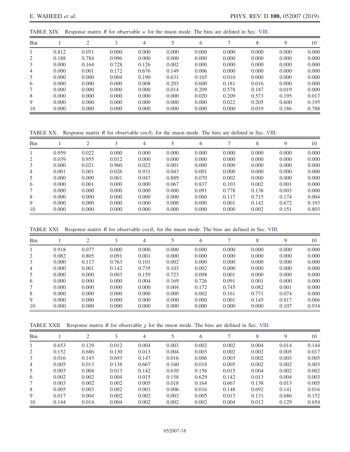<span id="page-17-0"></span>TABLE XIX. Response matrix R for observable w for the muon mode. The bins are defined in Sec. [VIII](#page-13-1).

| Bin |       | $\bigcirc$ | 3     | 4     | 5     | 6     |       | 8     | 9     | 10    |
|-----|-------|------------|-------|-------|-------|-------|-------|-------|-------|-------|
|     | 0.812 | 0.051      | 0.000 | 0.000 | 0.000 | 0.000 | 0.000 | 0.000 | 0.000 | 0.000 |
| 2   | 0.188 | 0.784      | 0.096 | 0.000 | 0.000 | 0.000 | 0.000 | 0.000 | 0.000 | 0.000 |
| 3   | 0.000 | 0.164      | 0.728 | 0.126 | 0.002 | 0.000 | 0.000 | 0.000 | 0.000 | 0.000 |
| 4   | 0.000 | 0.001      | 0.172 | 0.676 | 0.149 | 0.006 | 0.000 | 0.000 | 0.000 | 0.000 |
| 5   | 0.000 | 0.000      | 0.004 | 0.190 | 0.631 | 0.165 | 0.010 | 0.000 | 0.000 | 0.000 |
| 6   | 0.000 | 0.000      | 0.000 | 0.008 | 0.203 | 0.600 | 0.181 | 0.016 | 0.000 | 0.000 |
|     | 0.000 | 0.000      | 0.000 | 0.000 | 0.014 | 0.209 | 0.578 | 0.187 | 0.019 | 0.000 |
| 8   | 0.000 | 0.000      | 0.000 | 0.000 | 0.000 | 0.020 | 0.209 | 0.573 | 0.195 | 0.017 |
| 9   | 0.000 | 0.000      | 0.000 | 0.000 | 0.000 | 0.000 | 0.022 | 0.205 | 0.600 | 0.195 |
| 10  | 0.000 | 0.000      | 0.000 | 0.000 | 0.000 | 0.000 | 0.000 | 0.019 | 0.186 | 0.788 |

TABLE XX. Response matrix R for observable  $\cos \theta_{\ell}$  for the muon mode. The bins are defined in Sec. [VIII](#page-13-1).

| Bin |       |       | 3     | 4     |       | $\mathfrak b$ |       | 8     | 9     | 10    |
|-----|-------|-------|-------|-------|-------|---------------|-------|-------|-------|-------|
|     | 0.959 | 0.022 | 0.000 | 0.000 | 0.000 | 0.000         | 0.000 | 0.000 | 0.000 | 0.000 |
| 2   | 0.039 | 0.955 | 0.012 | 0.000 | 0.000 | 0.000         | 0.000 | 0.000 | 0.000 | 0.000 |
| 3   | 0.000 | 0.021 | 0.960 | 0.022 | 0.001 | 0.000         | 0.000 | 0.000 | 0.000 | 0.000 |
| 4   | 0.001 | 0.001 | 0.026 | 0.931 | 0.043 | 0.001         | 0.000 | 0.000 | 0.000 | 0.000 |
| 5   | 0.000 | 0.000 | 0.001 | 0.047 | 0.889 | 0.070         | 0.002 | 0.000 | 0.000 | 0.000 |
| 6   | 0.000 | 0.001 | 0.000 | 0.000 | 0.067 | 0.837         | 0.103 | 0.002 | 0.001 | 0.000 |
|     | 0.000 | 0.000 | 0.000 | 0.000 | 0.000 | 0.091         | 0.778 | 0.138 | 0.003 | 0.000 |
| 8   | 0.000 | 0.000 | 0.000 | 0.000 | 0.000 | 0.000         | 0.117 | 0.715 | 0.174 | 0.004 |
| 9   | 0.000 | 0.000 | 0.000 | 0.000 | 0.000 | 0.000         | 0.001 | 0.142 | 0.672 | 0.193 |
| 10  | 0.000 | 0.000 | 0.000 | 0.000 | 0.000 | 0.000         | 0.000 | 0.002 | 0.151 | 0.803 |

TABLE XXI. Response matrix R for observable  $\cos \theta$  for the muon mode. The bins are defined in Sec. [VIII.](#page-13-1)

| Bin |       | ◠     | 3     | 4     |       | 6     |       | 8     | 9     | 10    |
|-----|-------|-------|-------|-------|-------|-------|-------|-------|-------|-------|
|     | 0.918 | 0.077 | 0.000 | 0.000 | 0.000 | 0.000 | 0.000 | 0.000 | 0.000 | 0.000 |
| 2   | 0.082 | 0.805 | 0.091 | 0.001 | 0.000 | 0.000 | 0.000 | 0.000 | 0.000 | 0.000 |
| 3   | 0.000 | 0.117 | 0.763 | 0.101 | 0.002 | 0.000 | 0.000 | 0.000 | 0.000 | 0.000 |
| 4   | 0.000 | 0.001 | 0.142 | 0.735 | 0.103 | 0.002 | 0.000 | 0.000 | 0.000 | 0.000 |
| 5   | 0.000 | 0.000 | 0.003 | 0.159 | 0.723 | 0.098 | 0.001 | 0.000 | 0.000 | 0.000 |
| 6   | 0.000 | 0.000 | 0.000 | 0.004 | 0.169 | 0.726 | 0.091 | 0.001 | 0.000 | 0.000 |
| 7   | 0.000 | 0.000 | 0.000 | 0.000 | 0.004 | 0.172 | 0.745 | 0.082 | 0.001 | 0.000 |
| 8   | 0.000 | 0.000 | 0.000 | 0.000 | 0.000 | 0.002 | 0.161 | 0.771 | 0.074 | 0.000 |
| 9   | 0.000 | 0.000 | 0.000 | 0.000 | 0.000 | 0.000 | 0.001 | 0.145 | 0.817 | 0.066 |
| 10  | 0.000 | 0.000 | 0.000 | 0.000 | 0.000 | 0.000 | 0.000 | 0.000 | 0.107 | 0.934 |

TABLE XXII. Response matrix R for observable  $\chi$  for the muon mode. The bins are defined in Sec. [VIII.](#page-13-1)

| Bin            |       | ↑     |       | 4     |       | 6     |       | 8     | 9     | 10    |
|----------------|-------|-------|-------|-------|-------|-------|-------|-------|-------|-------|
|                | 0.653 | 0.129 | 0.012 | 0.004 | 0.003 | 0.002 | 0.002 | 0.004 | 0.014 | 0.144 |
| 2              | 0.152 | 0.686 | 0.130 | 0.013 | 0.004 | 0.003 | 0.002 | 0.002 | 0.005 | 0.017 |
| 3              | 0.016 | 0.143 | 0.693 | 0.147 | 0.016 | 0.006 | 0.003 | 0.002 | 0.003 | 0.005 |
| $\overline{4}$ | 0.005 | 0.013 | 0.138 | 0.667 | 0.160 | 0.018 | 0.005 | 0.002 | 0.002 | 0.003 |
| 5              | 0.003 | 0.004 | 0.013 | 0.142 | 0.630 | 0.156 | 0.015 | 0.004 | 0.002 | 0.002 |
| 6              | 0.002 | 0.002 | 0.004 | 0.015 | 0.158 | 0.629 | 0.142 | 0.013 | 0.004 | 0.003 |
| 7              | 0.003 | 0.002 | 0.002 | 0.005 | 0.018 | 0.164 | 0.667 | 0.138 | 0.013 | 0.005 |
| 8              | 0.005 | 0.003 | 0.002 | 0.003 | 0.006 | 0.016 | 0.148 | 0.692 | 0.141 | 0.016 |
| 9              | 0.017 | 0.004 | 0.002 | 0.002 | 0.003 | 0.005 | 0.013 | 0.131 | 0.686 | 0.152 |
| 10             | 0.144 | 0.014 | 0.004 | 0.002 | 0.002 | 0.002 | 0.004 | 0.012 | 0.129 | 0.654 |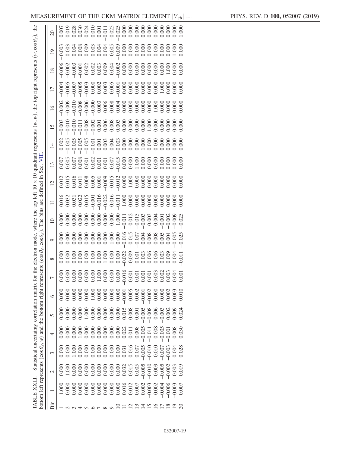<span id="page-18-0"></span>

| quadrant represents $(w, w)$ , the top right represents $(w, \cos \theta_e)$ , the<br>$\overline{0}$<br>$\overline{18}$<br>$\Box$<br>$\overline{16}$<br>$\overline{15}$<br>$\overline{4}$<br>The bins are defined in Sec.<br>Statistical uncertainty correlation matrix for the electron mode, where the top left $10 \times 10$<br>$\overline{12}$<br>resents $(\cos \theta_e, \cos \theta_e)$<br>$\circ$<br>${}^{\infty}$<br>bottom left represents ( $cos \theta_{\ell}$ , w) and the bottom right repr<br>0.002<br>0.000<br>1.000<br>0.000<br>0.002<br>0.006<br>0.00<br>0.00<br>$-0.00$<br>0.00<br>৩<br>$-0.008$<br>0.008<br>$-0.005$<br>0.015<br>0.005<br>000(<br>0.0000<br>0.000<br>0.000<br>0.00<br>1.00<br>0.000<br>0.000<br>0.00<br>0.000<br>5<br>0.008<br>0.030<br>0.008<br>0.0000<br>0.028<br>0.004<br>$-0.005$<br>0.000<br>0.031<br>0.016<br>$\rm \tilde{S}$<br>1.000<br>0.000<br>0.00<br>0.000<br>0.003<br>0.032<br>0.015<br>$0.00^{4}$<br>0.000<br>0.000<br>0.000<br>0.008<br>0.000<br>0.000<br>0.00<br>$\mathrel{\sim}$<br><b>TABLE XXIII.</b><br>$-0.003$<br>0.007<br>0.016<br>0.000<br>0.012<br>0.00<br>0.000<br>0.00<br>0.000<br>0.00<br>0.00<br>0.000<br>0.000 |     |  |
|-----------------------------------------------------------------------------------------------------------------------------------------------------------------------------------------------------------------------------------------------------------------------------------------------------------------------------------------------------------------------------------------------------------------------------------------------------------------------------------------------------------------------------------------------------------------------------------------------------------------------------------------------------------------------------------------------------------------------------------------------------------------------------------------------------------------------------------------------------------------------------------------------------------------------------------------------------------------------------------------------------------------------------------------------------------------------------------------------------------------------------------------------------------------------------------|-----|--|
|                                                                                                                                                                                                                                                                                                                                                                                                                                                                                                                                                                                                                                                                                                                                                                                                                                                                                                                                                                                                                                                                                                                                                                                   |     |  |
|                                                                                                                                                                                                                                                                                                                                                                                                                                                                                                                                                                                                                                                                                                                                                                                                                                                                                                                                                                                                                                                                                                                                                                                   |     |  |
|                                                                                                                                                                                                                                                                                                                                                                                                                                                                                                                                                                                                                                                                                                                                                                                                                                                                                                                                                                                                                                                                                                                                                                                   |     |  |
|                                                                                                                                                                                                                                                                                                                                                                                                                                                                                                                                                                                                                                                                                                                                                                                                                                                                                                                                                                                                                                                                                                                                                                                   |     |  |
|                                                                                                                                                                                                                                                                                                                                                                                                                                                                                                                                                                                                                                                                                                                                                                                                                                                                                                                                                                                                                                                                                                                                                                                   |     |  |
|                                                                                                                                                                                                                                                                                                                                                                                                                                                                                                                                                                                                                                                                                                                                                                                                                                                                                                                                                                                                                                                                                                                                                                                   |     |  |
|                                                                                                                                                                                                                                                                                                                                                                                                                                                                                                                                                                                                                                                                                                                                                                                                                                                                                                                                                                                                                                                                                                                                                                                   |     |  |
|                                                                                                                                                                                                                                                                                                                                                                                                                                                                                                                                                                                                                                                                                                                                                                                                                                                                                                                                                                                                                                                                                                                                                                                   |     |  |
|                                                                                                                                                                                                                                                                                                                                                                                                                                                                                                                                                                                                                                                                                                                                                                                                                                                                                                                                                                                                                                                                                                                                                                                   |     |  |
|                                                                                                                                                                                                                                                                                                                                                                                                                                                                                                                                                                                                                                                                                                                                                                                                                                                                                                                                                                                                                                                                                                                                                                                   |     |  |
|                                                                                                                                                                                                                                                                                                                                                                                                                                                                                                                                                                                                                                                                                                                                                                                                                                                                                                                                                                                                                                                                                                                                                                                   |     |  |
|                                                                                                                                                                                                                                                                                                                                                                                                                                                                                                                                                                                                                                                                                                                                                                                                                                                                                                                                                                                                                                                                                                                                                                                   |     |  |
|                                                                                                                                                                                                                                                                                                                                                                                                                                                                                                                                                                                                                                                                                                                                                                                                                                                                                                                                                                                                                                                                                                                                                                                   |     |  |
|                                                                                                                                                                                                                                                                                                                                                                                                                                                                                                                                                                                                                                                                                                                                                                                                                                                                                                                                                                                                                                                                                                                                                                                   |     |  |
|                                                                                                                                                                                                                                                                                                                                                                                                                                                                                                                                                                                                                                                                                                                                                                                                                                                                                                                                                                                                                                                                                                                                                                                   |     |  |
|                                                                                                                                                                                                                                                                                                                                                                                                                                                                                                                                                                                                                                                                                                                                                                                                                                                                                                                                                                                                                                                                                                                                                                                   |     |  |
|                                                                                                                                                                                                                                                                                                                                                                                                                                                                                                                                                                                                                                                                                                                                                                                                                                                                                                                                                                                                                                                                                                                                                                                   |     |  |
|                                                                                                                                                                                                                                                                                                                                                                                                                                                                                                                                                                                                                                                                                                                                                                                                                                                                                                                                                                                                                                                                                                                                                                                   |     |  |
|                                                                                                                                                                                                                                                                                                                                                                                                                                                                                                                                                                                                                                                                                                                                                                                                                                                                                                                                                                                                                                                                                                                                                                                   |     |  |
|                                                                                                                                                                                                                                                                                                                                                                                                                                                                                                                                                                                                                                                                                                                                                                                                                                                                                                                                                                                                                                                                                                                                                                                   | Bin |  |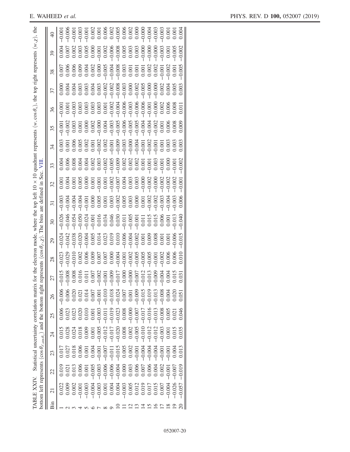|     | TABLE XXIV.                                   |          |                                               |                  |          | bottom left represents ( $\cos \theta_{\ell, \cos \theta_k}$ ) and the bottom right represents ( $\cos \theta_{\ell, \ell}$ ). The bins<br>Statistical uncertainty correlation matrix f |                   | or the electron mode,                        |                         | where the top left       | defined<br>are  | Sec.<br>$\Xi$ | 買  |                                                        | 10 × 10 quadrant represents (w, cos $\theta_v$ ), the top right represents (w, $\chi$ ), the |      |       |       |    |               |
|-----|-----------------------------------------------|----------|-----------------------------------------------|------------------|----------|-----------------------------------------------------------------------------------------------------------------------------------------------------------------------------------------|-------------------|----------------------------------------------|-------------------------|--------------------------|-----------------|---------------|----|--------------------------------------------------------|----------------------------------------------------------------------------------------------|------|-------|-------|----|---------------|
| Bin | $\overline{\Omega}$                           | 22       | 23                                            | $^{24}$          | 25       | 26                                                                                                                                                                                      | 27                | 28                                           | 29                      | $\overline{\mathcal{E}}$ | $\overline{31}$ | 32            | 33 | 34                                                     | 35                                                                                           | 36   | 37    | 38    | 39 | $\frac{1}{2}$ |
|     |                                               | 0.019    | 0.01                                          | $0.01\,$         | 0.006    | $-0.006$                                                                                                                                                                                | 015<br>$\bigcap$  | $-0.023$                                     | $-0.024$                |                          |                 |               |    |                                                        |                                                                                              |      |       |       |    | $-0.00$       |
|     |                                               | 0.021    |                                               |                  |          |                                                                                                                                                                                         | $\frac{80}{8}$    | $-0.029$                                     |                         |                          |                 |               |    |                                                        |                                                                                              |      |       |       |    |               |
|     | 0.002                                         | 0.013    | $\begin{array}{c} 0.027 \\ 0.018 \end{array}$ | $0.028$<br>0.024 | 0.023    |                                                                                                                                                                                         |                   | $-0.010$                                     |                         |                          |                 |               |    |                                                        |                                                                                              |      |       |       |    |               |
|     | 0.00                                          |          | 0.006                                         | 0.018            | 0.020    |                                                                                                                                                                                         | $006$<br>$015$    | 0.002                                        |                         |                          |                 |               |    |                                                        |                                                                                              |      |       |       |    |               |
|     | $-0.003$                                      | 0.001    | 0.001                                         | 0.009            | 0.010    | 0.01 <sup>2</sup>                                                                                                                                                                       |                   | 0.006                                        |                         |                          |                 |               |    |                                                        |                                                                                              |      |       |       |    |               |
|     | $-0.004$                                      | $-0.005$ | 0.004                                         | 0.00             | 0.00     | 0.00                                                                                                                                                                                    | $rac{2}{6}$       |                                              |                         |                          |                 |               |    |                                                        |                                                                                              |      |       |       |    |               |
|     | $-0.003$                                      | $-0.003$ | $-0.00$                                       | $-0.005$         | 0.003    | $-0.00$                                                                                                                                                                                 |                   |                                              |                         |                          |                 |               |    |                                                        |                                                                                              |      |       |       |    |               |
|     | 0.001                                         | $-0.006$ | $-0.007$                                      | $-0.012$         | $-0.011$ | $-0.01$                                                                                                                                                                                 | $\overline{00}$   |                                              |                         |                          |                 |               |    |                                                        |                                                                                              |      |       |       |    |               |
|     | 0.004                                         | $-0.006$ | $-0.011$                                      | $-0.017$         | $-0.019$ | $-0.018$                                                                                                                                                                                |                   | 0.000<br>0.000<br>0.0000<br>0.000            |                         |                          |                 |               |    |                                                        |                                                                                              |      |       |       |    |               |
|     | 0.004                                         | $-0.004$ | $-0.015$                                      | $-0.020$         | $-0.023$ | $-0.024$                                                                                                                                                                                | 000<br>710<br>000 |                                              |                         |                          |                 |               |    |                                                        |                                                                                              |      |       |       |    |               |
|     | $-0.003$                                      | 0.000    | $\begin{array}{c} 0.005 \\ 0.002 \end{array}$ | 0.008<br>0.002   | 0.008    | 0.007                                                                                                                                                                                   |                   |                                              |                         |                          |                 |               |    |                                                        |                                                                                              |      |       |       |    |               |
|     | 0.005                                         | 0.003    |                                               |                  | $-0.000$ | 0.00                                                                                                                                                                                    | $\overline{000}$  |                                              |                         |                          |                 |               |    |                                                        |                                                                                              |      |       |       |    |               |
|     | $\begin{array}{c} 0.012 \\ 0.019 \end{array}$ | 0.006    | $-0.001$                                      | $-0.005$         | $-0.007$ | $-0.009$                                                                                                                                                                                | 007               |                                              |                         |                          |                 |               |    |                                                        |                                                                                              |      |       |       |    |               |
|     |                                               | 0.007    | $-0.004$                                      | $-0.01$          | $-0.017$ | $-0.015$                                                                                                                                                                                | 012               | $-0.001$<br>$-0.002$<br>$-0.005$<br>$-0.005$ |                         |                          |                 |               |    |                                                        |                                                                                              |      |       |       |    |               |
|     | 0.017                                         | 0.006    | $-0.004$                                      | $-0.012$         | $-0.016$ | $-0.019$                                                                                                                                                                                | 013               | $-0.005$                                     | 0.000<br>0.000<br>0.000 |                          |                 |               |    |                                                        |                                                                                              |      |       |       |    |               |
|     | 0.015                                         | 0.004    | $-0.004$                                      |                  | $-0.013$ |                                                                                                                                                                                         | 009               |                                              |                         |                          |                 |               |    |                                                        |                                                                                              |      |       |       |    |               |
|     | 0.007                                         | 0.002    |                                               |                  |          |                                                                                                                                                                                         | 604               |                                              |                         |                          |                 |               |    |                                                        |                                                                                              |      |       |       |    |               |
|     |                                               |          | $-0.001$                                      | 0.001            | 0.005    |                                                                                                                                                                                         | $\mathfrak{A}$    |                                              |                         |                          |                 | $-0.002$      |    | $\begin{array}{c} 0.001 \\ 0.003 \\ 0.003 \end{array}$ |                                                                                              |      |       |       |    |               |
|     | 0.026                                         | $-0.007$ | 0.004                                         | 0.013            | 0.021    |                                                                                                                                                                                         | 015               | 0.006                                        | 0.006                   |                          |                 |               |    |                                                        |                                                                                              |      |       | 0.001 |    |               |
|     | 0.057                                         | $-0.019$ |                                               | 0.035            | 040      |                                                                                                                                                                                         | (50)              |                                              |                         |                          | 0.006           |               |    | 0.003                                                  |                                                                                              | 0.01 | 0.002 |       |    | 0.004         |
|     |                                               |          |                                               |                  |          |                                                                                                                                                                                         |                   |                                              |                         |                          |                 |               |    |                                                        |                                                                                              |      |       |       |    |               |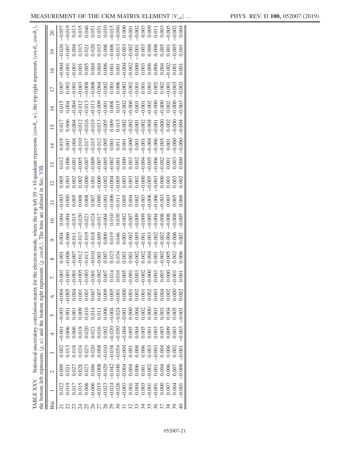|     | TABLE XXV.                                                    |                                                                                                                                                                                                                                                                                                     |          |         |          | Statistical uncertainty correlation matrix for the electron mode, where the top left |                |                              |         |               |          |                | 10 quadrant represents |                | $(\cos \theta_v, w)$ , the top right represents |                 |                 |                 | $(\cos\theta_{\rm v},$ | $\cos\theta_\ell)$ |
|-----|---------------------------------------------------------------|-----------------------------------------------------------------------------------------------------------------------------------------------------------------------------------------------------------------------------------------------------------------------------------------------------|----------|---------|----------|--------------------------------------------------------------------------------------|----------------|------------------------------|---------|---------------|----------|----------------|------------------------|----------------|-------------------------------------------------|-----------------|-----------------|-----------------|------------------------|--------------------|
|     | the bottom left represents $(x, w)$ and the bottom right repr |                                                                                                                                                                                                                                                                                                     |          |         |          |                                                                                      | esents         | $(\chi, \cos \theta_{\ell})$ | The     | are<br>bins   | defined  | Sec.<br>目      |                        |                |                                                 |                 |                 |                 |                        |                    |
| Bin |                                                               | $\mathcal{L}$                                                                                                                                                                                                                                                                                       |          | 4       | 5        | $\circ$                                                                              | 7              | $\infty$                     | $\circ$ | $\frac{1}{2}$ | $\equiv$ | $\overline{5}$ | $\Xi$                  | $\overline{4}$ | $\overline{15}$                                 | $\overline{16}$ | $\overline{17}$ | $\overline{18}$ | $\overline{0}$         |                    |
|     |                                                               | 0.009                                                                                                                                                                                                                                                                                               |          | $-0.00$ | $-0.003$ | $-0.004$                                                                             |                | 0.00                         |         |               |          |                |                        |                |                                                 |                 |                 |                 |                        |                    |
|     |                                                               |                                                                                                                                                                                                                                                                                                     |          |         |          |                                                                                      |                |                              |         |               |          |                |                        |                |                                                 |                 |                 |                 |                        |                    |
|     |                                                               |                                                                                                                                                                                                                                                                                                     |          |         |          |                                                                                      |                |                              |         |               |          |                |                        |                |                                                 |                 |                 |                 |                        |                    |
|     |                                                               | $\begin{array}{l} 0.027 \\ 0.027 \\ 0.038 \\ 0.000 \\ 0.000 \\ 0.000 \\ 0.000 \\ 0.000 \\ 0.000 \\ 0.000 \\ 0.000 \\ 0.000 \\ 0.000 \\ 0.000 \\ 0.000 \\ 0.000 \\ 0.000 \\ 0.000 \\ 0.000 \\ 0.000 \\ 0.000 \\ 0.000 \\ 0.000 \\ 0.000 \\ 0.000 \\ 0.000 \\ 0.000 \\ 0.000 \\ 0.000 \\ 0.000 \\ 0.$ |          |         |          |                                                                                      |                |                              |         |               |          |                |                        |                |                                                 |                 |                 |                 |                        |                    |
|     |                                                               |                                                                                                                                                                                                                                                                                                     |          |         |          |                                                                                      |                |                              |         |               |          |                |                        |                |                                                 |                 |                 |                 |                        |                    |
|     |                                                               |                                                                                                                                                                                                                                                                                                     |          |         |          |                                                                                      |                |                              |         |               |          |                |                        |                |                                                 |                 |                 |                 |                        |                    |
|     |                                                               |                                                                                                                                                                                                                                                                                                     |          |         |          |                                                                                      |                |                              |         |               |          |                |                        |                |                                                 |                 |                 |                 |                        |                    |
|     |                                                               |                                                                                                                                                                                                                                                                                                     |          |         |          |                                                                                      |                |                              |         |               |          |                |                        |                |                                                 |                 |                 |                 |                        |                    |
|     |                                                               |                                                                                                                                                                                                                                                                                                     |          |         |          |                                                                                      |                |                              |         |               |          |                |                        |                |                                                 |                 |                 |                 |                        |                    |
|     |                                                               |                                                                                                                                                                                                                                                                                                     |          |         |          |                                                                                      |                |                              |         |               |          |                |                        |                |                                                 |                 |                 |                 |                        |                    |
|     |                                                               |                                                                                                                                                                                                                                                                                                     |          |         |          |                                                                                      |                |                              |         |               |          |                |                        |                |                                                 |                 |                 |                 |                        |                    |
|     |                                                               |                                                                                                                                                                                                                                                                                                     |          |         |          |                                                                                      |                |                              |         |               |          |                |                        |                |                                                 |                 |                 |                 |                        |                    |
|     |                                                               |                                                                                                                                                                                                                                                                                                     |          |         |          |                                                                                      |                |                              |         |               |          |                |                        |                |                                                 |                 |                 |                 |                        |                    |
|     |                                                               |                                                                                                                                                                                                                                                                                                     |          |         |          |                                                                                      |                |                              |         |               |          |                |                        |                |                                                 |                 |                 |                 |                        |                    |
|     |                                                               |                                                                                                                                                                                                                                                                                                     |          |         |          |                                                                                      |                |                              |         |               |          |                |                        |                |                                                 |                 |                 |                 |                        |                    |
|     |                                                               |                                                                                                                                                                                                                                                                                                     | $-0.003$ |         |          |                                                                                      | $\ddot{\circ}$ |                              |         |               |          |                |                        |                |                                                 |                 |                 |                 |                        |                    |
|     |                                                               | 0.004                                                                                                                                                                                                                                                                                               |          |         |          | 0.004                                                                                |                | 0.002                        |         |               |          |                |                        |                |                                                 |                 |                 |                 |                        |                    |
|     |                                                               |                                                                                                                                                                                                                                                                                                     | 0.006    |         |          | 0.002                                                                                |                | 0.005                        |         |               |          |                |                        |                |                                                 |                 |                 |                 |                        |                    |
|     |                                                               | 0.007                                                                                                                                                                                                                                                                                               | 0.002    | 0.003   |          | 0.000                                                                                |                | 0.002                        |         |               |          |                |                        |                |                                                 |                 |                 |                 |                        |                    |
|     |                                                               | $-0.006$                                                                                                                                                                                                                                                                                            |          | 0.003   |          |                                                                                      |                |                              |         |               |          |                |                        |                |                                                 |                 | $-0.002$        |                 |                        |                    |
|     |                                                               |                                                                                                                                                                                                                                                                                                     |          |         |          |                                                                                      |                |                              |         |               |          |                |                        |                |                                                 |                 |                 |                 |                        |                    |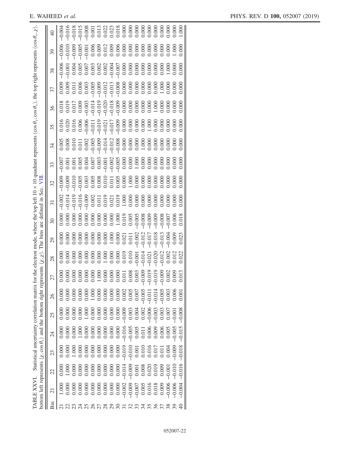| 10 quadrant represents (cos $\theta_v$ , cos $\theta_v$ ), the top right represents (cos $\theta_v$ , $\chi$ ) | 39                       |        |       |       |       |  |                                  |  |          |       |                                        |          |          |             |       |                         |          |  |
|----------------------------------------------------------------------------------------------------------------|--------------------------|--------|-------|-------|-------|--|----------------------------------|--|----------|-------|----------------------------------------|----------|----------|-------------|-------|-------------------------|----------|--|
|                                                                                                                | 38                       |        |       |       |       |  |                                  |  |          |       |                                        |          |          |             |       |                         |          |  |
|                                                                                                                | 37                       |        |       |       |       |  |                                  |  |          |       |                                        |          |          |             |       |                         |          |  |
|                                                                                                                | 36                       |        |       |       |       |  |                                  |  |          |       |                                        |          |          |             |       |                         |          |  |
|                                                                                                                | 35                       |        |       |       |       |  |                                  |  |          |       |                                        |          |          |             |       |                         |          |  |
|                                                                                                                | 34                       |        |       |       |       |  |                                  |  |          |       |                                        |          |          |             |       |                         |          |  |
|                                                                                                                | 33                       |        |       |       |       |  |                                  |  |          |       |                                        |          |          |             |       |                         |          |  |
| $\frac{10}{10}$<br>Sec.                                                                                        | 32                       |        |       |       |       |  |                                  |  |          |       |                                        |          |          |             |       |                         |          |  |
| $\Xi$                                                                                                          | $\overline{\mathcal{E}}$ |        |       |       |       |  |                                  |  |          |       |                                        |          |          |             |       |                         |          |  |
| defined<br>are                                                                                                 | 30                       |        |       |       |       |  |                                  |  |          |       |                                        |          |          |             |       |                         |          |  |
| or the electron mode, where the top left<br>bins<br>The                                                        | 29                       |        |       |       |       |  |                                  |  |          |       |                                        |          |          |             |       |                         |          |  |
| $(\chi, \chi)$                                                                                                 | 28                       |        |       |       |       |  |                                  |  |          |       |                                        |          |          |             |       |                         |          |  |
| resents                                                                                                        | 27                       | $00$ . | 000.  |       |       |  |                                  |  |          |       |                                        |          |          | $rac{5}{6}$ |       | $0.009$<br>$0.13$       |          |  |
| Statistical uncertainty correlation matrix f<br>right rep                                                      | 26                       |        |       |       |       |  |                                  |  |          |       | 0.005                                  | $-0.01$  | $-0.014$ | 0.005       | 0.003 | $\widetilde{\rm 0.000}$ | 0.00     |  |
| the bottom                                                                                                     | 25                       |        |       |       |       |  |                                  |  |          | 0.003 | 0.002                                  | $-0.006$ | $-0.003$ | 0.003       | 0.00  | 0.00                    | 0.008    |  |
|                                                                                                                | 24                       |        |       |       |       |  |                                  |  |          |       |                                        | 0.006    | 0.009    | 0.006       | 0.005 | 0.005                   | 0.015    |  |
|                                                                                                                | 23                       |        |       |       |       |  |                                  |  |          |       | 0.001                                  | 0.016    | 0.01     | 0.01        | 0.00  | 0.009                   | 0.018    |  |
|                                                                                                                | 22                       |        | 1.000 | 0.000 | 0.008 |  | 0.000<br>0.000<br>0.000<br>0.000 |  |          |       | $-0.014$<br>$-0.009$<br>0.001<br>0.001 | 0.020    | 0.019    | 0.009       | 0.00  | $-0.010$                | $-0.016$ |  |
| bottom left represents $(\chi, \cos \theta_v)$ and<br>ABLE XXVI.                                               | $\overline{c}$           |        |       |       |       |  |                                  |  | $-0.002$ |       | $-0.009$<br>$-0.007$<br>0.005          |          | 0.016    | 0.009       | 0.006 |                         |          |  |
|                                                                                                                | Bin                      |        |       |       |       |  |                                  |  |          |       |                                        |          |          |             |       |                         |          |  |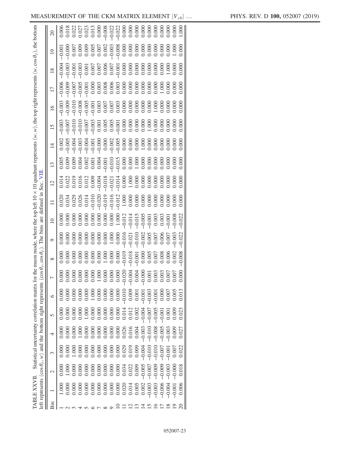<span id="page-22-0"></span>

| Statistical uncertainty correlation matrix for the muon mode, where the top left 10 x 10 quadrant represents $(w, w)$ , the top right represents $(w, cos \theta_{e})$ , the bottom | $\overline{0}$        |                                                                                                                                                                                                                                                                                             |  |                                                                       |  |  |  |       |       |          |          |                       |          |       |       |       |  |
|-------------------------------------------------------------------------------------------------------------------------------------------------------------------------------------|-----------------------|---------------------------------------------------------------------------------------------------------------------------------------------------------------------------------------------------------------------------------------------------------------------------------------------|--|-----------------------------------------------------------------------|--|--|--|-------|-------|----------|----------|-----------------------|----------|-------|-------|-------|--|
|                                                                                                                                                                                     | $\frac{8}{18}$        |                                                                                                                                                                                                                                                                                             |  |                                                                       |  |  |  |       |       |          |          |                       |          |       |       |       |  |
|                                                                                                                                                                                     | $\overline{17}$       |                                                                                                                                                                                                                                                                                             |  |                                                                       |  |  |  |       |       |          |          |                       |          |       |       |       |  |
|                                                                                                                                                                                     | $\overline{0}$        |                                                                                                                                                                                                                                                                                             |  |                                                                       |  |  |  |       |       |          |          |                       |          |       |       |       |  |
|                                                                                                                                                                                     | $\frac{15}{2}$        |                                                                                                                                                                                                                                                                                             |  |                                                                       |  |  |  |       |       |          |          |                       |          |       |       |       |  |
|                                                                                                                                                                                     | $\vert \vec{z} \vert$ |                                                                                                                                                                                                                                                                                             |  |                                                                       |  |  |  |       |       |          |          |                       |          |       |       |       |  |
|                                                                                                                                                                                     | $\frac{13}{2}$        |                                                                                                                                                                                                                                                                                             |  |                                                                       |  |  |  |       |       |          |          |                       |          |       |       |       |  |
| Sec.                                                                                                                                                                                | $\approx$             |                                                                                                                                                                                                                                                                                             |  |                                                                       |  |  |  |       |       |          |          |                       |          |       |       |       |  |
| defined in                                                                                                                                                                          |                       | $\begin{array}{l} 0.033 \\ 0.0338 \\ 0.0000 \\ 0.0000 \\ 0.0000 \\ 0.0000 \\ 0.0000 \\ 0.0000 \\ 0.0000 \\ 0.0000 \\ 0.0000 \\ 0.0000 \\ 0.0000 \\ 0.0000 \\ 0.0000 \\ 0.0000 \\ 0.0000 \\ 0.0000 \\ 0.0000 \\ 0.0000 \\ 0.0000 \\ 0.0000 \\ 0.0000 \\ 0.0000 \\ 0.0000 \\ 0.0000 \\ 0.000$ |  |                                                                       |  |  |  |       |       |          |          |                       |          |       |       |       |  |
| are                                                                                                                                                                                 |                       |                                                                                                                                                                                                                                                                                             |  |                                                                       |  |  |  |       |       |          |          |                       |          |       |       | 0.022 |  |
| The bins                                                                                                                                                                            | $\circ$               |                                                                                                                                                                                                                                                                                             |  |                                                                       |  |  |  |       |       |          |          |                       |          |       |       | 0.022 |  |
| $\cos\theta_{\ell}$ , $\cos\theta_{\ell}$ )                                                                                                                                         | ${}^{\infty}$         |                                                                                                                                                                                                                                                                                             |  |                                                                       |  |  |  |       |       |          |          |                       |          |       |       |       |  |
|                                                                                                                                                                                     |                       |                                                                                                                                                                                                                                                                                             |  | 88888888888888888888                                                  |  |  |  |       |       |          |          |                       |          |       |       |       |  |
|                                                                                                                                                                                     | ७                     |                                                                                                                                                                                                                                                                                             |  |                                                                       |  |  |  | 0.005 |       | $-0.00$  | $-0.00$  |                       |          |       |       |       |  |
|                                                                                                                                                                                     | 5                     | 0.000                                                                                                                                                                                                                                                                                       |  |                                                                       |  |  |  |       | 0.002 | $-0.004$ | $-0.007$ | $-0.00$ <sup>\$</sup> |          |       | 0.005 | 0.023 |  |
|                                                                                                                                                                                     |                       | 00(                                                                                                                                                                                                                                                                                         |  |                                                                       |  |  |  |       |       | $-0.003$ | $-0.01$  | $-0.008$              | $-0.005$ |       | 0.009 |       |  |
|                                                                                                                                                                                     | 3                     |                                                                                                                                                                                                                                                                                             |  |                                                                       |  |  |  |       | 0.009 | $-0.004$ | $-0.010$ | $-0.01$               |          |       | 0.007 |       |  |
|                                                                                                                                                                                     | $\sim$                |                                                                                                                                                                                                                                                                                             |  |                                                                       |  |  |  |       | 0.005 | 0.005    | $-0.007$ |                       |          | 0.003 | 0.000 | 0.018 |  |
| left represents ( $cos \theta_{\ell}$ , w) and the bottom right represents                                                                                                          |                       | $\sum$                                                                                                                                                                                                                                                                                      |  | 0.000<br>0.000 0.000 0.000<br>0.000 0.000 0.000<br>0.000 0.000 0.0014 |  |  |  |       | 0.005 | 0.002    | 0.003    |                       |          |       | 0.001 | 0.006 |  |
|                                                                                                                                                                                     | Bin                   |                                                                                                                                                                                                                                                                                             |  |                                                                       |  |  |  |       |       |          |          |                       |          |       |       |       |  |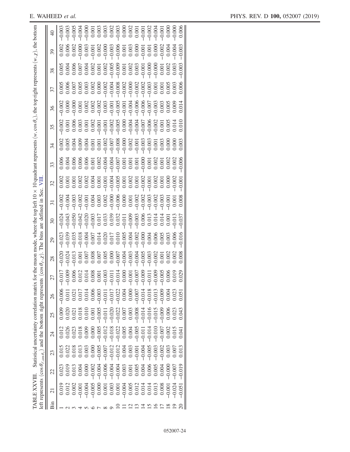|                                                                                                                                                  | $\overline{0}$  | $-0.003$<br>$-0.00$                                                                                                                                                                                                   |
|--------------------------------------------------------------------------------------------------------------------------------------------------|-----------------|-----------------------------------------------------------------------------------------------------------------------------------------------------------------------------------------------------------------------|
|                                                                                                                                                  | 39              | $-0.003$                                                                                                                                                                                                              |
|                                                                                                                                                  | 38              | 0.003                                                                                                                                                                                                                 |
|                                                                                                                                                  | 37              |                                                                                                                                                                                                                       |
| or the muon mode, where the top left $10 \times 10$ quadrant represents $(w, \cos \theta_v)$ , the top right represents $(w, \chi)$ , the bottom | 36              | 0.014                                                                                                                                                                                                                 |
|                                                                                                                                                  | 35              |                                                                                                                                                                                                                       |
|                                                                                                                                                  | 34              |                                                                                                                                                                                                                       |
|                                                                                                                                                  | 33              | 0.006                                                                                                                                                                                                                 |
| 貝                                                                                                                                                | 32              | 0.002<br>0.001                                                                                                                                                                                                        |
|                                                                                                                                                  | $\overline{31}$ |                                                                                                                                                                                                                       |
|                                                                                                                                                  | $\mathfrak{S}0$ | $-0.037$<br>$-0.024$                                                                                                                                                                                                  |
| . The bins are defined in Sec.                                                                                                                   | 29              | \$3<br>8333573835383838838<br>999000000000000000000<br>$-0.039$<br>0.006<br>$-0.023$                                                                                                                                  |
|                                                                                                                                                  | 28              | 3003<br>10000<br>10000<br>$-0.003$<br>0.008<br>$-0.013$<br>0.001<br>$0.008$<br>0.007<br>0.000<br>0.000<br>0.007<br>$0.002$<br>0.002<br>$-0.024$<br>$-0.020$<br>0.007<br>$-0.002$<br>0.001                             |
| $(\cos\theta_{\ell}, \chi)$                                                                                                                      |                 | .029<br>000<br>606<br>$\frac{014}{014}$<br>$\overline{0}$<br>5566<br>000<br>$rac{66}{000}$<br>.017<br>$rac{000}{000}$<br>000<br>$\overline{0}$                                                                        |
|                                                                                                                                                  | 26              | $\overline{P}$<br>ု<br>ॽ<br>さ<br>$-0.018$<br>0.023<br>$-0.003$<br>0.004<br>$-0.014$<br>$-0.008$<br>$-0.022$<br>$-0.013$<br>0.006<br>0.000<br>0.004<br>0.021<br>$-0.017$<br>0.05<br>0.01<br>$-0.01$<br>$-0.00$<br>0.01 |
| and the bottom right represents<br>Statistical uncertainty correlation matrix                                                                    | 25              | $-0.016$<br>$-0.008$<br>$-0.014$<br>$-0.009$<br>$-0.020$<br>$-0.022$<br>$-0.015$<br>0.006<br>$-0.005$<br>0.003<br>0.009<br>0.007<br>0.023<br>0.043<br>$-0.011$<br>0.020<br>0.021<br>0.018<br>0.01(<br>0.00            |
|                                                                                                                                                  | $\overline{24}$ | $-0.018$<br>0.005<br>$-0.005$<br>$-0.005$<br>$-0.012$<br>$-0.022$<br>$-0.014$<br>0.004<br>$-0.007$<br>0.002<br>$0.026$<br>$0.023$<br>0.005<br>$-0.011$<br>$-0.01$<br>0.000<br>0.015<br>0.018<br>9.04<br>0.01          |
|                                                                                                                                                  | $\mathfrak{L}$  | $-0.012$<br>0.004<br>$-0.005$<br>$-0.005$<br>$-0.012$<br>0.003<br>$-0.004$<br>$-0.003$<br>$-0.002$<br>0.013<br>0.018<br>0.003<br>0.022<br>0.013<br>0.002<br>$-0.007$<br>$-0.001$<br>0.000<br>0.007<br>0.01            |
|                                                                                                                                                  | 22              | $-0.006$<br>$-0.004$<br>0.006<br>$-0.004$<br>0.003<br>$-0.004$<br>0.005<br>$-0.002$<br>0.005<br>0.004<br>0.004<br>$-0.000$<br>0.019<br>0.013<br>0.008<br>0.00<br>0.00                                                 |
| left represents $(\cos \theta_{\ell,\cos \theta_v})$<br>TABLE XXVIII.                                                                            | $\overline{c}$  | $-0.024$<br>0.003<br>$-0.004$<br>0.019<br>$-0.005$<br>0.008<br>0.012<br>0.002<br>0.000<br>0.005<br>0.001<br>0.001<br>0.012<br>0.013<br>0.051<br>0.001<br>0.014<br>0.014<br>0.001                                      |
|                                                                                                                                                  | Bin             |                                                                                                                                                                                                                       |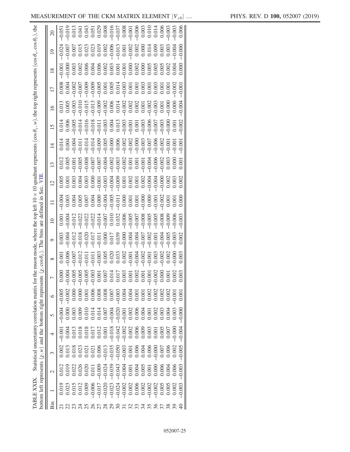|     | bottom left represents $(\chi, w)$ and the bottom right represent<br>TABLE XXIX. |        |       |         |          | Statistical uncertainty correlation matrix for the muon mode, where the top left |                                                 | its $(\chi, \cos \theta_e)$ . | The bins | defined<br>are  | quadran<br>Sec. |             |                |                 |                 | represents (cos $\theta_{v}$ , w), the top right represents (cos $\theta_{v}$ , cos $\theta_{\ell}$ ), the |                 |                |  |
|-----|----------------------------------------------------------------------------------|--------|-------|---------|----------|----------------------------------------------------------------------------------|-------------------------------------------------|-------------------------------|----------|-----------------|-----------------|-------------|----------------|-----------------|-----------------|------------------------------------------------------------------------------------------------------------|-----------------|----------------|--|
|     |                                                                                  |        |       |         |          |                                                                                  |                                                 |                               |          |                 |                 |             |                |                 |                 |                                                                                                            |                 |                |  |
| Bin |                                                                                  | $\sim$ | 3     | 4       | $\sigma$ | $\circ$                                                                          | $\overline{ }$                                  | $\infty$                      | $\circ$  | $\overline{10}$ | $\overline{5}$  | $\tilde{1}$ | $\overline{4}$ | $\overline{15}$ | $\overline{16}$ | $\overline{17}$                                                                                            | $\overline{18}$ | $\overline{0}$ |  |
|     |                                                                                  |        |       | $-0.00$ | $-0.004$ |                                                                                  |                                                 | 0.00                          |          |                 |                 |             |                |                 |                 |                                                                                                            |                 |                |  |
|     |                                                                                  |        |       |         |          |                                                                                  |                                                 |                               |          |                 |                 |             |                |                 |                 |                                                                                                            |                 |                |  |
|     |                                                                                  |        |       |         |          |                                                                                  |                                                 |                               |          |                 |                 |             |                |                 |                 |                                                                                                            |                 |                |  |
|     |                                                                                  |        |       |         |          |                                                                                  | 8 8 8 8 8 8 9 9 9 1 1 1 2 8 9 9 9 9 9 9 9 9 9 9 |                               |          |                 |                 |             |                |                 |                 |                                                                                                            |                 |                |  |
|     |                                                                                  |        |       |         |          |                                                                                  |                                                 |                               |          |                 |                 |             |                |                 |                 |                                                                                                            |                 |                |  |
|     |                                                                                  |        |       |         |          |                                                                                  |                                                 |                               |          |                 |                 |             |                |                 |                 |                                                                                                            |                 |                |  |
|     |                                                                                  |        |       |         |          |                                                                                  |                                                 |                               |          |                 |                 |             |                |                 |                 |                                                                                                            |                 |                |  |
|     |                                                                                  |        |       |         |          |                                                                                  |                                                 |                               |          |                 |                 |             |                |                 |                 |                                                                                                            |                 |                |  |
|     |                                                                                  |        |       |         |          |                                                                                  |                                                 |                               |          |                 |                 |             |                |                 |                 |                                                                                                            |                 |                |  |
|     |                                                                                  |        |       |         |          |                                                                                  |                                                 |                               |          |                 |                 |             |                |                 |                 |                                                                                                            |                 |                |  |
|     |                                                                                  |        |       |         |          |                                                                                  |                                                 |                               |          |                 |                 |             |                |                 |                 |                                                                                                            |                 |                |  |
|     |                                                                                  |        |       |         |          |                                                                                  |                                                 |                               |          |                 |                 |             |                |                 |                 |                                                                                                            |                 |                |  |
|     |                                                                                  |        |       |         |          |                                                                                  |                                                 |                               |          |                 |                 |             |                |                 |                 |                                                                                                            |                 |                |  |
|     |                                                                                  |        |       |         |          |                                                                                  |                                                 |                               |          |                 |                 |             |                |                 |                 |                                                                                                            |                 |                |  |
|     |                                                                                  |        |       |         |          |                                                                                  |                                                 |                               |          |                 |                 |             |                |                 |                 |                                                                                                            |                 |                |  |
|     |                                                                                  |        |       |         |          |                                                                                  |                                                 |                               |          |                 |                 |             |                |                 |                 |                                                                                                            |                 |                |  |
|     |                                                                                  |        |       |         |          |                                                                                  |                                                 |                               |          |                 |                 |             |                |                 |                 |                                                                                                            |                 |                |  |
|     |                                                                                  |        |       |         |          |                                                                                  |                                                 |                               |          |                 |                 |             |                |                 |                 |                                                                                                            |                 |                |  |
|     |                                                                                  |        |       |         |          | 0.00                                                                             |                                                 |                               |          |                 |                 |             |                |                 |                 |                                                                                                            |                 |                |  |
|     |                                                                                  | 0.003  | 0.005 |         |          | 0.00                                                                             |                                                 |                               |          |                 |                 |             |                |                 |                 |                                                                                                            |                 |                |  |
|     |                                                                                  |        |       |         |          |                                                                                  |                                                 |                               |          |                 |                 |             |                |                 |                 |                                                                                                            |                 |                |  |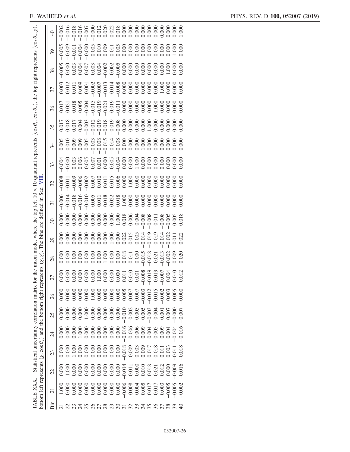|                                                                                       | $\mathcal{E}$            |       |       |       |  |  |  |   |          |                            |         |                                                 |                                                                                     |          |       |                |          |
|---------------------------------------------------------------------------------------|--------------------------|-------|-------|-------|--|--|--|---|----------|----------------------------|---------|-------------------------------------------------|-------------------------------------------------------------------------------------|----------|-------|----------------|----------|
| top right represents $(\cos \theta_{v}, \chi)$                                        | 38                       |       |       |       |  |  |  |   |          |                            |         |                                                 |                                                                                     |          |       |                |          |
|                                                                                       | 37                       |       |       |       |  |  |  |   |          |                            |         |                                                 |                                                                                     |          |       |                |          |
|                                                                                       | 36                       |       |       |       |  |  |  |   |          |                            |         |                                                 |                                                                                     |          |       |                |          |
| where the top left 10 x 10 quadrant represents $(\cos \theta_v, \cos \theta_v)$ , the | 35                       |       |       |       |  |  |  |   |          |                            |         |                                                 |                                                                                     |          |       |                |          |
|                                                                                       | 34                       |       |       |       |  |  |  |   |          |                            |         |                                                 |                                                                                     |          |       |                |          |
|                                                                                       | 33                       |       |       |       |  |  |  |   |          |                            |         |                                                 |                                                                                     |          |       |                |          |
| 貝                                                                                     | 32                       |       |       |       |  |  |  |   |          |                            |         |                                                 |                                                                                     |          |       |                |          |
| Sec.                                                                                  | $\overline{\mathcal{E}}$ |       |       |       |  |  |  |   |          |                            |         |                                                 |                                                                                     |          |       |                |          |
| defined in<br>are                                                                     | $\Im 0$                  |       |       |       |  |  |  |   |          |                            |         |                                                 |                                                                                     |          |       |                |          |
| bins<br>The                                                                           | 29                       |       |       |       |  |  |  |   |          |                            |         |                                                 |                                                                                     |          |       |                |          |
| or the muon mode.<br>$(\chi, \chi)$                                                   | 28                       |       |       |       |  |  |  |   |          |                            |         |                                                 | $-0.021$<br>$-0.013$<br>$-0.002$<br>0.009                                           |          |       |                | 0.02     |
| resents                                                                               | 27                       | 000   |       |       |  |  |  |   |          |                            |         |                                                 | $\frac{1}{2}$                                                                       | 000      |       | $rac{10}{012}$ |          |
| right rep                                                                             | 26                       |       |       |       |  |  |  |   |          |                            | $-0.00$ | $-0.01$ <sup>-</sup>                            | $-0.015$                                                                            | $-0.007$ |       |                |          |
|                                                                                       | 25                       | 0.000 |       |       |  |  |  |   | $-0.010$ | $-0.002$<br>0.005<br>0.005 |         | $-0.003$                                        | $-0.004$                                                                            | 0.001    | 0.007 |                |          |
| Statistical uncertainty correlation matrix for                                        | $\overline{z}$           |       |       |       |  |  |  |   |          |                            |         | $-0.006$<br>0.006<br>0.0004<br>0.004            |                                                                                     | 0.009    | 0.004 | $-0.004$       | 0.016    |
|                                                                                       | 23                       |       |       |       |  |  |  |   |          |                            |         | 0.003<br>0.000<br>0.017<br>0.018                |                                                                                     | 0.01     | 0.00  | $-0.01$        | $-0.018$ |
| bottom left represents $(\chi, \cos \theta)$ and the bottom                           | 22                       | 0.000 | 1.000 | 0.000 |  |  |  |   | $-0.014$ |                            |         |                                                 | $\begin{array}{r} -0.011 \\ -0.000 \\ 0.010 \\ 0.018 \\ 0.018 \\ 0.021 \end{array}$ | 0.012    | 0.000 | $-0.009$       | $-0.016$ |
| ABLE XXX.                                                                             | ಸ                        | 00    |       |       |  |  |  |   | $-0.006$ |                            |         | $-0.008$<br>$-0.004$<br>0.005<br>0.017<br>0.017 |                                                                                     | 0.003    | 0.005 |                |          |
|                                                                                       | Вin                      |       |       |       |  |  |  | ನ |          |                            |         |                                                 |                                                                                     |          |       |                | ₹        |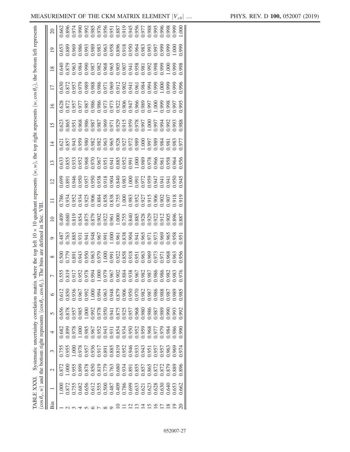<span id="page-26-0"></span>

|     | TABLE XXXI. | $(\cos \theta_{\ell}, w)$ and the bottom right represents $(\cos \theta_{\ell}, \cos \theta_{\ell}).$ | Systematic uncertainty correlation matrix where the top left $10 \times 10$ quadrant represents $(w, w)$ , the top right represents $(w, \cos \theta_e)$ , the bottom left represents |       |       |                                  | The bins are defined in Sec. VIII |                                                            |         |                                  |       |                 |       |                |      |                 |            |                 |                 |                 |
|-----|-------------|-------------------------------------------------------------------------------------------------------|---------------------------------------------------------------------------------------------------------------------------------------------------------------------------------------|-------|-------|----------------------------------|-----------------------------------|------------------------------------------------------------|---------|----------------------------------|-------|-----------------|-------|----------------|------|-----------------|------------|-----------------|-----------------|-----------------|
| Bin |             | $\mathbf 2$                                                                                           | 3                                                                                                                                                                                     | 4     | 5     | $\circ$                          |                                   | $\infty$                                                   | $\circ$ | $\overline{10}$                  |       | $\overline{12}$ | 13    | $\overline{1}$ | 15   | $\overline{16}$ | 17         | $\overline{18}$ | $\overline{19}$ | $\overline{20}$ |
|     | $\sum$      | 0.872                                                                                                 | 0.755                                                                                                                                                                                 | 0.682 | 0.656 | 0.612                            |                                   |                                                            | 0.487   | 0.409                            | 0.786 | 0.699           |       | 0.621          |      |                 | 0.630      | 0.640           |                 | 0.662           |
|     | 0.872       | 000.1                                                                                                 | 0.955                                                                                                                                                                                 | 0.899 | 0.878 | 0.850                            |                                   | 0.500<br>0.779                                             | 0.763   |                                  |       |                 |       |                |      |                 |            |                 |                 | 0.896           |
|     | 0.755       | 0.955                                                                                                 | 1.000                                                                                                                                                                                 | 0.978 | 0.957 | 0.936                            |                                   |                                                            |         |                                  |       |                 |       |                |      |                 |            |                 |                 |                 |
|     | 0.682       | 0.899                                                                                                 | 0.978                                                                                                                                                                                 | 000.1 | 0.985 | 0.967                            |                                   |                                                            |         |                                  |       |                 |       |                |      |                 |            |                 |                 |                 |
|     | 0.656       | 0.878                                                                                                 | 0.957                                                                                                                                                                                 | 0.985 | 000.1 | 0.992                            |                                   |                                                            |         |                                  |       |                 |       |                |      |                 |            |                 |                 |                 |
|     | 0.612       | 0.850                                                                                                 | 0.936                                                                                                                                                                                 | 0.967 | 0.992 | 1.000                            |                                   | 891<br>0.943<br>0.960                                      |         |                                  |       |                 |       |                |      |                 |            |                 |                 |                 |
|     | 0.555       | 0.819                                                                                                 | 0.917                                                                                                                                                                                 | 0.952 | 0.978 | 0.994                            |                                   |                                                            |         |                                  |       |                 |       |                |      |                 |            |                 |                 |                 |
|     | 0.500       | 0.779                                                                                                 | 0.891                                                                                                                                                                                 | 0.943 | 0.950 | 0.963                            |                                   |                                                            |         |                                  |       |                 |       |                |      |                 |            |                 |                 |                 |
|     | 0.487       | 0.763                                                                                                 | 0.885                                                                                                                                                                                 | 0.931 | 0.941 | 0.948                            |                                   |                                                            |         |                                  |       |                 |       |                |      |                 |            |                 |                 |                 |
|     | 0.409       | 0.680                                                                                                 | 0.819                                                                                                                                                                                 | 0.854 | 0.875 | 0.879<br>0.906<br>0.950<br>0.970 |                                   |                                                            |         |                                  |       |                 |       |                |      |                 |            |                 |                 |                 |
|     | 0.786       | 0.934                                                                                                 | 0.952                                                                                                                                                                                 | 0.934 | 0.925 |                                  |                                   |                                                            |         |                                  |       |                 |       |                |      |                 |            |                 |                 |                 |
|     | 0.699       | 0.891                                                                                                 | 0.946                                                                                                                                                                                 | 0.950 |       |                                  |                                   |                                                            |         |                                  |       |                 |       |                |      |                 |            |                 |                 |                 |
|     | 0.633       | 0.855                                                                                                 | 0.933                                                                                                                                                                                 | 0.952 | 0.968 |                                  |                                   | 0.979<br>1.000 0.922<br>0.9223 388<br>0.960 0.963<br>0.969 |         |                                  |       |                 |       |                |      |                 |            |                 |                 |                 |
|     | 0.621       | 0.857                                                                                                 | 0.943                                                                                                                                                                                 | 0.959 | 0.980 | 0.982                            |                                   |                                                            |         |                                  |       |                 |       |                |      |                 |            |                 |                 |                 |
|     | 0.623       | 0.865                                                                                                 | 0.951                                                                                                                                                                                 | 0.968 | 0.986 | 0.987                            |                                   |                                                            |         |                                  |       |                 |       |                |      |                 |            |                 |                 |                 |
|     | 0.628       | 0.872                                                                                                 | 0.957                                                                                                                                                                                 | 0.977 | 0.987 | 0.986                            |                                   |                                                            |         |                                  |       |                 |       |                |      |                 |            |                 |                 |                 |
|     | 0.630       | 0.872                                                                                                 | 0.957                                                                                                                                                                                 | 0.979 | 0.989 | 0.988                            |                                   | 0.973<br>1.971<br>0.968                                    |         | 0.928<br>0.929<br>0.912<br>0.905 |       |                 |       |                |      |                 |            |                 |                 |                 |
|     | .640        | 0.879                                                                                                 | 0.963                                                                                                                                                                                 | 0.984 | 0.990 | 0.987                            |                                   |                                                            | 0.965   |                                  | 1.907 |                 |       |                |      |                 |            |                 |                 |                 |
|     | 0.653       | 0.889                                                                                                 | 0.969                                                                                                                                                                                 | 086.0 | 0.993 | 0.989                            |                                   | 0.963                                                      | 0.58    | 0.896                            |       |                 |       |                |      |                 | <b>999</b> |                 |                 |                 |
|     | 0.662       | 0.896                                                                                                 | 0.974                                                                                                                                                                                 | 0660  | 1.992 | 0.985                            | 0.976                             | 0.956                                                      | 1.951   | 1.887                            | 016   | 1.945           | 0.956 |                | 988. |                 | ).996      | 998             |                 | $000$ .         |
|     |             |                                                                                                       |                                                                                                                                                                                       |       |       |                                  |                                   |                                                            |         |                                  |       |                 |       |                |      |                 |            |                 |                 |                 |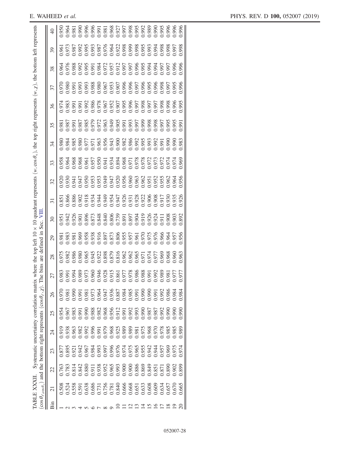|     | TABLE XXXII                                                          |                                                                |       |       |       | Systematic uncertainty correlation matrix<br>$\cos \theta_{\ell, \cos \theta_v}$ ) and the bottom right represents (cos $\theta_{\ell}, \chi$ ). T | where<br>he bins | the top left<br>are                                                                                                                                                                                                                  | $\mathbf{m}$<br>defined | 貝<br>Sec. | quadrant represents $(w, \cos \theta_v)$ , the top right represents |                                                                                                                                                                                                                                                                           |    |    |    |    | $(w, \chi)$ , the bottom left represents |    |    |  |
|-----|----------------------------------------------------------------------|----------------------------------------------------------------|-------|-------|-------|----------------------------------------------------------------------------------------------------------------------------------------------------|------------------|--------------------------------------------------------------------------------------------------------------------------------------------------------------------------------------------------------------------------------------|-------------------------|-----------|---------------------------------------------------------------------|---------------------------------------------------------------------------------------------------------------------------------------------------------------------------------------------------------------------------------------------------------------------------|----|----|----|----|------------------------------------------|----|----|--|
| Bin | $\overline{c}$                                                       | 22                                                             | 23    | 24    | 25    | 26                                                                                                                                                 | 27               | 28                                                                                                                                                                                                                                   | $\overline{6}$          | $\Im$     | $\overline{31}$                                                     | 32                                                                                                                                                                                                                                                                        | 33 | 34 | 35 | 36 | 37                                       | 38 | 39 |  |
|     | 0.508                                                                | 0.763                                                          |       | 0.919 | 0.954 | 0.970                                                                                                                                              |                  |                                                                                                                                                                                                                                      |                         |           |                                                                     |                                                                                                                                                                                                                                                                           |    |    |    |    |                                          |    |    |  |
|     |                                                                      | 0.783                                                          |       | 0.938 |       | 1.98                                                                                                                                               |                  |                                                                                                                                                                                                                                      |                         |           |                                                                     |                                                                                                                                                                                                                                                                           |    |    |    |    |                                          |    |    |  |
|     |                                                                      |                                                                |       |       |       | 0.990                                                                                                                                              |                  |                                                                                                                                                                                                                                      |                         |           |                                                                     |                                                                                                                                                                                                                                                                           |    |    |    |    |                                          |    |    |  |
|     | 0.524<br>0.558<br>0.638                                              | $0.814$<br>$0.842$                                             |       |       |       |                                                                                                                                                    | 858858           | 0.975<br>0.986 0.945 0.988 0.988 0.998 0.998 0.998 0.998 0.998 0.998 0.998 0.998 0.998 0.998 0.998 0.998 0.998 0.998 0<br>0.998 0.998 0.998 0.998 0.998 0.998 0.998 0.998 0.998 0.998 0.998 0.998 0.998 0.998 0.998 0.998 0.998 0.99 |                         |           |                                                                     | $\begin{smallmatrix} 0.920 & 0.930 & 0.930 & 0.930 & 0.930 & 0.930 & 0.930 & 0.930 & 0.930 & 0.930 & 0.930 & 0.930 & 0.930 & 0.930 & 0.930 & 0.930 & 0.930 & 0.930 & 0.930 & 0.930 & 0.930 & 0.930 & 0.930 & 0.930 & 0.930 & 0.930 & 0.930 & 0.930 & 0.930 & 0.930 & 0.9$ |    |    |    |    |                                          |    |    |  |
|     |                                                                      | 0880                                                           |       |       |       | 1991<br>1976 1976 1987<br>1976 1987 1988 1989<br>1980 1988 1989 1980 1980 1980 1                                                                   |                  |                                                                                                                                                                                                                                      |                         |           |                                                                     |                                                                                                                                                                                                                                                                           |    |    |    |    |                                          |    |    |  |
|     |                                                                      |                                                                |       |       |       |                                                                                                                                                    |                  |                                                                                                                                                                                                                                      |                         |           |                                                                     |                                                                                                                                                                                                                                                                           |    |    |    |    |                                          |    |    |  |
|     |                                                                      |                                                                |       |       |       |                                                                                                                                                    |                  |                                                                                                                                                                                                                                      |                         |           |                                                                     |                                                                                                                                                                                                                                                                           |    |    |    |    |                                          |    |    |  |
|     |                                                                      |                                                                |       |       |       |                                                                                                                                                    |                  |                                                                                                                                                                                                                                      |                         |           |                                                                     |                                                                                                                                                                                                                                                                           |    |    |    |    |                                          |    |    |  |
|     |                                                                      |                                                                |       |       |       |                                                                                                                                                    |                  |                                                                                                                                                                                                                                      |                         |           |                                                                     |                                                                                                                                                                                                                                                                           |    |    |    |    |                                          |    |    |  |
|     |                                                                      |                                                                |       |       |       |                                                                                                                                                    |                  |                                                                                                                                                                                                                                      |                         |           |                                                                     |                                                                                                                                                                                                                                                                           |    |    |    |    |                                          |    |    |  |
|     |                                                                      |                                                                |       |       |       |                                                                                                                                                    |                  |                                                                                                                                                                                                                                      |                         |           |                                                                     |                                                                                                                                                                                                                                                                           |    |    |    |    |                                          |    |    |  |
|     |                                                                      |                                                                |       |       |       |                                                                                                                                                    |                  |                                                                                                                                                                                                                                      |                         |           |                                                                     |                                                                                                                                                                                                                                                                           |    |    |    |    |                                          |    |    |  |
|     |                                                                      |                                                                |       |       |       |                                                                                                                                                    |                  |                                                                                                                                                                                                                                      |                         |           |                                                                     |                                                                                                                                                                                                                                                                           |    |    |    |    |                                          |    |    |  |
|     | 0.686<br>0.731<br>0.756<br>0.840<br>0.668<br>0.603<br>0.608<br>0.609 | 0.911<br>0.938<br>0.952<br>0.965 0.900<br>0.886 0.900<br>0.849 |       |       |       |                                                                                                                                                    | 5355888558855    |                                                                                                                                                                                                                                      |                         |           |                                                                     |                                                                                                                                                                                                                                                                           |    |    |    |    |                                          |    |    |  |
|     |                                                                      |                                                                |       |       |       |                                                                                                                                                    |                  |                                                                                                                                                                                                                                      |                         |           |                                                                     |                                                                                                                                                                                                                                                                           |    |    |    |    |                                          |    |    |  |
|     |                                                                      | 1.851                                                          |       |       |       |                                                                                                                                                    |                  |                                                                                                                                                                                                                                      |                         |           |                                                                     |                                                                                                                                                                                                                                                                           |    |    |    |    |                                          |    |    |  |
|     | 0.634                                                                | 187                                                            |       |       | 0.992 | 0.992                                                                                                                                              |                  |                                                                                                                                                                                                                                      |                         |           |                                                                     |                                                                                                                                                                                                                                                                           |    |    |    |    |                                          |    |    |  |
|     | 0.657                                                                | 0.890                                                          | 0.969 | 1.985 | 0.990 | 086                                                                                                                                                |                  |                                                                                                                                                                                                                                      |                         |           |                                                                     |                                                                                                                                                                                                                                                                           |    |    |    |    |                                          |    |    |  |
|     | 0.670                                                                | 0.902                                                          | 1.975 | 1.985 | 066.0 | 1.984                                                                                                                                              |                  |                                                                                                                                                                                                                                      |                         |           |                                                                     |                                                                                                                                                                                                                                                                           |    |    |    |    |                                          |    |    |  |
|     | 1.665                                                                | 0.899                                                          | 1.974 | 086.  | 0.990 | 0.984                                                                                                                                              |                  |                                                                                                                                                                                                                                      |                         | .892      | 076                                                                 |                                                                                                                                                                                                                                                                           |    |    |    |    |                                          |    |    |  |
|     |                                                                      |                                                                |       |       |       |                                                                                                                                                    |                  |                                                                                                                                                                                                                                      |                         |           |                                                                     |                                                                                                                                                                                                                                                                           |    |    |    |    |                                          |    |    |  |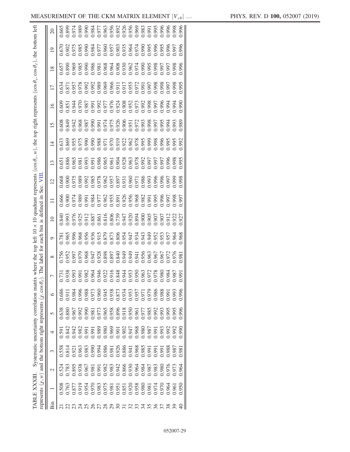|                                                                                                                                                   |                 | 0.665 |       |       |                                                                                                                                                                                                                                                                                                     |       |             |       |  |  |                 |                                                                           |             |                         |       |                             |       | 1.996 |
|---------------------------------------------------------------------------------------------------------------------------------------------------|-----------------|-------|-------|-------|-----------------------------------------------------------------------------------------------------------------------------------------------------------------------------------------------------------------------------------------------------------------------------------------------------|-------|-------------|-------|--|--|-----------------|---------------------------------------------------------------------------|-------------|-------------------------|-------|-----------------------------|-------|-------|
|                                                                                                                                                   | $\overline{19}$ |       |       |       |                                                                                                                                                                                                                                                                                                     |       |             |       |  |  |                 |                                                                           |             |                         |       |                             |       |       |
|                                                                                                                                                   | $\frac{8}{2}$   |       |       |       |                                                                                                                                                                                                                                                                                                     |       |             |       |  |  |                 |                                                                           |             |                         |       |                             |       | ,996  |
|                                                                                                                                                   | $\overline{17}$ |       |       |       |                                                                                                                                                                                                                                                                                                     |       |             |       |  |  |                 |                                                                           |             |                         |       |                             |       | 1.995 |
|                                                                                                                                                   | $\overline{16}$ |       |       |       |                                                                                                                                                                                                                                                                                                     |       |             |       |  |  |                 |                                                                           |             |                         |       |                             |       |       |
|                                                                                                                                                   | 15              |       |       |       |                                                                                                                                                                                                                                                                                                     |       |             |       |  |  |                 |                                                                           |             |                         |       |                             |       |       |
|                                                                                                                                                   | $\overline{1}$  |       |       |       | $\begin{array}{l} 1.633 \\ 0.856 \\ 0.955 \\ 0.975 \\ 0.995 \\ 0.995 \\ 0.995 \\ 0.996 \\ 0.907 \\ 0.909 \\ 0.900 \\ 0.900 \\ 0.900 \\ 0.900 \\ 0.900 \\ 0.900 \\ 0.900 \\ 0.900 \\ 0.900 \\ 0.900 \\ 0.900 \\ 0.900 \\ 0.900 \\ 0.900 \\ 0.900 \\ 0.900 \\ 0.900 \\ 0.900 \\ 0.900 \\ 0.900 \\ 0.$ |       |             |       |  |  |                 |                                                                           |             |                         |       |                             |       | .992  |
| where the top left 10 x 10 quadrant represents (cos $\theta_v$ , w), the top right represents (cos $\theta_v$ , cos $\theta_e$ ), the bottom left | 13              |       |       |       |                                                                                                                                                                                                                                                                                                     |       |             |       |  |  |                 |                                                                           |             |                         |       |                             |       | .995  |
| $\Xi$                                                                                                                                             | $\overline{c}$  |       |       |       | $0.688$<br>$0.01975$<br>$0.00000$<br>$0.00000$<br>$0.00000$<br>$0.00000$<br>$0.00000$<br>$0.00000$<br>$0.00000$<br>$0.00000$<br>$0.00000$                                                                                                                                                           |       |             |       |  |  |                 |                                                                           |             |                         |       |                             |       | 998   |
| Sec.                                                                                                                                              | $\Box$          |       |       |       |                                                                                                                                                                                                                                                                                                     |       |             |       |  |  |                 |                                                                           |             |                         |       |                             |       | .997  |
| each bin is defined in                                                                                                                            | $\supseteq$     |       |       |       | $\begin{array}{l} 3.640 \\ 0.933 \\ 0.976 \\ 0.976 \\ 0.912 \\ 0.857 \\ 0.871 \\ 0.871 \\ 0.871 \\ 0.871 \\ 0.872 \\ 0.873 \\ 0.873 \\ 0.873 \\ 0.873 \\ 0.873 \\ 0.873 \\ 0.873 \\ 0.873 \\ 0.873 \\ 0.873 \\ 0.873 \\ 0.873 \\ 0.873 \\ 0.873 \\ 0.873 \\ 0.873 \\ 0.873 \\ 0.873 \\ 0.873 \\ 0.$ |       |             |       |  |  |                 |                                                                           |             |                         |       |                             |       | .927  |
|                                                                                                                                                   | $\mathcal{O}$   |       |       |       |                                                                                                                                                                                                                                                                                                     |       |             |       |  |  |                 |                                                                           |             | 0.952<br>0.957<br>0.957 |       |                             | 0.964 | 1.968 |
| The label for                                                                                                                                     | $\infty$        | 0.756 |       |       | 952<br>990.097<br>890.088<br>1947                                                                                                                                                                                                                                                                   |       |             |       |  |  |                 |                                                                           |             |                         |       |                             |       | 1.981 |
|                                                                                                                                                   |                 |       |       |       |                                                                                                                                                                                                                                                                                                     |       |             |       |  |  | $\frac{53}{50}$ |                                                                           | $rac{2}{7}$ | 8 <sup>0</sup>          | 80    | $\frac{8}{2}$ $\frac{8}{2}$ |       | 1,991 |
|                                                                                                                                                   |                 |       |       |       |                                                                                                                                                                                                                                                                                                     |       |             |       |  |  | $\overline{0}$  | e e e e e e e                                                             |             |                         |       |                             |       |       |
|                                                                                                                                                   | $\circ$         | 0.686 | 0.91  |       |                                                                                                                                                                                                                                                                                                     |       |             |       |  |  |                 |                                                                           |             |                         |       | 1,991                       | 993   | ).996 |
|                                                                                                                                                   | 5               | 0.638 | 0.880 |       | 0.967                                                                                                                                                                                                                                                                                               | 066.0 |             |       |  |  |                 | 0.981<br>0.965 8866 0.977<br>0.965 0.9777<br>0.97775 886<br>0.977778 8890 |             |                         |       | ).995                       | 1.995 | 066   |
| Systematic uncertainty correlation matrix                                                                                                         | 4               | 0.591 | 1.842 | 0.942 | 1,982<br>1,991                                                                                                                                                                                                                                                                                      |       |             |       |  |  |                 |                                                                           |             |                         |       | 0.992                       | 1.992 | 0661  |
|                                                                                                                                                   | $\mathfrak{c}$  | 0.558 | 0.814 | 0.921 | 0.963                                                                                                                                                                                                                                                                                               | 0.983 | <b>1990</b> | 0.994 |  |  |                 |                                                                           |             | 1,991                   | 99    | 0.988                       | 1.987 | 98(   |
| represents $(\chi, w)$ and the bottom right represents $(\chi, \cos \theta_{\ell})$                                                               | $\mathcal{L}$   | 0.524 | 0.783 | 0.895 |                                                                                                                                                                                                                                                                                                     |       |             |       |  |  |                 |                                                                           |             |                         | 0.98C | .976                        | 97.5  | 1.964 |
| TABLE XXXIII                                                                                                                                      |                 | 0.508 | 0.763 |       | 0.877<br>0.919                                                                                                                                                                                                                                                                                      | 0.954 |             |       |  |  |                 | 0.970<br>0.983<br>0.975<br>0.981 0.981<br>0.981<br>0.981 0.981            |             | 0.974                   | 0.970 | 1.964                       | 0.96  | 0.950 |
|                                                                                                                                                   | Bin             |       |       |       |                                                                                                                                                                                                                                                                                                     |       |             |       |  |  |                 |                                                                           |             |                         |       |                             |       |       |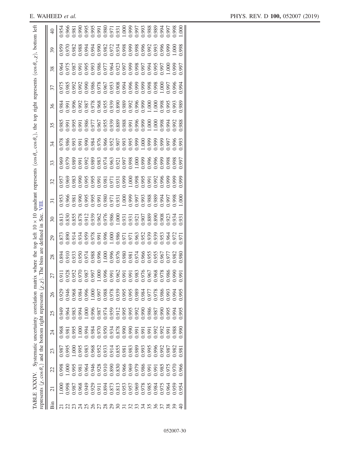| represents $(\chi, \cos \theta_v)$ and the bottom right represents | (x, x) |                                                                    |             |       | . The                                                                               | bins are                | defined       | Sec.<br>$\Xi$            |       |    |                                                                                                                                                                                         |    |                                                                                                                                                                                                                                                                                                     |    |    |       |                |
|--------------------------------------------------------------------|--------|--------------------------------------------------------------------|-------------|-------|-------------------------------------------------------------------------------------|-------------------------|---------------|--------------------------|-------|----|-----------------------------------------------------------------------------------------------------------------------------------------------------------------------------------------|----|-----------------------------------------------------------------------------------------------------------------------------------------------------------------------------------------------------------------------------------------------------------------------------------------------------|----|----|-------|----------------|
|                                                                    |        |                                                                    |             |       |                                                                                     |                         |               |                          |       |    |                                                                                                                                                                                         |    |                                                                                                                                                                                                                                                                                                     |    |    |       |                |
| 23                                                                 |        | 24                                                                 | 25          | 26    | 27                                                                                  | 28                      | $\mathcal{Q}$ | $\overline{\mathcal{E}}$ | 32    | 33 | 34                                                                                                                                                                                      | 35 | 36                                                                                                                                                                                                                                                                                                  | 37 | 38 | 39    | $\overline{4}$ |
| 0.987                                                              |        | 0.968                                                              | 0.949       | 0.929 |                                                                                     |                         |               |                          |       |    |                                                                                                                                                                                         |    |                                                                                                                                                                                                                                                                                                     |    |    | 0.959 | 0.954          |
|                                                                    |        | 1.98                                                               | 0.964       | 0.946 |                                                                                     |                         |               |                          |       |    |                                                                                                                                                                                         |    |                                                                                                                                                                                                                                                                                                     |    |    |       |                |
|                                                                    |        | 1.995                                                              | 0.983       | 0.968 |                                                                                     | 1.894<br>0.910<br>0.933 |               |                          |       |    |                                                                                                                                                                                         |    |                                                                                                                                                                                                                                                                                                     |    |    |       |                |
|                                                                    |        | .00(                                                               |             |       | $\frac{1}{9}$ $\frac{8}{9}$ $\frac{8}{9}$ $\frac{8}{9}$ $\frac{8}{9}$ $\frac{6}{9}$ |                         |               |                          |       |    | $7.886$<br>$3.995$<br>$3.995$<br>$3.995$<br>$3.995$<br>$3.995$<br>$3.995$<br>$3.995$<br>$3.995$<br>$3.995$<br>$3.995$<br>$3.995$<br>$3.995$<br>$3.995$<br>$3.995$<br>$3.995$<br>$3.995$ |    | $\begin{array}{l} 0.984 \\ 0.995 \\ 0.996 \\ 0.997 \\ 0.998 \\ 0.997 \\ 0.987 \\ 0.988 \\ 0.997 \\ 0.998 \\ 0.999 \\ 0.999 \\ 0.999 \\ 0.999 \\ 0.999 \\ 0.999 \\ 0.000 \\ 0.000 \\ 0.000 \\ 0.000 \\ 0.000 \\ 0.000 \\ 0.000 \\ 0.000 \\ 0.000 \\ 0.000 \\ 0.000 \\ 0.000 \\ 0.000 \\ 0.000 \\ 0.$ |    |    |       |                |
|                                                                    |        | 1,994                                                              |             |       |                                                                                     |                         |               |                          |       |    |                                                                                                                                                                                         |    |                                                                                                                                                                                                                                                                                                     |    |    |       |                |
|                                                                    |        |                                                                    |             |       |                                                                                     |                         |               |                          |       |    |                                                                                                                                                                                         |    |                                                                                                                                                                                                                                                                                                     |    |    |       |                |
|                                                                    |        |                                                                    |             |       |                                                                                     |                         |               |                          |       |    |                                                                                                                                                                                         |    |                                                                                                                                                                                                                                                                                                     |    |    |       |                |
|                                                                    |        |                                                                    |             |       |                                                                                     |                         |               |                          |       |    |                                                                                                                                                                                         |    |                                                                                                                                                                                                                                                                                                     |    |    |       |                |
|                                                                    |        |                                                                    |             |       |                                                                                     |                         |               |                          |       |    |                                                                                                                                                                                         |    |                                                                                                                                                                                                                                                                                                     |    |    |       |                |
|                                                                    |        |                                                                    |             |       |                                                                                     |                         |               |                          |       |    |                                                                                                                                                                                         |    |                                                                                                                                                                                                                                                                                                     |    |    |       |                |
|                                                                    |        |                                                                    |             |       |                                                                                     |                         |               |                          |       |    |                                                                                                                                                                                         |    |                                                                                                                                                                                                                                                                                                     |    |    |       |                |
|                                                                    |        |                                                                    |             |       |                                                                                     |                         |               |                          |       |    |                                                                                                                                                                                         |    |                                                                                                                                                                                                                                                                                                     |    |    |       |                |
|                                                                    |        | 0.984<br>0.9700.934<br>0.970.990.991<br>0.990.991<br>0.991.991.991 |             |       | 8 8 8 8 9 8 8 8 8 8 8 8 8 9 9                                                       |                         |               |                          |       |    |                                                                                                                                                                                         |    |                                                                                                                                                                                                                                                                                                     |    |    |       |                |
|                                                                    |        |                                                                    |             |       |                                                                                     |                         |               |                          |       |    |                                                                                                                                                                                         |    |                                                                                                                                                                                                                                                                                                     |    |    |       |                |
|                                                                    |        |                                                                    |             |       |                                                                                     |                         |               |                          |       |    |                                                                                                                                                                                         |    |                                                                                                                                                                                                                                                                                                     |    |    |       |                |
|                                                                    |        | 0.992                                                              |             |       |                                                                                     |                         |               |                          |       |    |                                                                                                                                                                                         |    |                                                                                                                                                                                                                                                                                                     |    |    |       |                |
|                                                                    | 0.992  | 0.992                                                              | <b>1990</b> |       |                                                                                     |                         |               |                          |       |    |                                                                                                                                                                                         |    |                                                                                                                                                                                                                                                                                                     |    |    |       |                |
|                                                                    | 1.987  | 1,991                                                              | 0.995       | 0.993 |                                                                                     |                         |               |                          |       |    |                                                                                                                                                                                         |    |                                                                                                                                                                                                                                                                                                     |    |    |       |                |
|                                                                    | 0.982  | 0.988                                                              | 0.994       | 0.994 |                                                                                     | 1.977<br>S82.           |               |                          |       |    |                                                                                                                                                                                         |    |                                                                                                                                                                                                                                                                                                     |    |    |       |                |
|                                                                    | 0.98   | 0.990                                                              | 0.995       | 0.995 | 991                                                                                 | 1.980                   | .97           |                          | 1.999 |    |                                                                                                                                                                                         |    |                                                                                                                                                                                                                                                                                                     |    |    |       |                |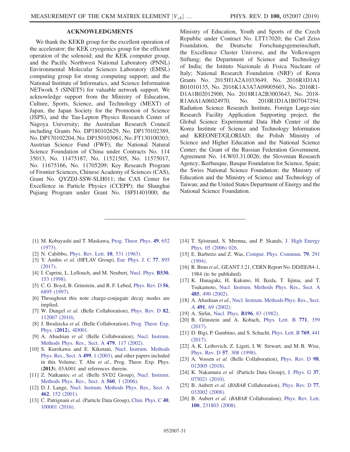# ACKNOWLEDGMENTS

We thank the KEKB group for the excellent operation of the accelerator; the KEK cryogenics group for the efficient operation of the solenoid; and the KEK computer group, and the Pacific Northwest National Laboratory (PNNL) Environmental Molecular Sciences Laboratory (EMSL) computing group for strong computing support; and the National Institute of Informatics, and Science Information NETwork 5 (SINET5) for valuable network support. We acknowledge support from the Ministry of Education, Culture, Sports, Science, and Technology (MEXT) of Japan, the Japan Society for the Promotion of Science (JSPS), and the Tau-Lepton Physics Research Center of Nagoya University; the Australian Research Council including Grants No. DP180102629, No. DP170102389, No. DP170102204, No. DP150103061, No. FT130100303; Austrian Science Fund (FWF); the National Natural Science Foundation of China under Contracts No. 114 35013, No. 11475187, No. 11521505, No. 11575017, No. 11675166, No. 11705209; Key Research Program of Frontier Sciences, Chinese Academy of Sciences (CAS), Grant No. QYZDJ-SSW-SLH011; the CAS Center for Excellence in Particle Physics (CCEPP); the Shanghai Pujiang Program under Grant No. 18PJ1401000; the

Ministry of Education, Youth and Sports of the Czech Republic under Contract No. LTT17020; the Carl Zeiss Foundation, the Deutsche Forschungsgemeinschaft, the Excellence Cluster Universe, and the Volkswagen Stiftung; the Department of Science and Technology of India; the Istituto Nazionale di Fisica Nucleare of Italy; National Research Foundation (NRF) of Korea Grants No. 2015H1A2A1033649, No. 2016R1D1A1 B01010135, No. 2016K1A3A7A09005603, No. 2016R1- D1A1B02012900, No. 2018R1A2B3003643, No. 2018- R1A6A1A06024970, No. 2018R1D1A1B07047294; Radiation Science Research Institute, Foreign Large-size Research Facility Application Supporting project, the Global Science Experimental Data Hub Center of the Korea Institute of Science and Technology Information and KREONET/GLORIAD; the Polish Ministry of Science and Higher Education and the National Science Center; the Grant of the Russian Federation Government, Agreement No. 14.W03.31.0026; the Slovenian Research Agency; Ikerbasque, Basque Foundation for Science, Spain; the Swiss National Science Foundation; the Ministry of Education and the Ministry of Science and Technology of Taiwan; and the United States Department of Energy and the National Science Foundation.

- <span id="page-30-0"></span>[1] M. Kobayashi and T. Maskawa, [Prog. Theor. Phys.](https://doi.org/10.1143/PTP.49.652) 49, 652  $(1973)$
- [2] N. Cabibbo, [Phys. Rev. Lett.](https://doi.org/10.1103/PhysRevLett.10.531) **10**, 531 (1963).
- <span id="page-30-1"></span>[3] Y. Amhis et al. (HFLAV Group), [Eur. Phys. J. C](https://doi.org/10.1140/epjc/s10052-017-5058-4) 77, 895 [\(2017\).](https://doi.org/10.1140/epjc/s10052-017-5058-4)
- <span id="page-30-2"></span>[4] I. Caprini, L. Lellouch, and M. Neubert, [Nucl. Phys.](https://doi.org/10.1016/S0550-3213(98)00350-2) **B530**, [153 \(1998\)](https://doi.org/10.1016/S0550-3213(98)00350-2).
- <span id="page-30-3"></span>[5] C. G. Boyd, B. Grinstein, and R. F. Lebed, [Phys. Rev. D](https://doi.org/10.1103/PhysRevD.56.6895) 56, [6895 \(1997\)](https://doi.org/10.1103/PhysRevD.56.6895).
- <span id="page-30-4"></span>[6] Throughout this note charge-conjugate decay modes are implied.
- <span id="page-30-5"></span>[7] W. Dungel et al. (Belle Collaboration), [Phys. Rev. D](https://doi.org/10.1103/PhysRevD.82.112007) 82, [112007 \(2010\).](https://doi.org/10.1103/PhysRevD.82.112007)
- <span id="page-30-6"></span>[8] J. Brodzicka et al. (Belle Collaboration), [Prog. Theor. Exp.](https://doi.org/10.1093/ptep/pts072) Phys. (2012[\), 4D001.](https://doi.org/10.1093/ptep/pts072)
- <span id="page-30-7"></span>[9] A. Abashian et al. (Belle Collaboration), [Nucl. Instrum.](https://doi.org/10.1016/S0168-9002(01)02013-7) [Methods Phys. Res., Sect. A](https://doi.org/10.1016/S0168-9002(01)02013-7) 479, 117 (2002).
- <span id="page-30-8"></span>[10] S. Kurokawa and E. Kikutani, [Nucl. Instrum. Methods](https://doi.org/10.1016/S0168-9002(02)01771-0) [Phys. Res., Sect. A](https://doi.org/10.1016/S0168-9002(02)01771-0) 499, 1 (2003), and other papers included in this Volume; T. Abe et al., Prog. Theor. Exp. Phys. (2013), 03A001 and references therein.
- <span id="page-30-9"></span>[11] Z. Natkaniec et al. (Belle SVD2 Group), [Nucl. Instrum.](https://doi.org/10.1016/j.nima.2005.11.228) [Methods Phys. Res., Sect. A](https://doi.org/10.1016/j.nima.2005.11.228) 560, 1 (2006).
- <span id="page-30-10"></span>[12] D. J. Lange, [Nucl. Instrum. Methods Phys. Res., Sect. A](https://doi.org/10.1016/S0168-9002(01)00089-4) 462[, 152 \(2001\)](https://doi.org/10.1016/S0168-9002(01)00089-4).
- <span id="page-30-11"></span>[13] C. Patrignani et al. (Particle Data Group), [Chin. Phys. C](https://doi.org/10.1088/1674-1137/40/10/100001) 40, [100001 \(2016\).](https://doi.org/10.1088/1674-1137/40/10/100001)
- <span id="page-30-12"></span>[14] T. Sjöstrand, S. Mrenna, and P. Skands, [J. High Energy](https://doi.org/10.1088/1126-6708/2006/05/026) [Phys. 05 \(2006\) 026.](https://doi.org/10.1088/1126-6708/2006/05/026)
- <span id="page-30-13"></span>[15] E. Barberio and Z. Was, [Comput. Phys. Commun.](https://doi.org/10.1016/0010-4655(94)90074-4) 79, 291 [\(1994\).](https://doi.org/10.1016/0010-4655(94)90074-4)
- <span id="page-30-14"></span>[16] R. Brun *et al.*, GEANT 3.21, CERN Report No. DD/EE/84-1, 1984 (to be published).
- <span id="page-30-15"></span>[17] K. Hanagaki, H. Kakuno, H. Ikeda, T. Iijima, and T. Tsukamoto, [Nucl. Instrum. Methods Phys. Res., Sect. A](https://doi.org/10.1016/S0168-9002(01)02113-1) 485[, 490 \(2002\)](https://doi.org/10.1016/S0168-9002(01)02113-1).
- <span id="page-30-16"></span>[18] A. Abashian et al., [Nucl. Instrum. Methods Phys. Res., Sect.](https://doi.org/10.1016/S0168-9002(02)01164-6) A 491[, 69 \(2002\).](https://doi.org/10.1016/S0168-9002(02)01164-6)
- <span id="page-30-18"></span><span id="page-30-17"></span>[19] A. Sirlin, [Nucl. Phys.](https://doi.org/10.1016/0550-3213(82)90303-0) **B196**, 83 (1982).
- [20] B. Grinstein and A. Kobach, [Phys. Lett. B](https://doi.org/10.1016/j.physletb.2017.05.078) 771, 359 [\(2017\).](https://doi.org/10.1016/j.physletb.2017.05.078)
- <span id="page-30-19"></span>[21] D. Bigi, P. Gambino, and S. Schacht, [Phys. Lett. B](https://doi.org/10.1016/j.physletb.2017.04.022) 769, 441 [\(2017\).](https://doi.org/10.1016/j.physletb.2017.04.022)
- <span id="page-30-20"></span>[22] A. K. Leibovich, Z. Ligeti, I. W. Stewart, and M. B. Wise, [Phys. Rev. D](https://doi.org/10.1103/PhysRevD.57.308) 57, 308 (1998).
- <span id="page-30-21"></span>[23] A. Vossen et al. (Belle Collaboration), [Phys. Rev. D](https://doi.org/10.1103/PhysRevD.98.012005) 98, [012005 \(2018\).](https://doi.org/10.1103/PhysRevD.98.012005)
- [24] K. Nakamura et al. (Particle Data Group), [J. Phys. G](https://doi.org/10.1088/0954-3899/37/7A/075021) 37, [075021 \(2010\).](https://doi.org/10.1088/0954-3899/37/7A/075021)
- [25] B. Aubert et al. (BABAR Collaboration), [Phys. Rev. D](https://doi.org/10.1103/PhysRevD.77.032002) 77, [032002 \(2008\).](https://doi.org/10.1103/PhysRevD.77.032002)
- [26] B. Aubert et al. (BABAR Collaboration), [Phys. Rev. Lett.](https://doi.org/10.1103/PhysRevLett.100.231803) 100[, 231803 \(2008\).](https://doi.org/10.1103/PhysRevLett.100.231803)